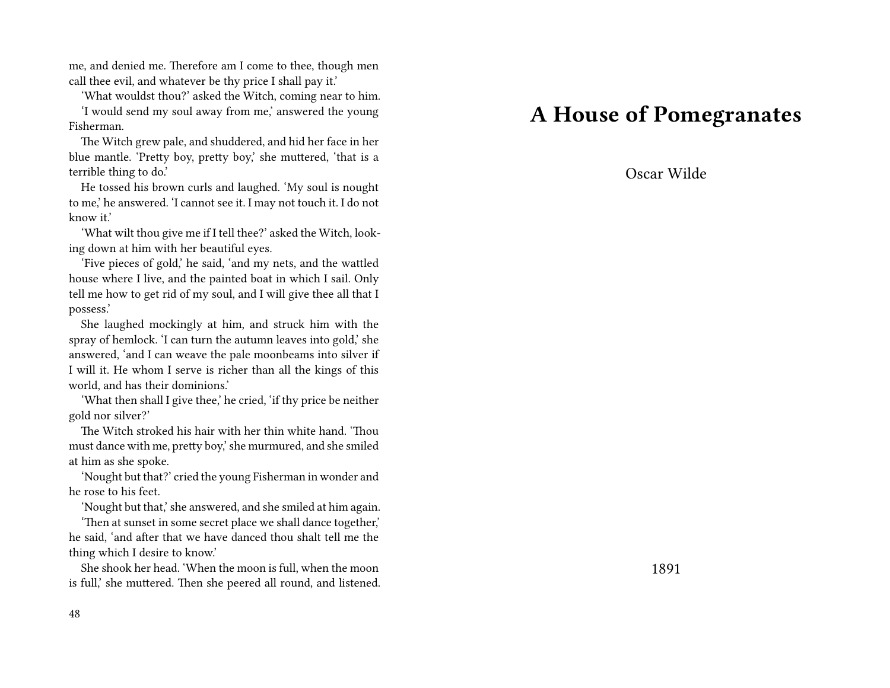me, and denied me. Therefore am I come to thee, though men call thee evil, and whatever be thy price I shall pay it.'

'What wouldst thou?' asked the Witch, coming near to him.

'I would send my soul away from me,' answered the young Fisherman.

The Witch grew pale, and shuddered, and hid her face in her blue mantle. 'Pretty boy, pretty boy,' she muttered, 'that is a terrible thing to do.'

He tossed his brown curls and laughed. 'My soul is nought to me,' he answered. 'I cannot see it. I may not touch it. I do not know it.'

'What wilt thou give me if I tell thee?' asked the Witch, looking down at him with her beautiful eyes.

'Five pieces of gold,' he said, 'and my nets, and the wattled house where I live, and the painted boat in which I sail. Only tell me how to get rid of my soul, and I will give thee all that I possess.'

She laughed mockingly at him, and struck him with the spray of hemlock. 'I can turn the autumn leaves into gold,' she answered, 'and I can weave the pale moonbeams into silver if I will it. He whom I serve is richer than all the kings of this world, and has their dominions.'

'What then shall I give thee,' he cried, 'if thy price be neither gold nor silver?'

The Witch stroked his hair with her thin white hand. 'Thou must dance with me, pretty boy,' she murmured, and she smiled at him as she spoke.

'Nought but that?' cried the young Fisherman in wonder and he rose to his feet.

'Nought but that,' she answered, and she smiled at him again.

'Then at sunset in some secret place we shall dance together,' he said, 'and after that we have danced thou shalt tell me the thing which I desire to know.'

She shook her head. 'When the moon is full, when the moon is full,' she muttered. Then she peered all round, and listened.

#### 48

### **A House of Pomegranates**

Oscar Wilde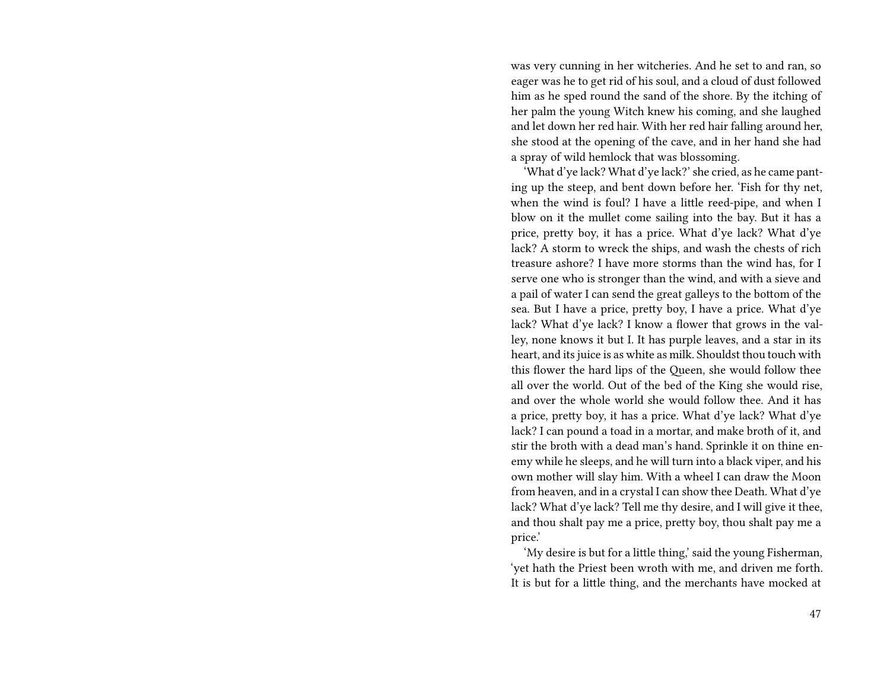was very cunning in her witcheries. And he set to and ran, so eager was he to get rid of his soul, and a cloud of dust followed him as he sped round the sand of the shore. By the itching of her palm the young Witch knew his coming, and she laughed and let down her red hair. With her red hair falling around her, she stood at the opening of the cave, and in her hand she had a spray of wild hemlock that was blossoming.

'What d'ye lack? What d'ye lack?' she cried, as he came panting up the steep, and bent down before her. 'Fish for thy net, when the wind is foul? I have a little reed-pipe, and when I blow on it the mullet come sailing into the bay. But it has a price, pretty boy, it has a price. What d'ye lack? What d'ye lack? A storm to wreck the ships, and wash the chests of rich treasure ashore? I have more storms than the wind has, for I serve one who is stronger than the wind, and with a sieve and a pail of water I can send the great galleys to the bottom of the sea. But I have a price, pretty boy, I have a price. What d'ye lack? What d'ye lack? I know a flower that grows in the valley, none knows it but I. It has purple leaves, and a star in its heart, and its juice is as white as milk. Shouldst thou touch with this flower the hard lips of the Queen, she would follow thee all over the world. Out of the bed of the King she would rise, and over the whole world she would follow thee. And it has a price, pretty boy, it has a price. What d'ye lack? What d'ye lack? I can pound a toad in a mortar, and make broth of it, and stir the broth with a dead man's hand. Sprinkle it on thine enemy while he sleeps, and he will turn into a black viper, and his own mother will slay him. With a wheel I can draw the Moon from heaven, and in a crystal I can show thee Death. What d'ye lack? What d'ye lack? Tell me thy desire, and I will give it thee, and thou shalt pay me a price, pretty boy, thou shalt pay me a price.'

'My desire is but for a little thing,' said the young Fisherman, 'yet hath the Priest been wroth with me, and driven me forth. It is but for a little thing, and the merchants have mocked at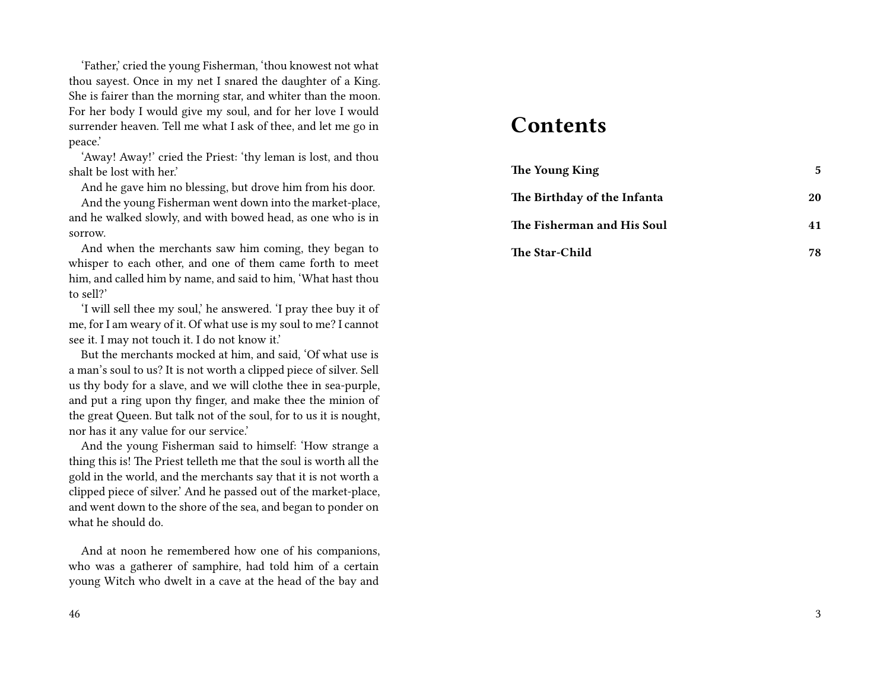'Father,' cried the young Fisherman, 'thou knowest not what thou sayest. Once in my net I snared the daughter of a King. She is fairer than the morning star, and whiter than the moon. For her body I would give my soul, and for her love I would surrender heaven. Tell me what I ask of thee, and let me go in peace.'

'Away! Away!' cried the Priest: 'thy leman is lost, and thou shalt be lost with her.'

And he gave him no blessing, but drove him from his door.

And the young Fisherman went down into the market-place, and he walked slowly, and with bowed head, as one who is in sorrow.

And when the merchants saw him coming, they began to whisper to each other, and one of them came forth to meet him, and called him by name, and said to him, 'What hast thou to sell?'

'I will sell thee my soul,' he answered. 'I pray thee buy it of me, for I am weary of it. Of what use is my soul to me? I cannot see it. I may not touch it. I do not know it.'

But the merchants mocked at him, and said, 'Of what use is a man's soul to us? It is not worth a clipped piece of silver. Sell us thy body for a slave, and we will clothe thee in sea-purple, and put a ring upon thy finger, and make thee the minion of the great Queen. But talk not of the soul, for to us it is nought, nor has it any value for our service.'

And the young Fisherman said to himself: 'How strange a thing this is! The Priest telleth me that the soul is worth all the gold in the world, and the merchants say that it is not worth a clipped piece of silver.' And he passed out of the market-place, and went down to the shore of the sea, and began to ponder on what he should do.

And at noon he remembered how one of his companions, who was a gatherer of samphire, had told him of a certain young Witch who dwelt in a cave at the head of the bay and

### **Contents**

| The Young King              | 5  |
|-----------------------------|----|
| The Birthday of the Infanta | 20 |
| The Fisherman and His Soul  | 41 |
| <b>The Star-Child</b>       | 78 |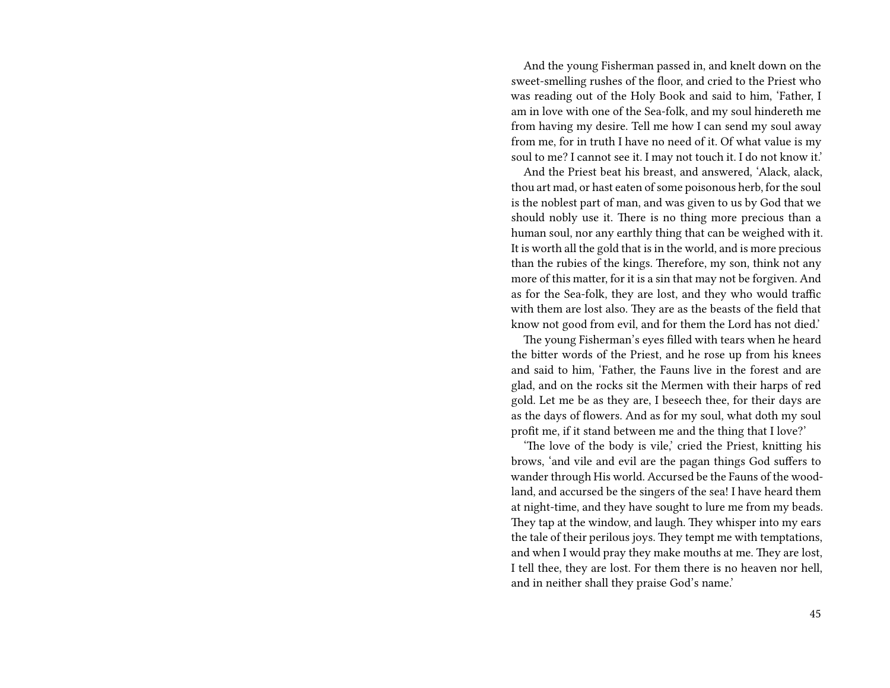And the young Fisherman passed in, and knelt down on the sweet-smelling rushes of the floor, and cried to the Priest who was reading out of the Holy Book and said to him, 'Father, I am in love with one of the Sea-folk, and my soul hindereth me from having my desire. Tell me how I can send my soul away from me, for in truth I have no need of it. Of what value is my soul to me? I cannot see it. I may not touch it. I do not know it.'

And the Priest beat his breast, and answered, 'Alack, alack, thou art mad, or hast eaten of some poisonous herb, for the soul is the noblest part of man, and was given to us by God that we should nobly use it. There is no thing more precious than a human soul, nor any earthly thing that can be weighed with it. It is worth all the gold that is in the world, and is more precious than the rubies of the kings. Therefore, my son, think not any more of this matter, for it is a sin that may not be forgiven. And as for the Sea-folk, they are lost, and they who would traffic with them are lost also. They are as the beasts of the field that know not good from evil, and for them the Lord has not died.'

The young Fisherman's eyes filled with tears when he heard the bitter words of the Priest, and he rose up from his knees and said to him, 'Father, the Fauns live in the forest and are glad, and on the rocks sit the Mermen with their harps of red gold. Let me be as they are, I beseech thee, for their days are as the days of flowers. And as for my soul, what doth my soul profit me, if it stand between me and the thing that I love?'

'The love of the body is vile,' cried the Priest, knitting his brows, 'and vile and evil are the pagan things God suffers to wander through His world. Accursed be the Fauns of the woodland, and accursed be the singers of the sea! I have heard them at night-time, and they have sought to lure me from my beads. They tap at the window, and laugh. They whisper into my ears the tale of their perilous joys. They tempt me with temptations, and when I would pray they make mouths at me. They are lost, I tell thee, they are lost. For them there is no heaven nor hell, and in neither shall they praise God's name.'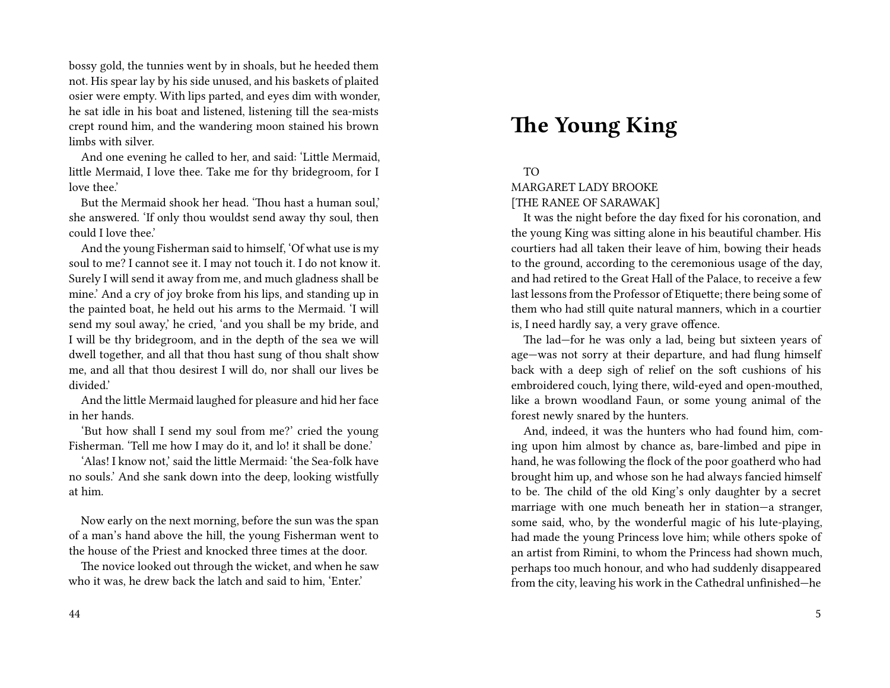bossy gold, the tunnies went by in shoals, but he heeded them not. His spear lay by his side unused, and his baskets of plaited osier were empty. With lips parted, and eyes dim with wonder, he sat idle in his boat and listened, listening till the sea-mists crept round him, and the wandering moon stained his brown limbs with silver.

And one evening he called to her, and said: 'Little Mermaid, little Mermaid, I love thee. Take me for thy bridegroom, for I love thee.'

But the Mermaid shook her head. 'Thou hast a human soul,' she answered. 'If only thou wouldst send away thy soul, then could I love thee.'

And the young Fisherman said to himself, 'Of what use is my soul to me? I cannot see it. I may not touch it. I do not know it. Surely I will send it away from me, and much gladness shall be mine.' And a cry of joy broke from his lips, and standing up in the painted boat, he held out his arms to the Mermaid. 'I will send my soul away,' he cried, 'and you shall be my bride, and I will be thy bridegroom, and in the depth of the sea we will dwell together, and all that thou hast sung of thou shalt show me, and all that thou desirest I will do, nor shall our lives be divided.'

And the little Mermaid laughed for pleasure and hid her face in her hands.

'But how shall I send my soul from me?' cried the young Fisherman. 'Tell me how I may do it, and lo! it shall be done.'

'Alas! I know not,' said the little Mermaid: 'the Sea-folk have no souls.' And she sank down into the deep, looking wistfully at him.

Now early on the next morning, before the sun was the span of a man's hand above the hill, the young Fisherman went to the house of the Priest and knocked three times at the door.

The novice looked out through the wicket, and when he saw who it was, he drew back the latch and said to him, 'Enter.'

# **The Young King**

TO

MARGARET LADY BROOKE [THE RANEE OF SARAWAK]

It was the night before the day fixed for his coronation, and the young King was sitting alone in his beautiful chamber. His courtiers had all taken their leave of him, bowing their heads to the ground, according to the ceremonious usage of the day, and had retired to the Great Hall of the Palace, to receive a few last lessons from the Professor of Etiquette; there being some of them who had still quite natural manners, which in a courtier is, I need hardly say, a very grave offence.

The lad—for he was only a lad, being but sixteen years of age—was not sorry at their departure, and had flung himself back with a deep sigh of relief on the soft cushions of his embroidered couch, lying there, wild-eyed and open-mouthed, like a brown woodland Faun, or some young animal of the forest newly snared by the hunters.

And, indeed, it was the hunters who had found him, coming upon him almost by chance as, bare-limbed and pipe in hand, he was following the flock of the poor goatherd who had brought him up, and whose son he had always fancied himself to be. The child of the old King's only daughter by a secret marriage with one much beneath her in station—a stranger, some said, who, by the wonderful magic of his lute-playing, had made the young Princess love him; while others spoke of an artist from Rimini, to whom the Princess had shown much, perhaps too much honour, and who had suddenly disappeared from the city, leaving his work in the Cathedral unfinished—he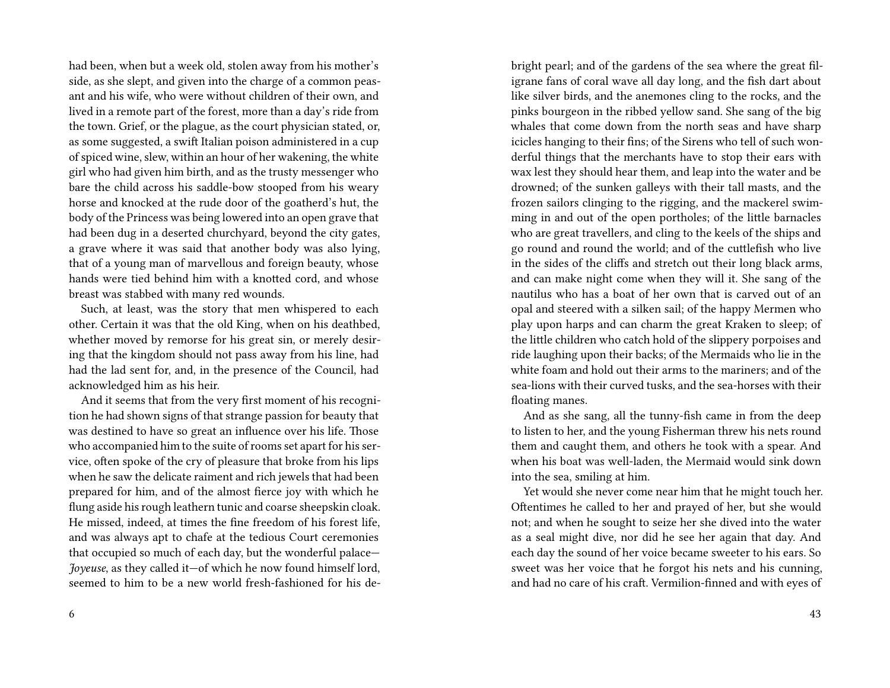had been, when but a week old, stolen away from his mother's side, as she slept, and given into the charge of a common peasant and his wife, who were without children of their own, and lived in a remote part of the forest, more than a day's ride from the town. Grief, or the plague, as the court physician stated, or, as some suggested, a swift Italian poison administered in a cup of spiced wine, slew, within an hour of her wakening, the white girl who had given him birth, and as the trusty messenger who bare the child across his saddle-bow stooped from his weary horse and knocked at the rude door of the goatherd's hut, the body of the Princess was being lowered into an open grave that had been dug in a deserted churchyard, beyond the city gates, a grave where it was said that another body was also lying, that of a young man of marvellous and foreign beauty, whose hands were tied behind him with a knotted cord, and whose breast was stabbed with many red wounds.

Such, at least, was the story that men whispered to each other. Certain it was that the old King, when on his deathbed, whether moved by remorse for his great sin, or merely desiring that the kingdom should not pass away from his line, had had the lad sent for, and, in the presence of the Council, had acknowledged him as his heir.

And it seems that from the very first moment of his recognition he had shown signs of that strange passion for beauty that was destined to have so great an influence over his life. Those who accompanied him to the suite of rooms set apart for his service, often spoke of the cry of pleasure that broke from his lips when he saw the delicate raiment and rich jewels that had been prepared for him, and of the almost fierce joy with which he flung aside his rough leathern tunic and coarse sheepskin cloak. He missed, indeed, at times the fine freedom of his forest life, and was always apt to chafe at the tedious Court ceremonies that occupied so much of each day, but the wonderful palace— *Joyeuse*, as they called it—of which he now found himself lord, seemed to him to be a new world fresh-fashioned for his de-

6

bright pearl; and of the gardens of the sea where the great filigrane fans of coral wave all day long, and the fish dart about like silver birds, and the anemones cling to the rocks, and the pinks bourgeon in the ribbed yellow sand. She sang of the big whales that come down from the north seas and have sharp icicles hanging to their fins; of the Sirens who tell of such wonderful things that the merchants have to stop their ears with wax lest they should hear them, and leap into the water and be drowned; of the sunken galleys with their tall masts, and the frozen sailors clinging to the rigging, and the mackerel swimming in and out of the open portholes; of the little barnacles who are great travellers, and cling to the keels of the ships and go round and round the world; and of the cuttlefish who live in the sides of the cliffs and stretch out their long black arms, and can make night come when they will it. She sang of the nautilus who has a boat of her own that is carved out of an opal and steered with a silken sail; of the happy Mermen who play upon harps and can charm the great Kraken to sleep; of the little children who catch hold of the slippery porpoises and ride laughing upon their backs; of the Mermaids who lie in the white foam and hold out their arms to the mariners; and of the sea-lions with their curved tusks, and the sea-horses with their floating manes.

And as she sang, all the tunny-fish came in from the deep to listen to her, and the young Fisherman threw his nets round them and caught them, and others he took with a spear. And when his boat was well-laden, the Mermaid would sink down into the sea, smiling at him.

Yet would she never come near him that he might touch her. Oftentimes he called to her and prayed of her, but she would not; and when he sought to seize her she dived into the water as a seal might dive, nor did he see her again that day. And each day the sound of her voice became sweeter to his ears. So sweet was her voice that he forgot his nets and his cunning, and had no care of his craft. Vermilion-finned and with eyes of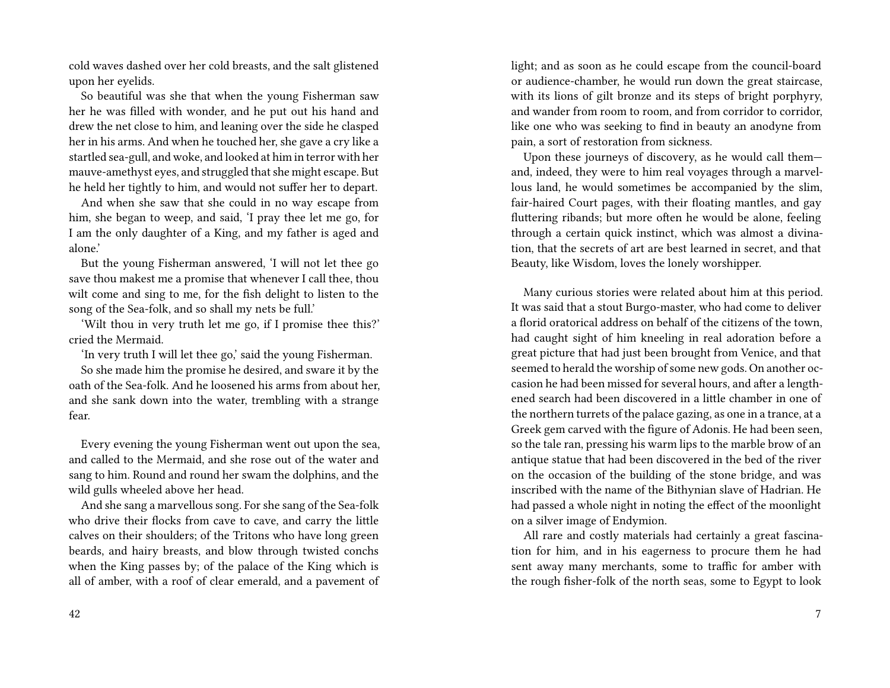cold waves dashed over her cold breasts, and the salt glistened upon her eyelids.

So beautiful was she that when the young Fisherman saw her he was filled with wonder, and he put out his hand and drew the net close to him, and leaning over the side he clasped her in his arms. And when he touched her, she gave a cry like a startled sea-gull, and woke, and looked at him in terror with her mauve-amethyst eyes, and struggled that she might escape. But he held her tightly to him, and would not suffer her to depart.

And when she saw that she could in no way escape from him, she began to weep, and said, 'I pray thee let me go, for I am the only daughter of a King, and my father is aged and alone.'

But the young Fisherman answered, 'I will not let thee go save thou makest me a promise that whenever I call thee, thou wilt come and sing to me, for the fish delight to listen to the song of the Sea-folk, and so shall my nets be full.'

'Wilt thou in very truth let me go, if I promise thee this?' cried the Mermaid.

'In very truth I will let thee go,' said the young Fisherman.

So she made him the promise he desired, and sware it by the oath of the Sea-folk. And he loosened his arms from about her, and she sank down into the water, trembling with a strange fear.

Every evening the young Fisherman went out upon the sea, and called to the Mermaid, and she rose out of the water and sang to him. Round and round her swam the dolphins, and the wild gulls wheeled above her head.

And she sang a marvellous song. For she sang of the Sea-folk who drive their flocks from cave to cave, and carry the little calves on their shoulders; of the Tritons who have long green beards, and hairy breasts, and blow through twisted conchs when the King passes by; of the palace of the King which is all of amber, with a roof of clear emerald, and a pavement of light; and as soon as he could escape from the council-board or audience-chamber, he would run down the great staircase, with its lions of gilt bronze and its steps of bright porphyry, and wander from room to room, and from corridor to corridor, like one who was seeking to find in beauty an anodyne from pain, a sort of restoration from sickness.

Upon these journeys of discovery, as he would call them and, indeed, they were to him real voyages through a marvellous land, he would sometimes be accompanied by the slim, fair-haired Court pages, with their floating mantles, and gay fluttering ribands; but more often he would be alone, feeling through a certain quick instinct, which was almost a divination, that the secrets of art are best learned in secret, and that Beauty, like Wisdom, loves the lonely worshipper.

Many curious stories were related about him at this period. It was said that a stout Burgo-master, who had come to deliver a florid oratorical address on behalf of the citizens of the town, had caught sight of him kneeling in real adoration before a great picture that had just been brought from Venice, and that seemed to herald the worship of some new gods. On another occasion he had been missed for several hours, and after a lengthened search had been discovered in a little chamber in one of the northern turrets of the palace gazing, as one in a trance, at a Greek gem carved with the figure of Adonis. He had been seen, so the tale ran, pressing his warm lips to the marble brow of an antique statue that had been discovered in the bed of the river on the occasion of the building of the stone bridge, and was inscribed with the name of the Bithynian slave of Hadrian. He had passed a whole night in noting the effect of the moonlight on a silver image of Endymion.

All rare and costly materials had certainly a great fascination for him, and in his eagerness to procure them he had sent away many merchants, some to traffic for amber with the rough fisher-folk of the north seas, some to Egypt to look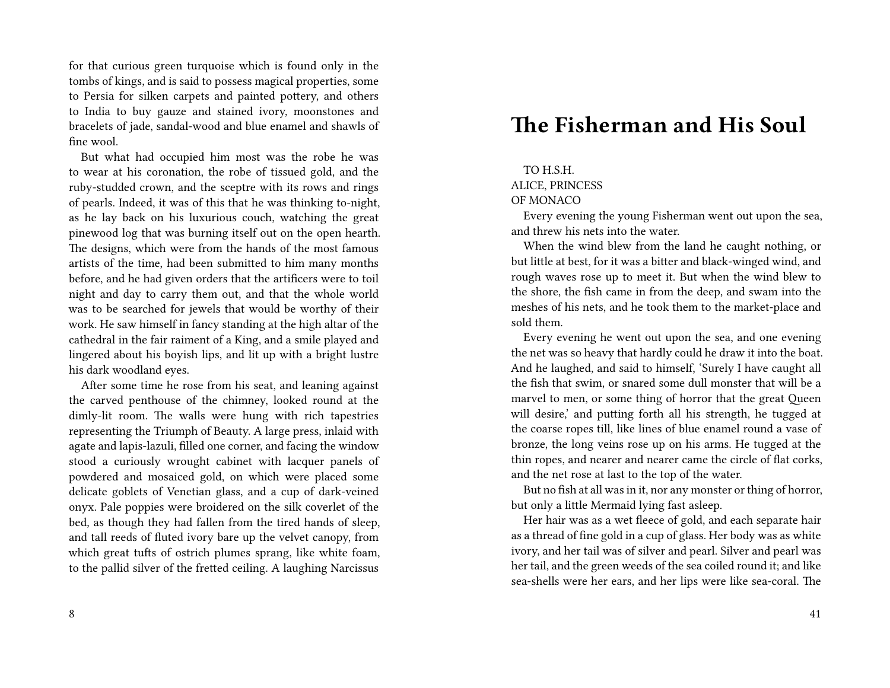for that curious green turquoise which is found only in the tombs of kings, and is said to possess magical properties, some to Persia for silken carpets and painted pottery, and others to India to buy gauze and stained ivory, moonstones and bracelets of jade, sandal-wood and blue enamel and shawls of fine wool.

But what had occupied him most was the robe he was to wear at his coronation, the robe of tissued gold, and the ruby-studded crown, and the sceptre with its rows and rings of pearls. Indeed, it was of this that he was thinking to-night, as he lay back on his luxurious couch, watching the great pinewood log that was burning itself out on the open hearth. The designs, which were from the hands of the most famous artists of the time, had been submitted to him many months before, and he had given orders that the artificers were to toil night and day to carry them out, and that the whole world was to be searched for jewels that would be worthy of their work. He saw himself in fancy standing at the high altar of the cathedral in the fair raiment of a King, and a smile played and lingered about his boyish lips, and lit up with a bright lustre his dark woodland eyes.

After some time he rose from his seat, and leaning against the carved penthouse of the chimney, looked round at the dimly-lit room. The walls were hung with rich tapestries representing the Triumph of Beauty. A large press, inlaid with agate and lapis-lazuli, filled one corner, and facing the window stood a curiously wrought cabinet with lacquer panels of powdered and mosaiced gold, on which were placed some delicate goblets of Venetian glass, and a cup of dark-veined onyx. Pale poppies were broidered on the silk coverlet of the bed, as though they had fallen from the tired hands of sleep, and tall reeds of fluted ivory bare up the velvet canopy, from which great tufts of ostrich plumes sprang, like white foam, to the pallid silver of the fretted ceiling. A laughing Narcissus

## **The Fisherman and His Soul**

#### TO H.S.H.

#### ALICE, PRINCESS

#### OF MONACO

Every evening the young Fisherman went out upon the sea, and threw his nets into the water.

When the wind blew from the land he caught nothing, or but little at best, for it was a bitter and black-winged wind, and rough waves rose up to meet it. But when the wind blew to the shore, the fish came in from the deep, and swam into the meshes of his nets, and he took them to the market-place and sold them.

Every evening he went out upon the sea, and one evening the net was so heavy that hardly could he draw it into the boat. And he laughed, and said to himself, 'Surely I have caught all the fish that swim, or snared some dull monster that will be a marvel to men, or some thing of horror that the great Queen will desire,' and putting forth all his strength, he tugged at the coarse ropes till, like lines of blue enamel round a vase of bronze, the long veins rose up on his arms. He tugged at the thin ropes, and nearer and nearer came the circle of flat corks, and the net rose at last to the top of the water.

But no fish at all was in it, nor any monster or thing of horror, but only a little Mermaid lying fast asleep.

Her hair was as a wet fleece of gold, and each separate hair as a thread of fine gold in a cup of glass. Her body was as white ivory, and her tail was of silver and pearl. Silver and pearl was her tail, and the green weeds of the sea coiled round it; and like sea-shells were her ears, and her lips were like sea-coral. The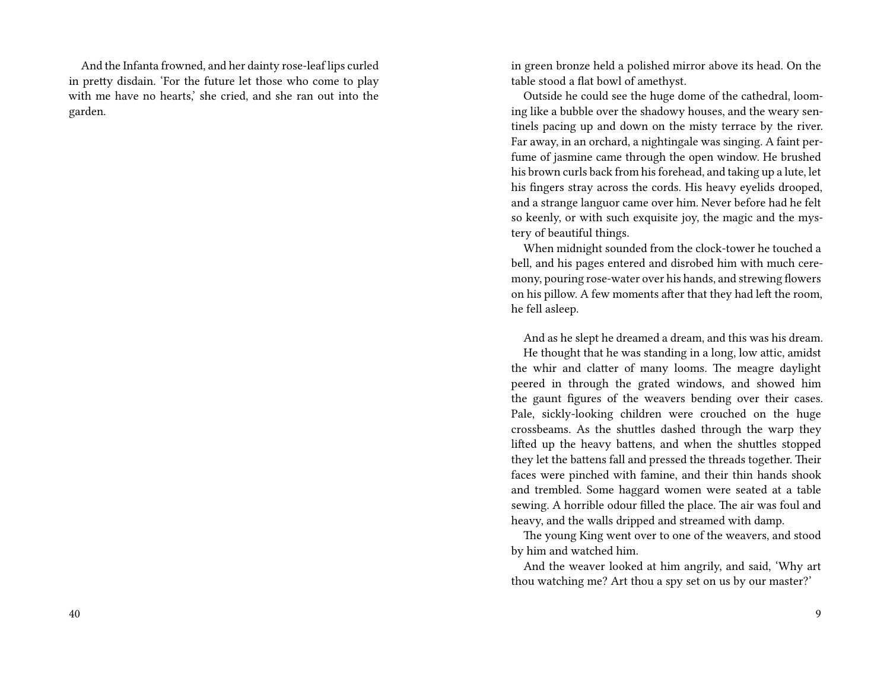And the Infanta frowned, and her dainty rose-leaf lips curled in pretty disdain. 'For the future let those who come to play with me have no hearts,' she cried, and she ran out into the garden.

in green bronze held a polished mirror above its head. On the table stood a flat bowl of amethyst.

Outside he could see the huge dome of the cathedral, looming like a bubble over the shadowy houses, and the weary sentinels pacing up and down on the misty terrace by the river. Far away, in an orchard, a nightingale was singing. A faint perfume of jasmine came through the open window. He brushed his brown curls back from his forehead, and taking up a lute, let his fingers stray across the cords. His heavy eyelids drooped, and a strange languor came over him. Never before had he felt so keenly, or with such exquisite joy, the magic and the mystery of beautiful things.

When midnight sounded from the clock-tower he touched a bell, and his pages entered and disrobed him with much ceremony, pouring rose-water over his hands, and strewing flowers on his pillow. A few moments after that they had left the room, he fell asleep.

And as he slept he dreamed a dream, and this was his dream. He thought that he was standing in a long, low attic, amidst the whir and clatter of many looms. The meagre daylight peered in through the grated windows, and showed him the gaunt figures of the weavers bending over their cases. Pale, sickly-looking children were crouched on the huge crossbeams. As the shuttles dashed through the warp they lifted up the heavy battens, and when the shuttles stopped they let the battens fall and pressed the threads together. Their faces were pinched with famine, and their thin hands shook and trembled. Some haggard women were seated at a table sewing. A horrible odour filled the place. The air was foul and heavy, and the walls dripped and streamed with damp.

The young King went over to one of the weavers, and stood by him and watched him.

And the weaver looked at him angrily, and said, 'Why art thou watching me? Art thou a spy set on us by our master?'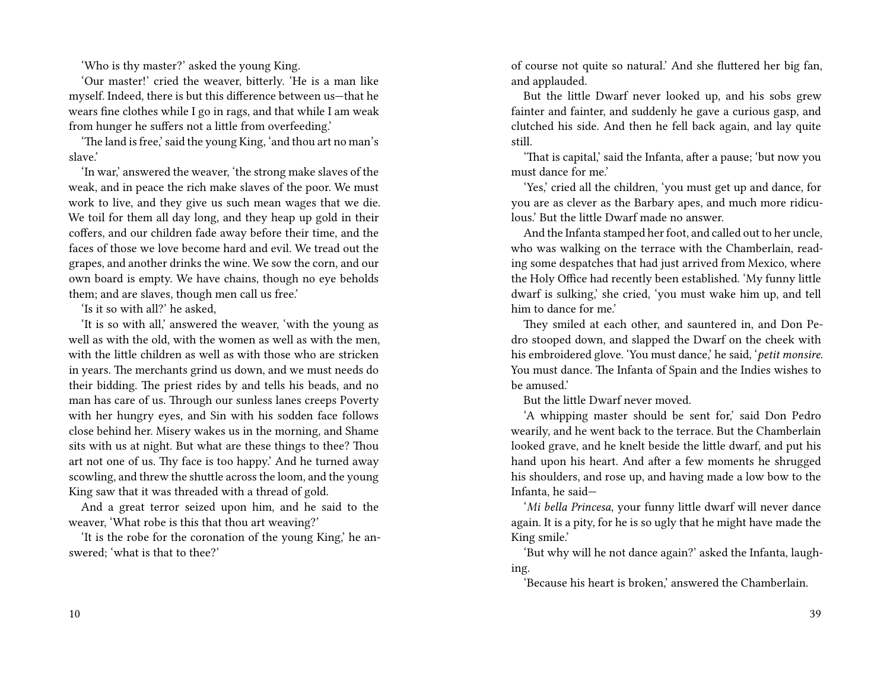'Who is thy master?' asked the young King.

'Our master!' cried the weaver, bitterly. 'He is a man like myself. Indeed, there is but this difference between us—that he wears fine clothes while I go in rags, and that while I am weak from hunger he suffers not a little from overfeeding.'

'The land is free,' said the young King, 'and thou art no man's slave.'

'In war,' answered the weaver, 'the strong make slaves of the weak, and in peace the rich make slaves of the poor. We must work to live, and they give us such mean wages that we die. We toil for them all day long, and they heap up gold in their coffers, and our children fade away before their time, and the faces of those we love become hard and evil. We tread out the grapes, and another drinks the wine. We sow the corn, and our own board is empty. We have chains, though no eye beholds them; and are slaves, though men call us free.'

'Is it so with all?' he asked,

'It is so with all,' answered the weaver, 'with the young as well as with the old, with the women as well as with the men, with the little children as well as with those who are stricken in years. The merchants grind us down, and we must needs do their bidding. The priest rides by and tells his beads, and no man has care of us. Through our sunless lanes creeps Poverty with her hungry eyes, and Sin with his sodden face follows close behind her. Misery wakes us in the morning, and Shame sits with us at night. But what are these things to thee? Thou art not one of us. Thy face is too happy.' And he turned away scowling, and threw the shuttle across the loom, and the young King saw that it was threaded with a thread of gold.

And a great terror seized upon him, and he said to the weaver, 'What robe is this that thou art weaving?'

'It is the robe for the coronation of the young King,' he answered; 'what is that to thee?'

of course not quite so natural.' And she fluttered her big fan, and applauded.

But the little Dwarf never looked up, and his sobs grew fainter and fainter, and suddenly he gave a curious gasp, and clutched his side. And then he fell back again, and lay quite still.

'That is capital,' said the Infanta, after a pause; 'but now you must dance for me.'

'Yes,' cried all the children, 'you must get up and dance, for you are as clever as the Barbary apes, and much more ridiculous.' But the little Dwarf made no answer.

And the Infanta stamped her foot, and called out to her uncle, who was walking on the terrace with the Chamberlain, reading some despatches that had just arrived from Mexico, where the Holy Office had recently been established. 'My funny little dwarf is sulking,' she cried, 'you must wake him up, and tell him to dance for me.'

They smiled at each other, and sauntered in, and Don Pedro stooped down, and slapped the Dwarf on the cheek with his embroidered glove. 'You must dance,' he said, '*petit monsire*. You must dance. The Infanta of Spain and the Indies wishes to be amused.'

But the little Dwarf never moved.

'A whipping master should be sent for,' said Don Pedro wearily, and he went back to the terrace. But the Chamberlain looked grave, and he knelt beside the little dwarf, and put his hand upon his heart. And after a few moments he shrugged his shoulders, and rose up, and having made a low bow to the Infanta, he said—

'*Mi bella Princesa*, your funny little dwarf will never dance again. It is a pity, for he is so ugly that he might have made the King smile.'

'But why will he not dance again?' asked the Infanta, laughing.

'Because his heart is broken,' answered the Chamberlain.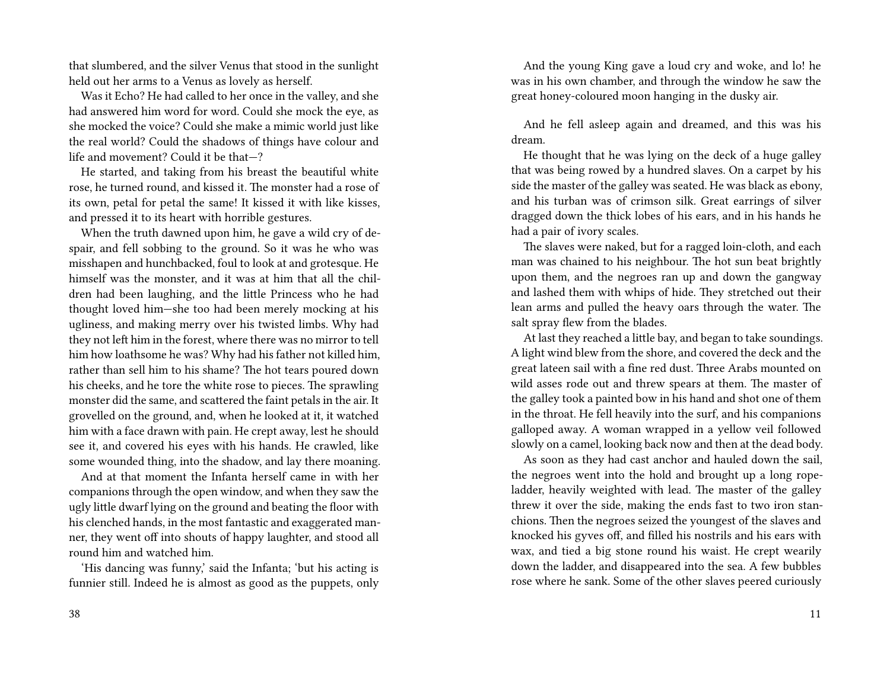that slumbered, and the silver Venus that stood in the sunlight held out her arms to a Venus as lovely as herself.

Was it Echo? He had called to her once in the valley, and she had answered him word for word. Could she mock the eye, as she mocked the voice? Could she make a mimic world just like the real world? Could the shadows of things have colour and life and movement? Could it be that—?

He started, and taking from his breast the beautiful white rose, he turned round, and kissed it. The monster had a rose of its own, petal for petal the same! It kissed it with like kisses, and pressed it to its heart with horrible gestures.

When the truth dawned upon him, he gave a wild cry of despair, and fell sobbing to the ground. So it was he who was misshapen and hunchbacked, foul to look at and grotesque. He himself was the monster, and it was at him that all the children had been laughing, and the little Princess who he had thought loved him—she too had been merely mocking at his ugliness, and making merry over his twisted limbs. Why had they not left him in the forest, where there was no mirror to tell him how loathsome he was? Why had his father not killed him, rather than sell him to his shame? The hot tears poured down his cheeks, and he tore the white rose to pieces. The sprawling monster did the same, and scattered the faint petals in the air. It grovelled on the ground, and, when he looked at it, it watched him with a face drawn with pain. He crept away, lest he should see it, and covered his eyes with his hands. He crawled, like some wounded thing, into the shadow, and lay there moaning.

And at that moment the Infanta herself came in with her companions through the open window, and when they saw the ugly little dwarf lying on the ground and beating the floor with his clenched hands, in the most fantastic and exaggerated manner, they went off into shouts of happy laughter, and stood all round him and watched him.

'His dancing was funny,' said the Infanta; 'but his acting is funnier still. Indeed he is almost as good as the puppets, only

And the young King gave a loud cry and woke, and lo! he was in his own chamber, and through the window he saw the great honey-coloured moon hanging in the dusky air.

And he fell asleep again and dreamed, and this was his dream.

He thought that he was lying on the deck of a huge galley that was being rowed by a hundred slaves. On a carpet by his side the master of the galley was seated. He was black as ebony, and his turban was of crimson silk. Great earrings of silver dragged down the thick lobes of his ears, and in his hands he had a pair of ivory scales.

The slaves were naked, but for a ragged loin-cloth, and each man was chained to his neighbour. The hot sun beat brightly upon them, and the negroes ran up and down the gangway and lashed them with whips of hide. They stretched out their lean arms and pulled the heavy oars through the water. The salt spray flew from the blades.

At last they reached a little bay, and began to take soundings. A light wind blew from the shore, and covered the deck and the great lateen sail with a fine red dust. Three Arabs mounted on wild asses rode out and threw spears at them. The master of the galley took a painted bow in his hand and shot one of them in the throat. He fell heavily into the surf, and his companions galloped away. A woman wrapped in a yellow veil followed slowly on a camel, looking back now and then at the dead body.

As soon as they had cast anchor and hauled down the sail, the negroes went into the hold and brought up a long ropeladder, heavily weighted with lead. The master of the galley threw it over the side, making the ends fast to two iron stanchions. Then the negroes seized the youngest of the slaves and knocked his gyves off, and filled his nostrils and his ears with wax, and tied a big stone round his waist. He crept wearily down the ladder, and disappeared into the sea. A few bubbles rose where he sank. Some of the other slaves peered curiously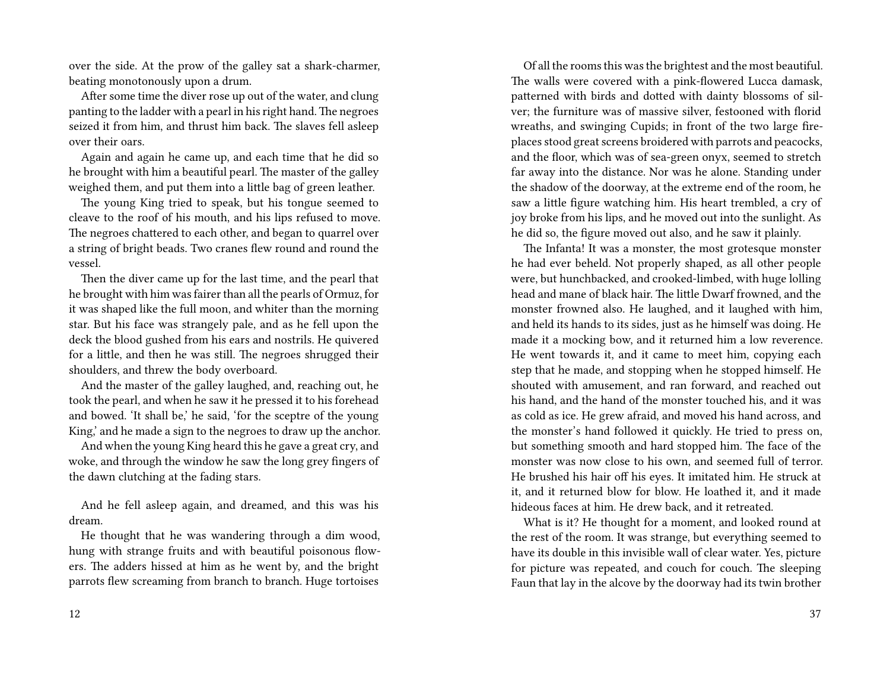over the side. At the prow of the galley sat a shark-charmer, beating monotonously upon a drum.

After some time the diver rose up out of the water, and clung panting to the ladder with a pearl in his right hand. The negroes seized it from him, and thrust him back. The slaves fell asleep over their oars.

Again and again he came up, and each time that he did so he brought with him a beautiful pearl. The master of the galley weighed them, and put them into a little bag of green leather.

The young King tried to speak, but his tongue seemed to cleave to the roof of his mouth, and his lips refused to move. The negroes chattered to each other, and began to quarrel over a string of bright beads. Two cranes flew round and round the vessel.

Then the diver came up for the last time, and the pearl that he brought with him was fairer than all the pearls of Ormuz, for it was shaped like the full moon, and whiter than the morning star. But his face was strangely pale, and as he fell upon the deck the blood gushed from his ears and nostrils. He quivered for a little, and then he was still. The negroes shrugged their shoulders, and threw the body overboard.

And the master of the galley laughed, and, reaching out, he took the pearl, and when he saw it he pressed it to his forehead and bowed. 'It shall be,' he said, 'for the sceptre of the young King,' and he made a sign to the negroes to draw up the anchor.

And when the young King heard this he gave a great cry, and woke, and through the window he saw the long grey fingers of the dawn clutching at the fading stars.

And he fell asleep again, and dreamed, and this was his dream.

He thought that he was wandering through a dim wood, hung with strange fruits and with beautiful poisonous flowers. The adders hissed at him as he went by, and the bright parrots flew screaming from branch to branch. Huge tortoises

Of all the rooms this was the brightest and the most beautiful. The walls were covered with a pink-flowered Lucca damask, patterned with birds and dotted with dainty blossoms of silver; the furniture was of massive silver, festooned with florid wreaths, and swinging Cupids; in front of the two large fireplaces stood great screens broidered with parrots and peacocks, and the floor, which was of sea-green onyx, seemed to stretch far away into the distance. Nor was he alone. Standing under the shadow of the doorway, at the extreme end of the room, he saw a little figure watching him. His heart trembled, a cry of joy broke from his lips, and he moved out into the sunlight. As he did so, the figure moved out also, and he saw it plainly.

The Infanta! It was a monster, the most grotesque monster he had ever beheld. Not properly shaped, as all other people were, but hunchbacked, and crooked-limbed, with huge lolling head and mane of black hair. The little Dwarf frowned, and the monster frowned also. He laughed, and it laughed with him, and held its hands to its sides, just as he himself was doing. He made it a mocking bow, and it returned him a low reverence. He went towards it, and it came to meet him, copying each step that he made, and stopping when he stopped himself. He shouted with amusement, and ran forward, and reached out his hand, and the hand of the monster touched his, and it was as cold as ice. He grew afraid, and moved his hand across, and the monster's hand followed it quickly. He tried to press on, but something smooth and hard stopped him. The face of the monster was now close to his own, and seemed full of terror. He brushed his hair off his eyes. It imitated him. He struck at it, and it returned blow for blow. He loathed it, and it made hideous faces at him. He drew back, and it retreated.

What is it? He thought for a moment, and looked round at the rest of the room. It was strange, but everything seemed to have its double in this invisible wall of clear water. Yes, picture for picture was repeated, and couch for couch. The sleeping Faun that lay in the alcove by the doorway had its twin brother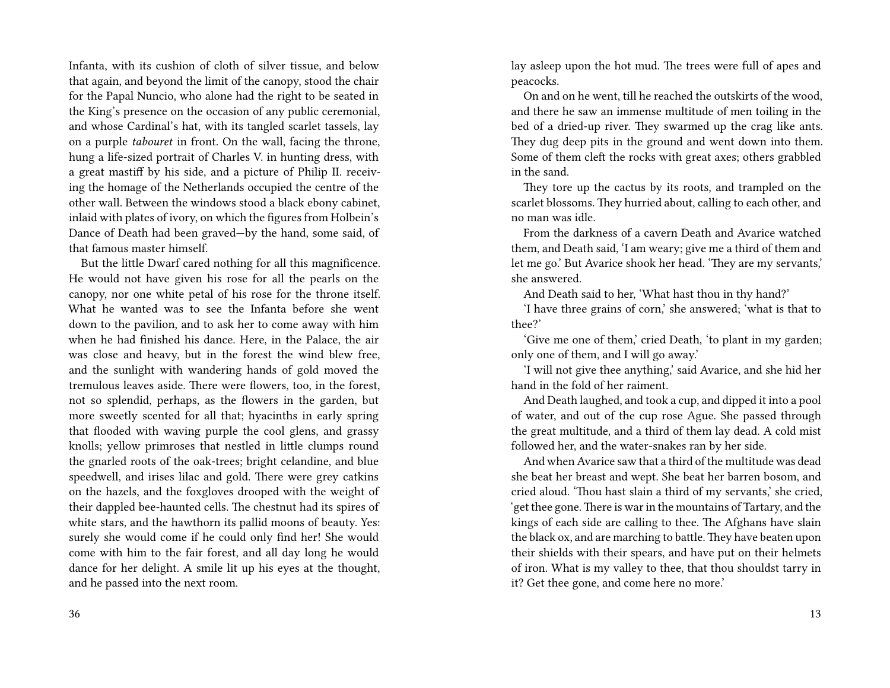Infanta, with its cushion of cloth of silver tissue, and below that again, and beyond the limit of the canopy, stood the chair for the Papal Nuncio, who alone had the right to be seated in the King's presence on the occasion of any public ceremonial, and whose Cardinal's hat, with its tangled scarlet tassels, lay on a purple *tabouret* in front. On the wall, facing the throne, hung a life-sized portrait of Charles V. in hunting dress, with a great mastiff by his side, and a picture of Philip II. receiving the homage of the Netherlands occupied the centre of the other wall. Between the windows stood a black ebony cabinet, inlaid with plates of ivory, on which the figures from Holbein's Dance of Death had been graved—by the hand, some said, of that famous master himself.

But the little Dwarf cared nothing for all this magnificence. He would not have given his rose for all the pearls on the canopy, nor one white petal of his rose for the throne itself. What he wanted was to see the Infanta before she went down to the pavilion, and to ask her to come away with him when he had finished his dance. Here, in the Palace, the air was close and heavy, but in the forest the wind blew free, and the sunlight with wandering hands of gold moved the tremulous leaves aside. There were flowers, too, in the forest, not so splendid, perhaps, as the flowers in the garden, but more sweetly scented for all that; hyacinths in early spring that flooded with waving purple the cool glens, and grassy knolls; yellow primroses that nestled in little clumps round the gnarled roots of the oak-trees; bright celandine, and blue speedwell, and irises lilac and gold. There were grey catkins on the hazels, and the foxgloves drooped with the weight of their dappled bee-haunted cells. The chestnut had its spires of white stars, and the hawthorn its pallid moons of beauty. Yes: surely she would come if he could only find her! She would come with him to the fair forest, and all day long he would dance for her delight. A smile lit up his eyes at the thought, and he passed into the next room.

lay asleep upon the hot mud. The trees were full of apes and peacocks.

On and on he went, till he reached the outskirts of the wood, and there he saw an immense multitude of men toiling in the bed of a dried-up river. They swarmed up the crag like ants. They dug deep pits in the ground and went down into them. Some of them cleft the rocks with great axes; others grabbled in the sand.

They tore up the cactus by its roots, and trampled on the scarlet blossoms. They hurried about, calling to each other, and no man was idle.

From the darkness of a cavern Death and Avarice watched them, and Death said, 'I am weary; give me a third of them and let me go.' But Avarice shook her head. 'They are my servants,' she answered.

And Death said to her, 'What hast thou in thy hand?'

'I have three grains of corn,' she answered; 'what is that to thee?'

'Give me one of them,' cried Death, 'to plant in my garden; only one of them, and I will go away.'

'I will not give thee anything,' said Avarice, and she hid her hand in the fold of her raiment.

And Death laughed, and took a cup, and dipped it into a pool of water, and out of the cup rose Ague. She passed through the great multitude, and a third of them lay dead. A cold mist followed her, and the water-snakes ran by her side.

And when Avarice saw that a third of the multitude was dead she beat her breast and wept. She beat her barren bosom, and cried aloud. 'Thou hast slain a third of my servants,' she cried, 'get thee gone.There is war in the mountains of Tartary, and the kings of each side are calling to thee. The Afghans have slain the black ox, and are marching to battle.They have beaten upon their shields with their spears, and have put on their helmets of iron. What is my valley to thee, that thou shouldst tarry in it? Get thee gone, and come here no more.'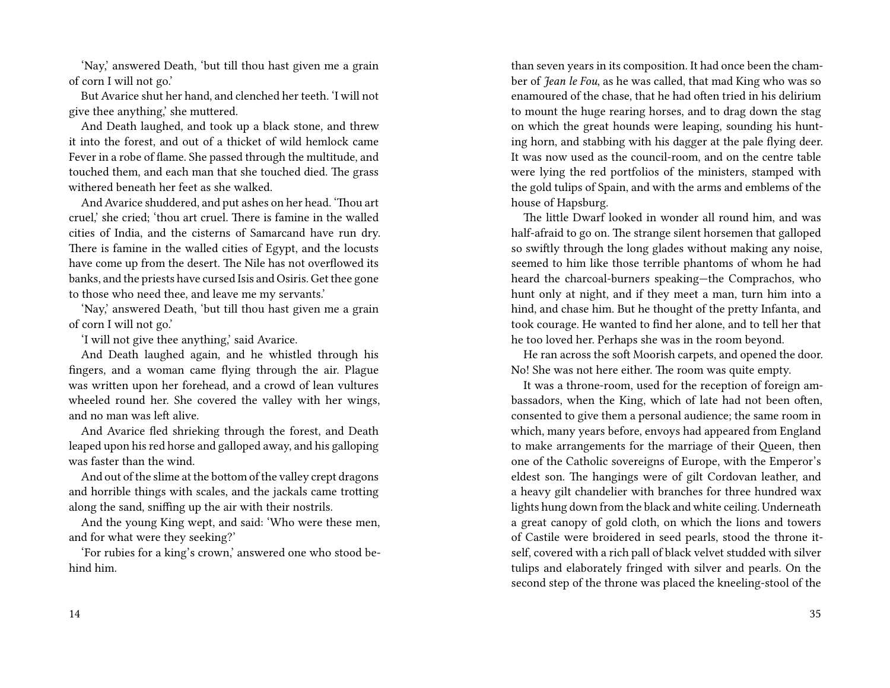'Nay,' answered Death, 'but till thou hast given me a grain of corn I will not go.'

But Avarice shut her hand, and clenched her teeth. 'I will not give thee anything,' she muttered.

And Death laughed, and took up a black stone, and threw it into the forest, and out of a thicket of wild hemlock came Fever in a robe of flame. She passed through the multitude, and touched them, and each man that she touched died. The grass withered beneath her feet as she walked.

And Avarice shuddered, and put ashes on her head. 'Thou art cruel,' she cried; 'thou art cruel. There is famine in the walled cities of India, and the cisterns of Samarcand have run dry. There is famine in the walled cities of Egypt, and the locusts have come up from the desert. The Nile has not overflowed its banks, and the priests have cursed Isis and Osiris. Get thee gone to those who need thee, and leave me my servants.'

'Nay,' answered Death, 'but till thou hast given me a grain of corn I will not go.'

'I will not give thee anything,' said Avarice.

And Death laughed again, and he whistled through his fingers, and a woman came flying through the air. Plague was written upon her forehead, and a crowd of lean vultures wheeled round her. She covered the valley with her wings, and no man was left alive.

And Avarice fled shrieking through the forest, and Death leaped upon his red horse and galloped away, and his galloping was faster than the wind.

And out of the slime at the bottom of the valley crept dragons and horrible things with scales, and the jackals came trotting along the sand, sniffing up the air with their nostrils.

And the young King wept, and said: 'Who were these men, and for what were they seeking?'

'For rubies for a king's crown,' answered one who stood behind him.

than seven years in its composition. It had once been the chamber of *Jean le Fou*, as he was called, that mad King who was so enamoured of the chase, that he had often tried in his delirium to mount the huge rearing horses, and to drag down the stag on which the great hounds were leaping, sounding his hunting horn, and stabbing with his dagger at the pale flying deer. It was now used as the council-room, and on the centre table were lying the red portfolios of the ministers, stamped with the gold tulips of Spain, and with the arms and emblems of the house of Hapsburg.

The little Dwarf looked in wonder all round him, and was half-afraid to go on. The strange silent horsemen that galloped so swiftly through the long glades without making any noise, seemed to him like those terrible phantoms of whom he had heard the charcoal-burners speaking—the Comprachos, who hunt only at night, and if they meet a man, turn him into a hind, and chase him. But he thought of the pretty Infanta, and took courage. He wanted to find her alone, and to tell her that he too loved her. Perhaps she was in the room beyond.

He ran across the soft Moorish carpets, and opened the door. No! She was not here either. The room was quite empty.

It was a throne-room, used for the reception of foreign ambassadors, when the King, which of late had not been often, consented to give them a personal audience; the same room in which, many years before, envoys had appeared from England to make arrangements for the marriage of their Queen, then one of the Catholic sovereigns of Europe, with the Emperor's eldest son. The hangings were of gilt Cordovan leather, and a heavy gilt chandelier with branches for three hundred wax lights hung down from the black and white ceiling. Underneath a great canopy of gold cloth, on which the lions and towers of Castile were broidered in seed pearls, stood the throne itself, covered with a rich pall of black velvet studded with silver tulips and elaborately fringed with silver and pearls. On the second step of the throne was placed the kneeling-stool of the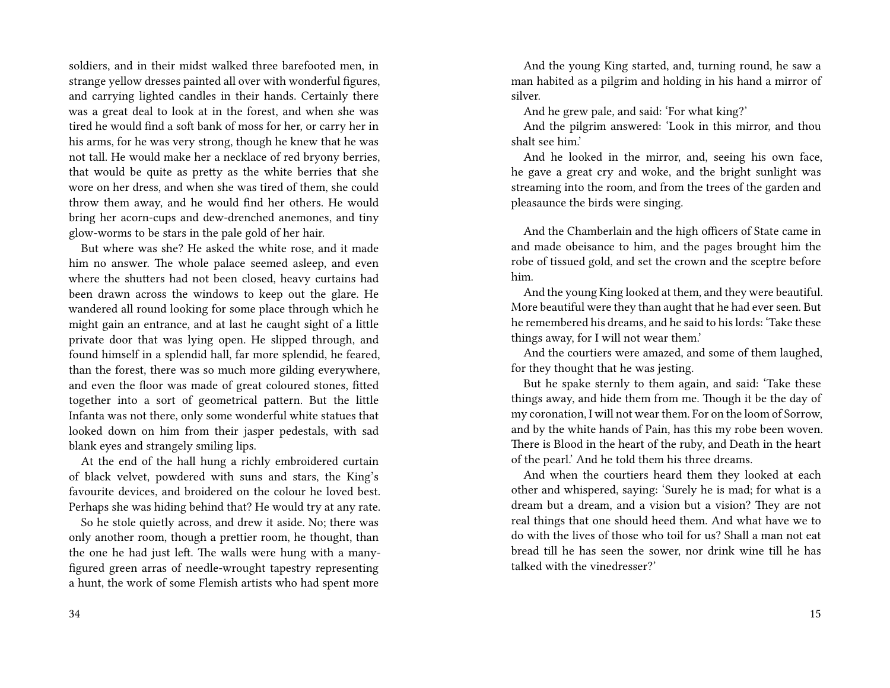soldiers, and in their midst walked three barefooted men, in strange yellow dresses painted all over with wonderful figures, and carrying lighted candles in their hands. Certainly there was a great deal to look at in the forest, and when she was tired he would find a soft bank of moss for her, or carry her in his arms, for he was very strong, though he knew that he was not tall. He would make her a necklace of red bryony berries, that would be quite as pretty as the white berries that she wore on her dress, and when she was tired of them, she could throw them away, and he would find her others. He would bring her acorn-cups and dew-drenched anemones, and tiny glow-worms to be stars in the pale gold of her hair.

But where was she? He asked the white rose, and it made him no answer. The whole palace seemed asleep, and even where the shutters had not been closed, heavy curtains had been drawn across the windows to keep out the glare. He wandered all round looking for some place through which he might gain an entrance, and at last he caught sight of a little private door that was lying open. He slipped through, and found himself in a splendid hall, far more splendid, he feared, than the forest, there was so much more gilding everywhere, and even the floor was made of great coloured stones, fitted together into a sort of geometrical pattern. But the little Infanta was not there, only some wonderful white statues that looked down on him from their jasper pedestals, with sad blank eyes and strangely smiling lips.

At the end of the hall hung a richly embroidered curtain of black velvet, powdered with suns and stars, the King's favourite devices, and broidered on the colour he loved best. Perhaps she was hiding behind that? He would try at any rate.

So he stole quietly across, and drew it aside. No; there was only another room, though a prettier room, he thought, than the one he had just left. The walls were hung with a manyfigured green arras of needle-wrought tapestry representing a hunt, the work of some Flemish artists who had spent more

And the young King started, and, turning round, he saw a man habited as a pilgrim and holding in his hand a mirror of silver.

And he grew pale, and said: 'For what king?'

And the pilgrim answered: 'Look in this mirror, and thou shalt see him.'

And he looked in the mirror, and, seeing his own face, he gave a great cry and woke, and the bright sunlight was streaming into the room, and from the trees of the garden and pleasaunce the birds were singing.

And the Chamberlain and the high officers of State came in and made obeisance to him, and the pages brought him the robe of tissued gold, and set the crown and the sceptre before him.

And the young King looked at them, and they were beautiful. More beautiful were they than aught that he had ever seen. But he remembered his dreams, and he said to his lords: 'Take these things away, for I will not wear them.'

And the courtiers were amazed, and some of them laughed, for they thought that he was jesting.

But he spake sternly to them again, and said: 'Take these things away, and hide them from me. Though it be the day of my coronation, I will not wear them. For on the loom of Sorrow, and by the white hands of Pain, has this my robe been woven. There is Blood in the heart of the ruby, and Death in the heart of the pearl.' And he told them his three dreams.

And when the courtiers heard them they looked at each other and whispered, saying: 'Surely he is mad; for what is a dream but a dream, and a vision but a vision? They are not real things that one should heed them. And what have we to do with the lives of those who toil for us? Shall a man not eat bread till he has seen the sower, nor drink wine till he has talked with the vinedresser?'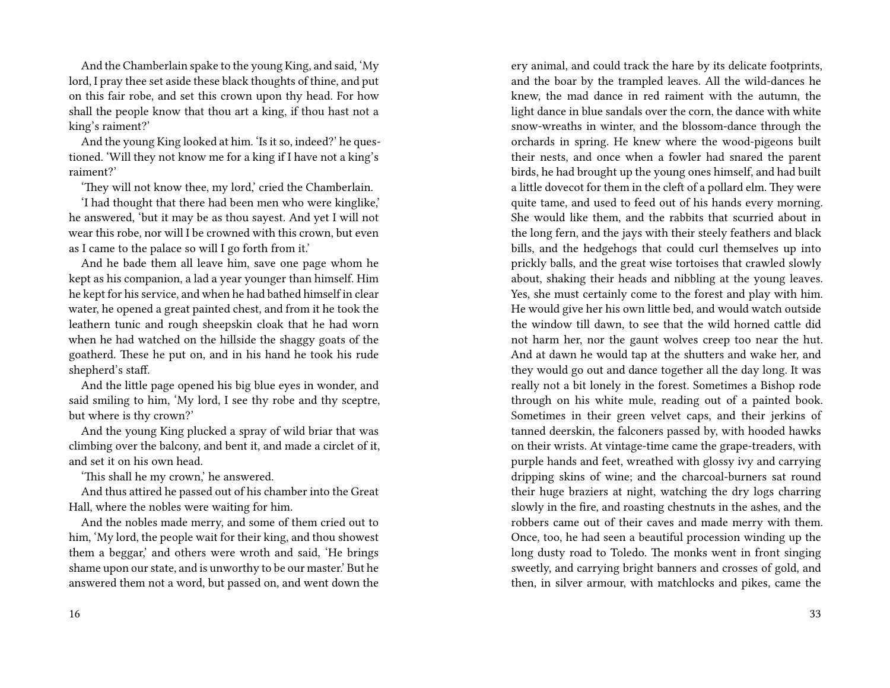And the Chamberlain spake to the young King, and said, 'My lord, I pray thee set aside these black thoughts of thine, and put on this fair robe, and set this crown upon thy head. For how shall the people know that thou art a king, if thou hast not a king's raiment?'

And the young King looked at him. 'Is it so, indeed?' he questioned. 'Will they not know me for a king if I have not a king's raiment?'

'They will not know thee, my lord,' cried the Chamberlain.

'I had thought that there had been men who were kinglike,' he answered, 'but it may be as thou sayest. And yet I will not wear this robe, nor will I be crowned with this crown, but even as I came to the palace so will I go forth from it.'

And he bade them all leave him, save one page whom he kept as his companion, a lad a year younger than himself. Him he kept for his service, and when he had bathed himself in clear water, he opened a great painted chest, and from it he took the leathern tunic and rough sheepskin cloak that he had worn when he had watched on the hillside the shaggy goats of the goatherd. These he put on, and in his hand he took his rude shepherd's staff.

And the little page opened his big blue eyes in wonder, and said smiling to him, 'My lord, I see thy robe and thy sceptre, but where is thy crown?'

And the young King plucked a spray of wild briar that was climbing over the balcony, and bent it, and made a circlet of it, and set it on his own head.

'This shall he my crown,' he answered.

And thus attired he passed out of his chamber into the Great Hall, where the nobles were waiting for him.

And the nobles made merry, and some of them cried out to him, 'My lord, the people wait for their king, and thou showest them a beggar,' and others were wroth and said, 'He brings shame upon our state, and is unworthy to be our master.' But he answered them not a word, but passed on, and went down the ery animal, and could track the hare by its delicate footprints, and the boar by the trampled leaves. All the wild-dances he knew, the mad dance in red raiment with the autumn, the light dance in blue sandals over the corn, the dance with white snow-wreaths in winter, and the blossom-dance through the orchards in spring. He knew where the wood-pigeons built their nests, and once when a fowler had snared the parent birds, he had brought up the young ones himself, and had built a little dovecot for them in the cleft of a pollard elm. They were quite tame, and used to feed out of his hands every morning. She would like them, and the rabbits that scurried about in the long fern, and the jays with their steely feathers and black bills, and the hedgehogs that could curl themselves up into prickly balls, and the great wise tortoises that crawled slowly about, shaking their heads and nibbling at the young leaves. Yes, she must certainly come to the forest and play with him. He would give her his own little bed, and would watch outside the window till dawn, to see that the wild horned cattle did not harm her, nor the gaunt wolves creep too near the hut. And at dawn he would tap at the shutters and wake her, and they would go out and dance together all the day long. It was really not a bit lonely in the forest. Sometimes a Bishop rode through on his white mule, reading out of a painted book. Sometimes in their green velvet caps, and their jerkins of tanned deerskin, the falconers passed by, with hooded hawks on their wrists. At vintage-time came the grape-treaders, with purple hands and feet, wreathed with glossy ivy and carrying dripping skins of wine; and the charcoal-burners sat round their huge braziers at night, watching the dry logs charring slowly in the fire, and roasting chestnuts in the ashes, and the robbers came out of their caves and made merry with them. Once, too, he had seen a beautiful procession winding up the long dusty road to Toledo. The monks went in front singing sweetly, and carrying bright banners and crosses of gold, and then, in silver armour, with matchlocks and pikes, came the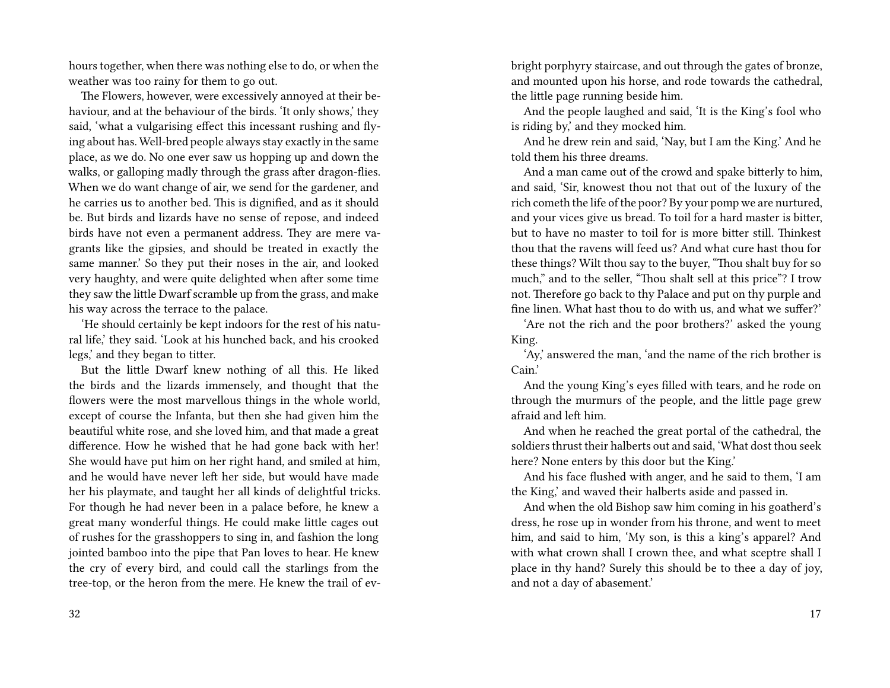hours together, when there was nothing else to do, or when the weather was too rainy for them to go out.

The Flowers, however, were excessively annoyed at their behaviour, and at the behaviour of the birds. 'It only shows,' they said, 'what a vulgarising effect this incessant rushing and flying about has. Well-bred people always stay exactly in the same place, as we do. No one ever saw us hopping up and down the walks, or galloping madly through the grass after dragon-flies. When we do want change of air, we send for the gardener, and he carries us to another bed. This is dignified, and as it should be. But birds and lizards have no sense of repose, and indeed birds have not even a permanent address. They are mere vagrants like the gipsies, and should be treated in exactly the same manner.' So they put their noses in the air, and looked very haughty, and were quite delighted when after some time they saw the little Dwarf scramble up from the grass, and make his way across the terrace to the palace.

'He should certainly be kept indoors for the rest of his natural life,' they said. 'Look at his hunched back, and his crooked legs,' and they began to titter.

But the little Dwarf knew nothing of all this. He liked the birds and the lizards immensely, and thought that the flowers were the most marvellous things in the whole world, except of course the Infanta, but then she had given him the beautiful white rose, and she loved him, and that made a great difference. How he wished that he had gone back with her! She would have put him on her right hand, and smiled at him, and he would have never left her side, but would have made her his playmate, and taught her all kinds of delightful tricks. For though he had never been in a palace before, he knew a great many wonderful things. He could make little cages out of rushes for the grasshoppers to sing in, and fashion the long jointed bamboo into the pipe that Pan loves to hear. He knew the cry of every bird, and could call the starlings from the tree-top, or the heron from the mere. He knew the trail of evbright porphyry staircase, and out through the gates of bronze, and mounted upon his horse, and rode towards the cathedral, the little page running beside him.

And the people laughed and said, 'It is the King's fool who is riding by,' and they mocked him.

And he drew rein and said, 'Nay, but I am the King.' And he told them his three dreams.

And a man came out of the crowd and spake bitterly to him, and said, 'Sir, knowest thou not that out of the luxury of the rich cometh the life of the poor? By your pomp we are nurtured, and your vices give us bread. To toil for a hard master is bitter, but to have no master to toil for is more bitter still. Thinkest thou that the ravens will feed us? And what cure hast thou for these things? Wilt thou say to the buyer, "Thou shalt buy for so much," and to the seller, "Thou shalt sell at this price"? I trow not. Therefore go back to thy Palace and put on thy purple and fine linen. What hast thou to do with us, and what we suffer?'

'Are not the rich and the poor brothers?' asked the young King.

'Ay,' answered the man, 'and the name of the rich brother is Cain.'

And the young King's eyes filled with tears, and he rode on through the murmurs of the people, and the little page grew afraid and left him.

And when he reached the great portal of the cathedral, the soldiers thrust their halberts out and said, 'What dost thou seek here? None enters by this door but the King.'

And his face flushed with anger, and he said to them, 'I am the King,' and waved their halberts aside and passed in.

And when the old Bishop saw him coming in his goatherd's dress, he rose up in wonder from his throne, and went to meet him, and said to him, 'My son, is this a king's apparel? And with what crown shall I crown thee, and what sceptre shall I place in thy hand? Surely this should be to thee a day of joy, and not a day of abasement.'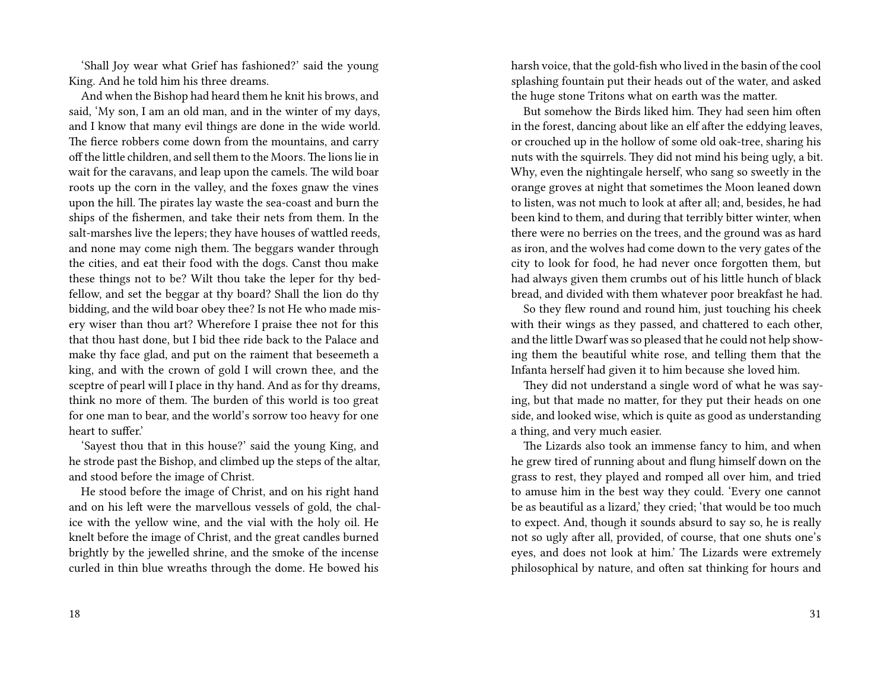'Shall Joy wear what Grief has fashioned?' said the young King. And he told him his three dreams.

And when the Bishop had heard them he knit his brows, and said, 'My son, I am an old man, and in the winter of my days, and I know that many evil things are done in the wide world. The fierce robbers come down from the mountains, and carry off the little children, and sell them to the Moors. The lions lie in wait for the caravans, and leap upon the camels. The wild boar roots up the corn in the valley, and the foxes gnaw the vines upon the hill. The pirates lay waste the sea-coast and burn the ships of the fishermen, and take their nets from them. In the salt-marshes live the lepers; they have houses of wattled reeds, and none may come nigh them. The beggars wander through the cities, and eat their food with the dogs. Canst thou make these things not to be? Wilt thou take the leper for thy bedfellow, and set the beggar at thy board? Shall the lion do thy bidding, and the wild boar obey thee? Is not He who made misery wiser than thou art? Wherefore I praise thee not for this that thou hast done, but I bid thee ride back to the Palace and make thy face glad, and put on the raiment that beseemeth a king, and with the crown of gold I will crown thee, and the sceptre of pearl will I place in thy hand. And as for thy dreams, think no more of them. The burden of this world is too great for one man to bear, and the world's sorrow too heavy for one heart to suffer.'

'Sayest thou that in this house?' said the young King, and he strode past the Bishop, and climbed up the steps of the altar, and stood before the image of Christ.

He stood before the image of Christ, and on his right hand and on his left were the marvellous vessels of gold, the chalice with the yellow wine, and the vial with the holy oil. He knelt before the image of Christ, and the great candles burned brightly by the jewelled shrine, and the smoke of the incense curled in thin blue wreaths through the dome. He bowed his

harsh voice, that the gold-fish who lived in the basin of the cool splashing fountain put their heads out of the water, and asked the huge stone Tritons what on earth was the matter.

But somehow the Birds liked him. They had seen him often in the forest, dancing about like an elf after the eddying leaves, or crouched up in the hollow of some old oak-tree, sharing his nuts with the squirrels. They did not mind his being ugly, a bit. Why, even the nightingale herself, who sang so sweetly in the orange groves at night that sometimes the Moon leaned down to listen, was not much to look at after all; and, besides, he had been kind to them, and during that terribly bitter winter, when there were no berries on the trees, and the ground was as hard as iron, and the wolves had come down to the very gates of the city to look for food, he had never once forgotten them, but had always given them crumbs out of his little hunch of black bread, and divided with them whatever poor breakfast he had.

So they flew round and round him, just touching his cheek with their wings as they passed, and chattered to each other, and the little Dwarf was so pleased that he could not help showing them the beautiful white rose, and telling them that the Infanta herself had given it to him because she loved him.

They did not understand a single word of what he was saying, but that made no matter, for they put their heads on one side, and looked wise, which is quite as good as understanding a thing, and very much easier.

The Lizards also took an immense fancy to him, and when he grew tired of running about and flung himself down on the grass to rest, they played and romped all over him, and tried to amuse him in the best way they could. 'Every one cannot be as beautiful as a lizard,' they cried; 'that would be too much to expect. And, though it sounds absurd to say so, he is really not so ugly after all, provided, of course, that one shuts one's eyes, and does not look at him.' The Lizards were extremely philosophical by nature, and often sat thinking for hours and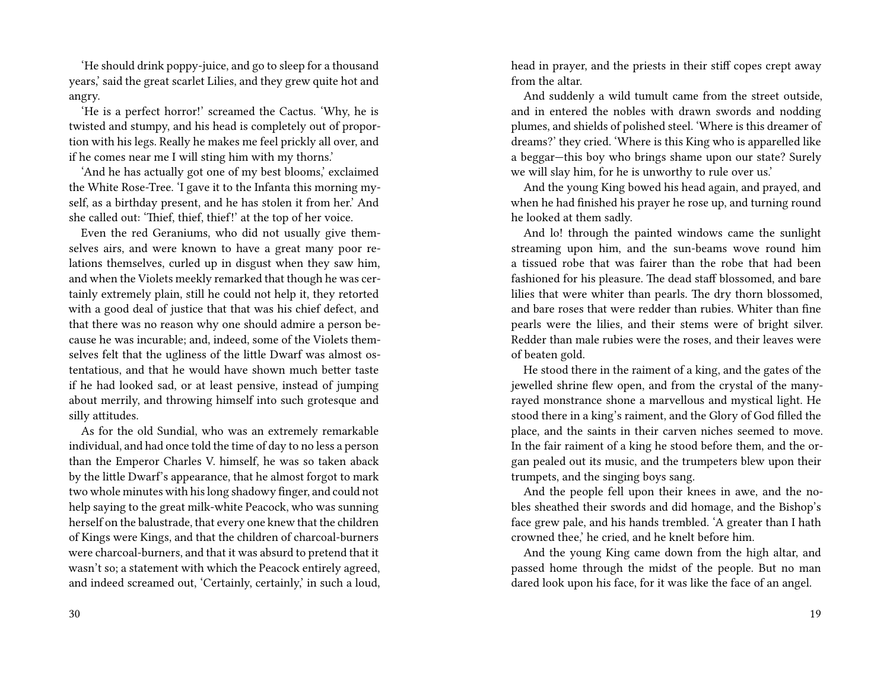'He should drink poppy-juice, and go to sleep for a thousand years,' said the great scarlet Lilies, and they grew quite hot and angry.

'He is a perfect horror!' screamed the Cactus. 'Why, he is twisted and stumpy, and his head is completely out of proportion with his legs. Really he makes me feel prickly all over, and if he comes near me I will sting him with my thorns.'

'And he has actually got one of my best blooms,' exclaimed the White Rose-Tree. 'I gave it to the Infanta this morning myself, as a birthday present, and he has stolen it from her.' And she called out: 'Thief, thief, thief!' at the top of her voice.

Even the red Geraniums, who did not usually give themselves airs, and were known to have a great many poor relations themselves, curled up in disgust when they saw him, and when the Violets meekly remarked that though he was certainly extremely plain, still he could not help it, they retorted with a good deal of justice that that was his chief defect, and that there was no reason why one should admire a person because he was incurable; and, indeed, some of the Violets themselves felt that the ugliness of the little Dwarf was almost ostentatious, and that he would have shown much better taste if he had looked sad, or at least pensive, instead of jumping about merrily, and throwing himself into such grotesque and silly attitudes.

As for the old Sundial, who was an extremely remarkable individual, and had once told the time of day to no less a person than the Emperor Charles V. himself, he was so taken aback by the little Dwarf's appearance, that he almost forgot to mark two whole minutes with his long shadowy finger, and could not help saying to the great milk-white Peacock, who was sunning herself on the balustrade, that every one knew that the children of Kings were Kings, and that the children of charcoal-burners were charcoal-burners, and that it was absurd to pretend that it wasn't so; a statement with which the Peacock entirely agreed, and indeed screamed out, 'Certainly, certainly,' in such a loud,

30

head in prayer, and the priests in their stiff copes crept away from the altar.

And suddenly a wild tumult came from the street outside, and in entered the nobles with drawn swords and nodding plumes, and shields of polished steel. 'Where is this dreamer of dreams?' they cried. 'Where is this King who is apparelled like a beggar—this boy who brings shame upon our state? Surely we will slay him, for he is unworthy to rule over us.'

And the young King bowed his head again, and prayed, and when he had finished his prayer he rose up, and turning round he looked at them sadly.

And lo! through the painted windows came the sunlight streaming upon him, and the sun-beams wove round him a tissued robe that was fairer than the robe that had been fashioned for his pleasure. The dead staff blossomed, and bare lilies that were whiter than pearls. The dry thorn blossomed, and bare roses that were redder than rubies. Whiter than fine pearls were the lilies, and their stems were of bright silver. Redder than male rubies were the roses, and their leaves were of beaten gold.

He stood there in the raiment of a king, and the gates of the jewelled shrine flew open, and from the crystal of the manyrayed monstrance shone a marvellous and mystical light. He stood there in a king's raiment, and the Glory of God filled the place, and the saints in their carven niches seemed to move. In the fair raiment of a king he stood before them, and the organ pealed out its music, and the trumpeters blew upon their trumpets, and the singing boys sang.

And the people fell upon their knees in awe, and the nobles sheathed their swords and did homage, and the Bishop's face grew pale, and his hands trembled. 'A greater than I hath crowned thee,' he cried, and he knelt before him.

And the young King came down from the high altar, and passed home through the midst of the people. But no man dared look upon his face, for it was like the face of an angel.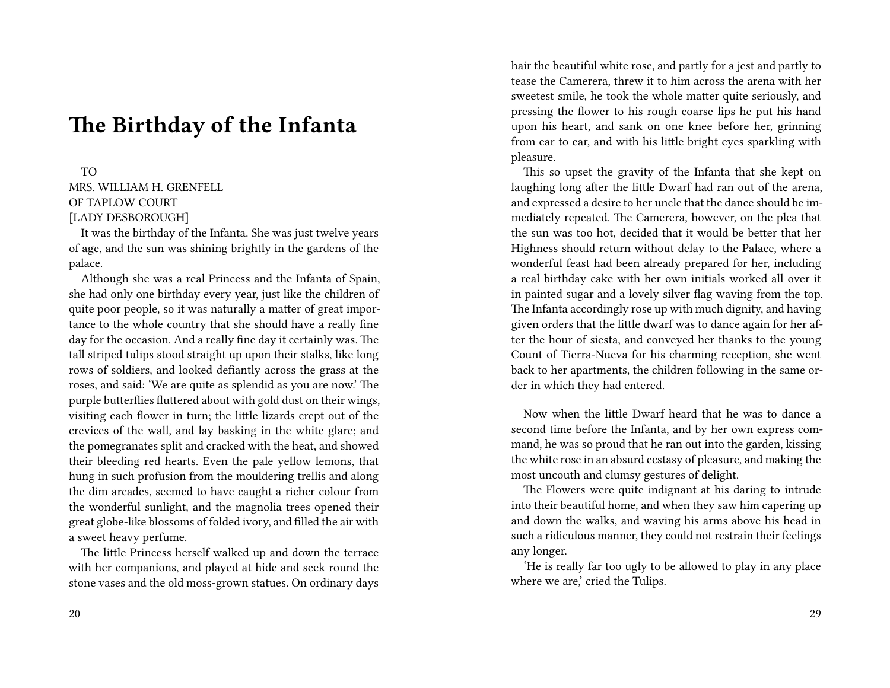## **The Birthday of the Infanta**

TO MRS. WILLIAM H. GRENFELL OF TAPLOW COURT [LADY DESBOROUGH]

It was the birthday of the Infanta. She was just twelve years of age, and the sun was shining brightly in the gardens of the palace.

Although she was a real Princess and the Infanta of Spain, she had only one birthday every year, just like the children of quite poor people, so it was naturally a matter of great importance to the whole country that she should have a really fine day for the occasion. And a really fine day it certainly was. The tall striped tulips stood straight up upon their stalks, like long rows of soldiers, and looked defiantly across the grass at the roses, and said: 'We are quite as splendid as you are now.' The purple butterflies fluttered about with gold dust on their wings, visiting each flower in turn; the little lizards crept out of the crevices of the wall, and lay basking in the white glare; and the pomegranates split and cracked with the heat, and showed their bleeding red hearts. Even the pale yellow lemons, that hung in such profusion from the mouldering trellis and along the dim arcades, seemed to have caught a richer colour from the wonderful sunlight, and the magnolia trees opened their great globe-like blossoms of folded ivory, and filled the air with a sweet heavy perfume.

The little Princess herself walked up and down the terrace with her companions, and played at hide and seek round the stone vases and the old moss-grown statues. On ordinary days hair the beautiful white rose, and partly for a jest and partly to tease the Camerera, threw it to him across the arena with her sweetest smile, he took the whole matter quite seriously, and pressing the flower to his rough coarse lips he put his hand upon his heart, and sank on one knee before her, grinning from ear to ear, and with his little bright eyes sparkling with pleasure.

This so upset the gravity of the Infanta that she kept on laughing long after the little Dwarf had ran out of the arena, and expressed a desire to her uncle that the dance should be immediately repeated. The Camerera, however, on the plea that the sun was too hot, decided that it would be better that her Highness should return without delay to the Palace, where a wonderful feast had been already prepared for her, including a real birthday cake with her own initials worked all over it in painted sugar and a lovely silver flag waving from the top. The Infanta accordingly rose up with much dignity, and having given orders that the little dwarf was to dance again for her after the hour of siesta, and conveyed her thanks to the young Count of Tierra-Nueva for his charming reception, she went back to her apartments, the children following in the same order in which they had entered.

Now when the little Dwarf heard that he was to dance a second time before the Infanta, and by her own express command, he was so proud that he ran out into the garden, kissing the white rose in an absurd ecstasy of pleasure, and making the most uncouth and clumsy gestures of delight.

The Flowers were quite indignant at his daring to intrude into their beautiful home, and when they saw him capering up and down the walks, and waving his arms above his head in such a ridiculous manner, they could not restrain their feelings any longer.

'He is really far too ugly to be allowed to play in any place where we are,' cried the Tulips.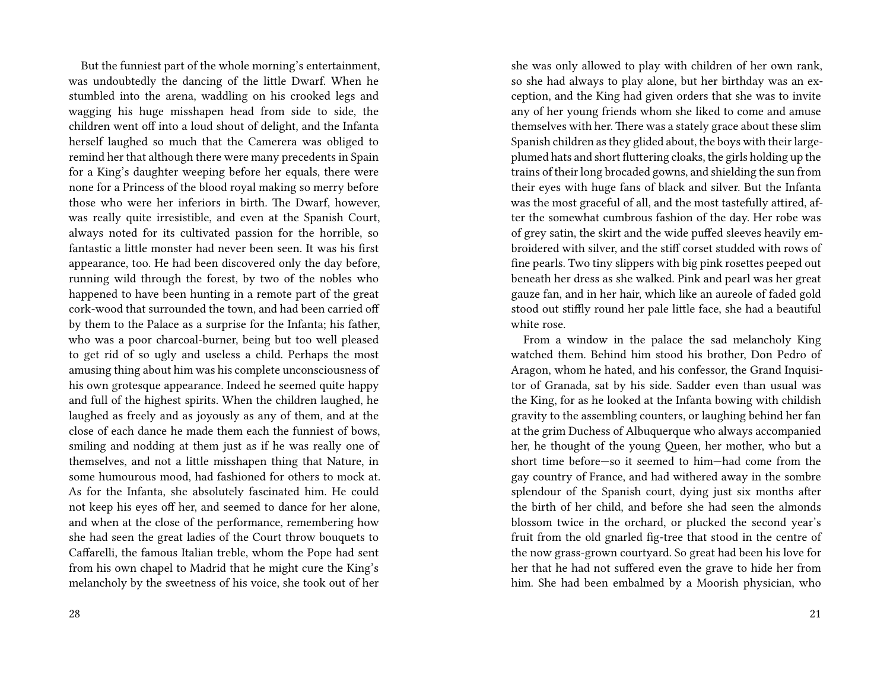But the funniest part of the whole morning's entertainment, was undoubtedly the dancing of the little Dwarf. When he stumbled into the arena, waddling on his crooked legs and wagging his huge misshapen head from side to side, the children went off into a loud shout of delight, and the Infanta herself laughed so much that the Camerera was obliged to remind her that although there were many precedents in Spain for a King's daughter weeping before her equals, there were none for a Princess of the blood royal making so merry before those who were her inferiors in birth. The Dwarf, however, was really quite irresistible, and even at the Spanish Court, always noted for its cultivated passion for the horrible, so fantastic a little monster had never been seen. It was his first appearance, too. He had been discovered only the day before, running wild through the forest, by two of the nobles who happened to have been hunting in a remote part of the great cork-wood that surrounded the town, and had been carried off by them to the Palace as a surprise for the Infanta; his father, who was a poor charcoal-burner, being but too well pleased to get rid of so ugly and useless a child. Perhaps the most amusing thing about him was his complete unconsciousness of his own grotesque appearance. Indeed he seemed quite happy and full of the highest spirits. When the children laughed, he laughed as freely and as joyously as any of them, and at the close of each dance he made them each the funniest of bows, smiling and nodding at them just as if he was really one of themselves, and not a little misshapen thing that Nature, in some humourous mood, had fashioned for others to mock at. As for the Infanta, she absolutely fascinated him. He could not keep his eyes off her, and seemed to dance for her alone, and when at the close of the performance, remembering how she had seen the great ladies of the Court throw bouquets to Caffarelli, the famous Italian treble, whom the Pope had sent from his own chapel to Madrid that he might cure the King's melancholy by the sweetness of his voice, she took out of her

28

she was only allowed to play with children of her own rank, so she had always to play alone, but her birthday was an exception, and the King had given orders that she was to invite any of her young friends whom she liked to come and amuse themselves with her. There was a stately grace about these slim Spanish children as they glided about, the boys with their largeplumed hats and short fluttering cloaks, the girls holding up the trains of their long brocaded gowns, and shielding the sun from their eyes with huge fans of black and silver. But the Infanta was the most graceful of all, and the most tastefully attired, after the somewhat cumbrous fashion of the day. Her robe was of grey satin, the skirt and the wide puffed sleeves heavily embroidered with silver, and the stiff corset studded with rows of fine pearls. Two tiny slippers with big pink rosettes peeped out beneath her dress as she walked. Pink and pearl was her great gauze fan, and in her hair, which like an aureole of faded gold stood out stiffly round her pale little face, she had a beautiful white rose.

From a window in the palace the sad melancholy King watched them. Behind him stood his brother, Don Pedro of Aragon, whom he hated, and his confessor, the Grand Inquisitor of Granada, sat by his side. Sadder even than usual was the King, for as he looked at the Infanta bowing with childish gravity to the assembling counters, or laughing behind her fan at the grim Duchess of Albuquerque who always accompanied her, he thought of the young Queen, her mother, who but a short time before—so it seemed to him—had come from the gay country of France, and had withered away in the sombre splendour of the Spanish court, dying just six months after the birth of her child, and before she had seen the almonds blossom twice in the orchard, or plucked the second year's fruit from the old gnarled fig-tree that stood in the centre of the now grass-grown courtyard. So great had been his love for her that he had not suffered even the grave to hide her from him. She had been embalmed by a Moorish physician, who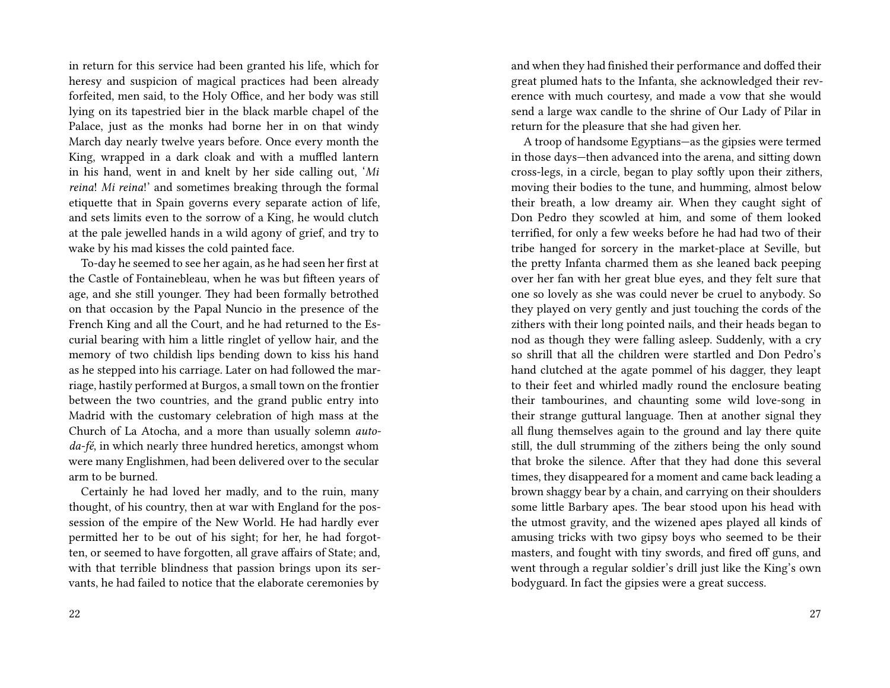in return for this service had been granted his life, which for heresy and suspicion of magical practices had been already forfeited, men said, to the Holy Office, and her body was still lying on its tapestried bier in the black marble chapel of the Palace, just as the monks had borne her in on that windy March day nearly twelve years before. Once every month the King, wrapped in a dark cloak and with a muffled lantern in his hand, went in and knelt by her side calling out, '*Mi reina*! *Mi reina*!' and sometimes breaking through the formal etiquette that in Spain governs every separate action of life, and sets limits even to the sorrow of a King, he would clutch at the pale jewelled hands in a wild agony of grief, and try to wake by his mad kisses the cold painted face.

To-day he seemed to see her again, as he had seen her first at the Castle of Fontainebleau, when he was but fifteen years of age, and she still younger. They had been formally betrothed on that occasion by the Papal Nuncio in the presence of the French King and all the Court, and he had returned to the Escurial bearing with him a little ringlet of yellow hair, and the memory of two childish lips bending down to kiss his hand as he stepped into his carriage. Later on had followed the marriage, hastily performed at Burgos, a small town on the frontier between the two countries, and the grand public entry into Madrid with the customary celebration of high mass at the Church of La Atocha, and a more than usually solemn *autoda-fé*, in which nearly three hundred heretics, amongst whom were many Englishmen, had been delivered over to the secular arm to be burned.

Certainly he had loved her madly, and to the ruin, many thought, of his country, then at war with England for the possession of the empire of the New World. He had hardly ever permitted her to be out of his sight; for her, he had forgotten, or seemed to have forgotten, all grave affairs of State; and, with that terrible blindness that passion brings upon its servants, he had failed to notice that the elaborate ceremonies by

and when they had finished their performance and doffed their great plumed hats to the Infanta, she acknowledged their reverence with much courtesy, and made a vow that she would send a large wax candle to the shrine of Our Lady of Pilar in return for the pleasure that she had given her.

A troop of handsome Egyptians—as the gipsies were termed in those days—then advanced into the arena, and sitting down cross-legs, in a circle, began to play softly upon their zithers, moving their bodies to the tune, and humming, almost below their breath, a low dreamy air. When they caught sight of Don Pedro they scowled at him, and some of them looked terrified, for only a few weeks before he had had two of their tribe hanged for sorcery in the market-place at Seville, but the pretty Infanta charmed them as she leaned back peeping over her fan with her great blue eyes, and they felt sure that one so lovely as she was could never be cruel to anybody. So they played on very gently and just touching the cords of the zithers with their long pointed nails, and their heads began to nod as though they were falling asleep. Suddenly, with a cry so shrill that all the children were startled and Don Pedro's hand clutched at the agate pommel of his dagger, they leapt to their feet and whirled madly round the enclosure beating their tambourines, and chaunting some wild love-song in their strange guttural language. Then at another signal they all flung themselves again to the ground and lay there quite still, the dull strumming of the zithers being the only sound that broke the silence. After that they had done this several times, they disappeared for a moment and came back leading a brown shaggy bear by a chain, and carrying on their shoulders some little Barbary apes. The bear stood upon his head with the utmost gravity, and the wizened apes played all kinds of amusing tricks with two gipsy boys who seemed to be their masters, and fought with tiny swords, and fired off guns, and went through a regular soldier's drill just like the King's own bodyguard. In fact the gipsies were a great success.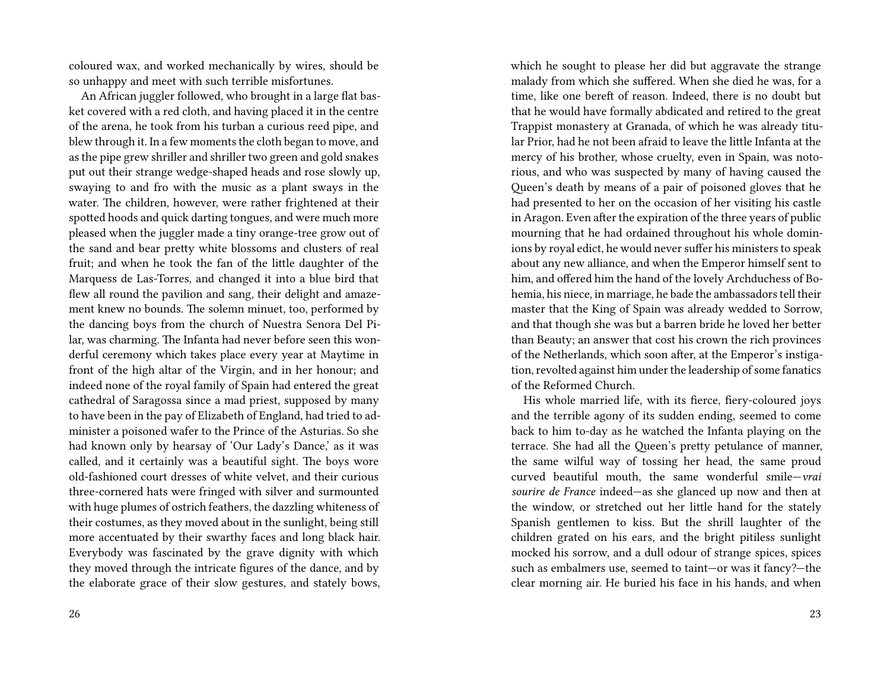coloured wax, and worked mechanically by wires, should be so unhappy and meet with such terrible misfortunes.

An African juggler followed, who brought in a large flat basket covered with a red cloth, and having placed it in the centre of the arena, he took from his turban a curious reed pipe, and blew through it. In a few moments the cloth began to move, and as the pipe grew shriller and shriller two green and gold snakes put out their strange wedge-shaped heads and rose slowly up, swaying to and fro with the music as a plant sways in the water. The children, however, were rather frightened at their spotted hoods and quick darting tongues, and were much more pleased when the juggler made a tiny orange-tree grow out of the sand and bear pretty white blossoms and clusters of real fruit; and when he took the fan of the little daughter of the Marquess de Las-Torres, and changed it into a blue bird that flew all round the pavilion and sang, their delight and amazement knew no bounds. The solemn minuet, too, performed by the dancing boys from the church of Nuestra Senora Del Pilar, was charming. The Infanta had never before seen this wonderful ceremony which takes place every year at Maytime in front of the high altar of the Virgin, and in her honour; and indeed none of the royal family of Spain had entered the great cathedral of Saragossa since a mad priest, supposed by many to have been in the pay of Elizabeth of England, had tried to administer a poisoned wafer to the Prince of the Asturias. So she had known only by hearsay of 'Our Lady's Dance,' as it was called, and it certainly was a beautiful sight. The boys wore old-fashioned court dresses of white velvet, and their curious three-cornered hats were fringed with silver and surmounted with huge plumes of ostrich feathers, the dazzling whiteness of their costumes, as they moved about in the sunlight, being still more accentuated by their swarthy faces and long black hair. Everybody was fascinated by the grave dignity with which they moved through the intricate figures of the dance, and by the elaborate grace of their slow gestures, and stately bows,

which he sought to please her did but aggravate the strange malady from which she suffered. When she died he was, for a time, like one bereft of reason. Indeed, there is no doubt but that he would have formally abdicated and retired to the great Trappist monastery at Granada, of which he was already titular Prior, had he not been afraid to leave the little Infanta at the mercy of his brother, whose cruelty, even in Spain, was notorious, and who was suspected by many of having caused the Queen's death by means of a pair of poisoned gloves that he had presented to her on the occasion of her visiting his castle in Aragon. Even after the expiration of the three years of public mourning that he had ordained throughout his whole dominions by royal edict, he would never suffer his ministers to speak about any new alliance, and when the Emperor himself sent to him, and offered him the hand of the lovely Archduchess of Bohemia, his niece, in marriage, he bade the ambassadors tell their master that the King of Spain was already wedded to Sorrow, and that though she was but a barren bride he loved her better than Beauty; an answer that cost his crown the rich provinces of the Netherlands, which soon after, at the Emperor's instigation, revolted against him under the leadership of some fanatics of the Reformed Church.

His whole married life, with its fierce, fiery-coloured joys and the terrible agony of its sudden ending, seemed to come back to him to-day as he watched the Infanta playing on the terrace. She had all the Queen's pretty petulance of manner, the same wilful way of tossing her head, the same proud curved beautiful mouth, the same wonderful smile—*vrai sourire de France* indeed—as she glanced up now and then at the window, or stretched out her little hand for the stately Spanish gentlemen to kiss. But the shrill laughter of the children grated on his ears, and the bright pitiless sunlight mocked his sorrow, and a dull odour of strange spices, spices such as embalmers use, seemed to taint—or was it fancy?—the clear morning air. He buried his face in his hands, and when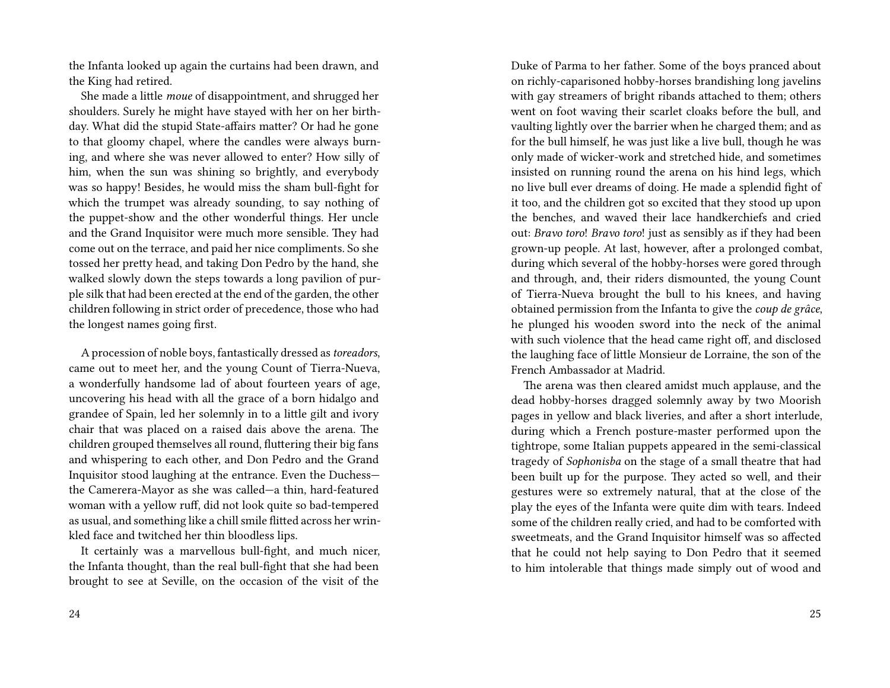the Infanta looked up again the curtains had been drawn, and the King had retired.

She made a little *moue* of disappointment, and shrugged her shoulders. Surely he might have stayed with her on her birthday. What did the stupid State-affairs matter? Or had he gone to that gloomy chapel, where the candles were always burning, and where she was never allowed to enter? How silly of him, when the sun was shining so brightly, and everybody was so happy! Besides, he would miss the sham bull-fight for which the trumpet was already sounding, to say nothing of the puppet-show and the other wonderful things. Her uncle and the Grand Inquisitor were much more sensible. They had come out on the terrace, and paid her nice compliments. So she tossed her pretty head, and taking Don Pedro by the hand, she walked slowly down the steps towards a long pavilion of purple silk that had been erected at the end of the garden, the other children following in strict order of precedence, those who had the longest names going first.

A procession of noble boys, fantastically dressed as*toreadors*, came out to meet her, and the young Count of Tierra-Nueva, a wonderfully handsome lad of about fourteen years of age, uncovering his head with all the grace of a born hidalgo and grandee of Spain, led her solemnly in to a little gilt and ivory chair that was placed on a raised dais above the arena. The children grouped themselves all round, fluttering their big fans and whispering to each other, and Don Pedro and the Grand Inquisitor stood laughing at the entrance. Even the Duchess the Camerera-Mayor as she was called—a thin, hard-featured woman with a yellow ruff, did not look quite so bad-tempered as usual, and something like a chill smile flitted across her wrinkled face and twitched her thin bloodless lips.

It certainly was a marvellous bull-fight, and much nicer, the Infanta thought, than the real bull-fight that she had been brought to see at Seville, on the occasion of the visit of the

Duke of Parma to her father. Some of the boys pranced about on richly-caparisoned hobby-horses brandishing long javelins with gay streamers of bright ribands attached to them; others went on foot waving their scarlet cloaks before the bull, and vaulting lightly over the barrier when he charged them; and as for the bull himself, he was just like a live bull, though he was only made of wicker-work and stretched hide, and sometimes insisted on running round the arena on his hind legs, which no live bull ever dreams of doing. He made a splendid fight of it too, and the children got so excited that they stood up upon the benches, and waved their lace handkerchiefs and cried out: *Bravo toro*! *Bravo toro*! just as sensibly as if they had been grown-up people. At last, however, after a prolonged combat, during which several of the hobby-horses were gored through and through, and, their riders dismounted, the young Count of Tierra-Nueva brought the bull to his knees, and having obtained permission from the Infanta to give the *coup de grâce*, he plunged his wooden sword into the neck of the animal with such violence that the head came right off, and disclosed the laughing face of little Monsieur de Lorraine, the son of the French Ambassador at Madrid.

The arena was then cleared amidst much applause, and the dead hobby-horses dragged solemnly away by two Moorish pages in yellow and black liveries, and after a short interlude, during which a French posture-master performed upon the tightrope, some Italian puppets appeared in the semi-classical tragedy of *Sophonisba* on the stage of a small theatre that had been built up for the purpose. They acted so well, and their gestures were so extremely natural, that at the close of the play the eyes of the Infanta were quite dim with tears. Indeed some of the children really cried, and had to be comforted with sweetmeats, and the Grand Inquisitor himself was so affected that he could not help saying to Don Pedro that it seemed to him intolerable that things made simply out of wood and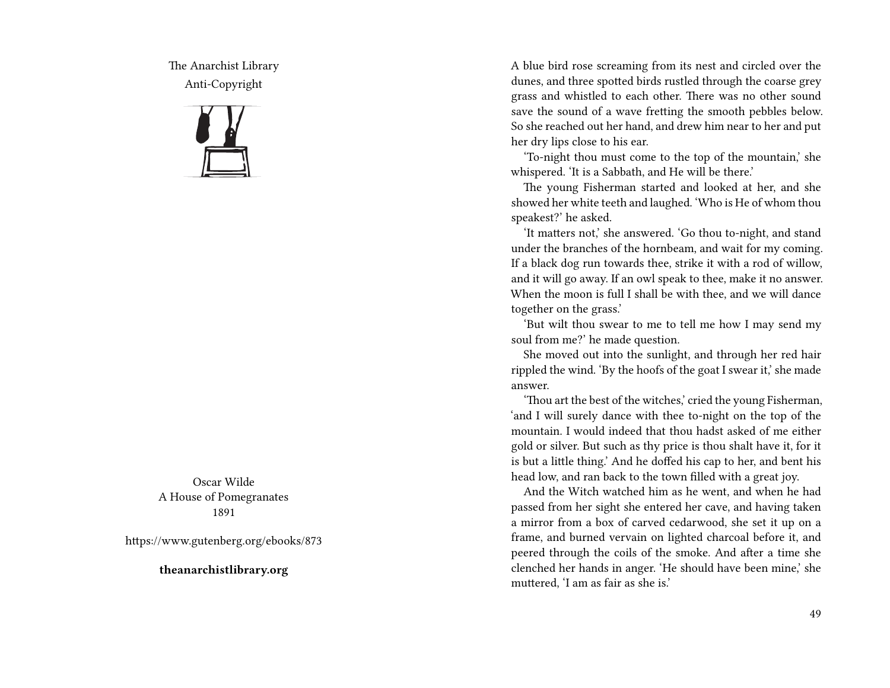The Anarchist Library Anti-Copyright



Oscar Wilde A House of Pomegranates 1891

https://www.gutenberg.org/ebooks/873

**theanarchistlibrary.org**

A blue bird rose screaming from its nest and circled over the dunes, and three spotted birds rustled through the coarse grey grass and whistled to each other. There was no other sound save the sound of a wave fretting the smooth pebbles below. So she reached out her hand, and drew him near to her and put her dry lips close to his ear.

'To-night thou must come to the top of the mountain,' she whispered. 'It is a Sabbath, and He will be there.'

The young Fisherman started and looked at her, and she showed her white teeth and laughed. 'Who is He of whom thou speakest?' he asked.

'It matters not,' she answered. 'Go thou to-night, and stand under the branches of the hornbeam, and wait for my coming. If a black dog run towards thee, strike it with a rod of willow, and it will go away. If an owl speak to thee, make it no answer. When the moon is full I shall be with thee, and we will dance together on the grass.'

'But wilt thou swear to me to tell me how I may send my soul from me?' he made question.

She moved out into the sunlight, and through her red hair rippled the wind. 'By the hoofs of the goat I swear it,' she made answer.

'Thou art the best of the witches,' cried the young Fisherman, 'and I will surely dance with thee to-night on the top of the mountain. I would indeed that thou hadst asked of me either gold or silver. But such as thy price is thou shalt have it, for it is but a little thing.' And he doffed his cap to her, and bent his head low, and ran back to the town filled with a great joy.

And the Witch watched him as he went, and when he had passed from her sight she entered her cave, and having taken a mirror from a box of carved cedarwood, she set it up on a frame, and burned vervain on lighted charcoal before it, and peered through the coils of the smoke. And after a time she clenched her hands in anger. 'He should have been mine,' she muttered, 'I am as fair as she is.'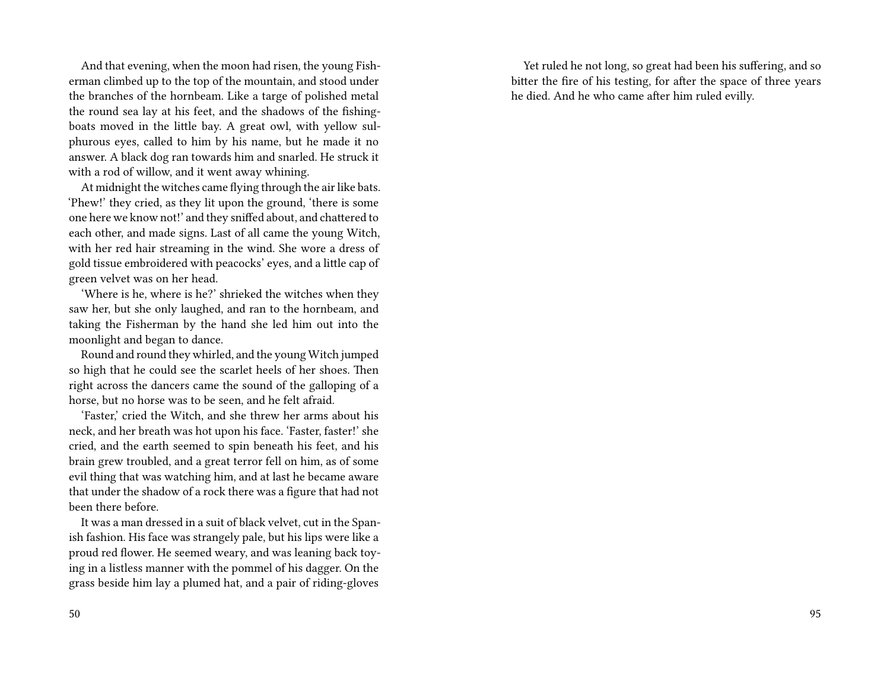And that evening, when the moon had risen, the young Fisherman climbed up to the top of the mountain, and stood under the branches of the hornbeam. Like a targe of polished metal the round sea lay at his feet, and the shadows of the fishingboats moved in the little bay. A great owl, with yellow sulphurous eyes, called to him by his name, but he made it no answer. A black dog ran towards him and snarled. He struck it with a rod of willow, and it went away whining.

At midnight the witches came flying through the air like bats. 'Phew!' they cried, as they lit upon the ground, 'there is some one here we know not!' and they sniffed about, and chattered to each other, and made signs. Last of all came the young Witch, with her red hair streaming in the wind. She wore a dress of gold tissue embroidered with peacocks' eyes, and a little cap of green velvet was on her head.

'Where is he, where is he?' shrieked the witches when they saw her, but she only laughed, and ran to the hornbeam, and taking the Fisherman by the hand she led him out into the moonlight and began to dance.

Round and round they whirled, and the young Witch jumped so high that he could see the scarlet heels of her shoes. Then right across the dancers came the sound of the galloping of a horse, but no horse was to be seen, and he felt afraid.

'Faster,' cried the Witch, and she threw her arms about his neck, and her breath was hot upon his face. 'Faster, faster!' she cried, and the earth seemed to spin beneath his feet, and his brain grew troubled, and a great terror fell on him, as of some evil thing that was watching him, and at last he became aware that under the shadow of a rock there was a figure that had not been there before.

It was a man dressed in a suit of black velvet, cut in the Spanish fashion. His face was strangely pale, but his lips were like a proud red flower. He seemed weary, and was leaning back toying in a listless manner with the pommel of his dagger. On the grass beside him lay a plumed hat, and a pair of riding-gloves

Yet ruled he not long, so great had been his suffering, and so bitter the fire of his testing, for after the space of three years he died. And he who came after him ruled evilly.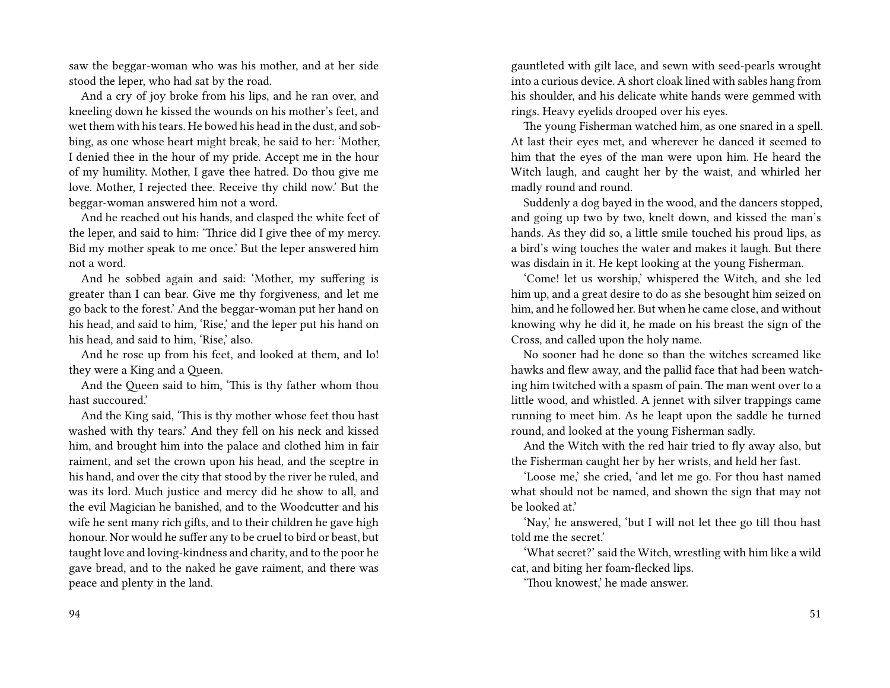saw the beggar-woman who was his mother, and at her side stood the leper, who had sat by the road.

And a cry of joy broke from his lips, and he ran over, and kneeling down he kissed the wounds on his mother's feet, and wet them with his tears. He bowed his head in the dust, and sobbing, as one whose heart might break, he said to her: 'Mother, I denied thee in the hour of my pride. Accept me in the hour of my humility. Mother, I gave thee hatred. Do thou give me love. Mother, I rejected thee. Receive thy child now.' But the beggar-woman answered him not a word.

And he reached out his hands, and clasped the white feet of the leper, and said to him: 'Thrice did I give thee of my mercy. Bid my mother speak to me once.' But the leper answered him not a word.

And he sobbed again and said: 'Mother, my suffering is greater than I can bear. Give me thy forgiveness, and let me go back to the forest.' And the beggar-woman put her hand on his head, and said to him, 'Rise,' and the leper put his hand on his head, and said to him, 'Rise,' also.

And he rose up from his feet, and looked at them, and lo! they were a King and a Queen.

And the Queen said to him, 'This is thy father whom thou hast succoured.'

And the King said, 'This is thy mother whose feet thou hast washed with thy tears.' And they fell on his neck and kissed him, and brought him into the palace and clothed him in fair raiment, and set the crown upon his head, and the sceptre in his hand, and over the city that stood by the river he ruled, and was its lord. Much justice and mercy did he show to all, and the evil Magician he banished, and to the Woodcutter and his wife he sent many rich gifts, and to their children he gave high honour. Nor would he suffer any to be cruel to bird or beast, but taught love and loving-kindness and charity, and to the poor he gave bread, and to the naked he gave raiment, and there was peace and plenty in the land.

gauntleted with gilt lace, and sewn with seed-pearls wrought into a curious device. A short cloak lined with sables hang from his shoulder, and his delicate white hands were gemmed with rings. Heavy eyelids drooped over his eyes.

The young Fisherman watched him, as one snared in a spell. At last their eyes met, and wherever he danced it seemed to him that the eyes of the man were upon him. He heard the Witch laugh, and caught her by the waist, and whirled her madly round and round.

Suddenly a dog bayed in the wood, and the dancers stopped, and going up two by two, knelt down, and kissed the man's hands. As they did so, a little smile touched his proud lips, as a bird's wing touches the water and makes it laugh. But there was disdain in it. He kept looking at the young Fisherman.

'Come! let us worship,' whispered the Witch, and she led him up, and a great desire to do as she besought him seized on him, and he followed her. But when he came close, and without knowing why he did it, he made on his breast the sign of the Cross, and called upon the holy name.

No sooner had he done so than the witches screamed like hawks and flew away, and the pallid face that had been watching him twitched with a spasm of pain. The man went over to a little wood, and whistled. A jennet with silver trappings came running to meet him. As he leapt upon the saddle he turned round, and looked at the young Fisherman sadly.

And the Witch with the red hair tried to fly away also, but the Fisherman caught her by her wrists, and held her fast.

'Loose me,' she cried, 'and let me go. For thou hast named what should not be named, and shown the sign that may not be looked at.'

'Nay,' he answered, 'but I will not let thee go till thou hast told me the secret.'

'What secret?' said the Witch, wrestling with him like a wild cat, and biting her foam-flecked lips.

'Thou knowest,' he made answer.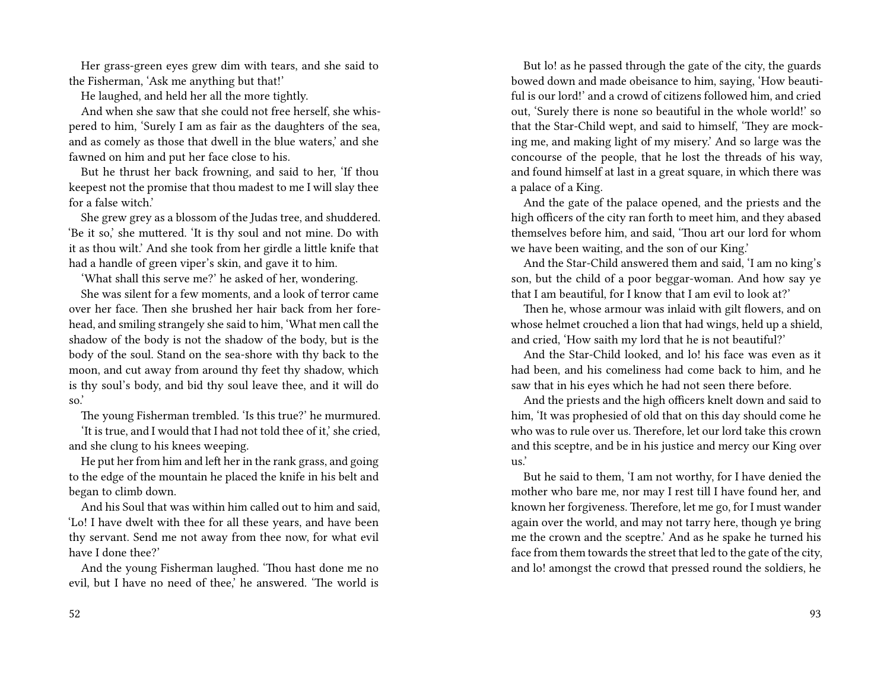Her grass-green eyes grew dim with tears, and she said to the Fisherman, 'Ask me anything but that!'

He laughed, and held her all the more tightly.

And when she saw that she could not free herself, she whispered to him, 'Surely I am as fair as the daughters of the sea, and as comely as those that dwell in the blue waters,' and she fawned on him and put her face close to his.

But he thrust her back frowning, and said to her, 'If thou keepest not the promise that thou madest to me I will slay thee for a false witch.'

She grew grey as a blossom of the Judas tree, and shuddered. 'Be it so,' she muttered. 'It is thy soul and not mine. Do with it as thou wilt.' And she took from her girdle a little knife that had a handle of green viper's skin, and gave it to him.

'What shall this serve me?' he asked of her, wondering.

She was silent for a few moments, and a look of terror came over her face. Then she brushed her hair back from her forehead, and smiling strangely she said to him, 'What men call the shadow of the body is not the shadow of the body, but is the body of the soul. Stand on the sea-shore with thy back to the moon, and cut away from around thy feet thy shadow, which is thy soul's body, and bid thy soul leave thee, and it will do so.'

The young Fisherman trembled. 'Is this true?' he murmured.

'It is true, and I would that I had not told thee of it,' she cried, and she clung to his knees weeping.

He put her from him and left her in the rank grass, and going to the edge of the mountain he placed the knife in his belt and began to climb down.

And his Soul that was within him called out to him and said, 'Lo! I have dwelt with thee for all these years, and have been thy servant. Send me not away from thee now, for what evil have I done thee?'

And the young Fisherman laughed. 'Thou hast done me no evil, but I have no need of thee,' he answered. 'The world is

But lo! as he passed through the gate of the city, the guards bowed down and made obeisance to him, saying, 'How beautiful is our lord!' and a crowd of citizens followed him, and cried out, 'Surely there is none so beautiful in the whole world!' so that the Star-Child wept, and said to himself, 'They are mocking me, and making light of my misery.' And so large was the concourse of the people, that he lost the threads of his way, and found himself at last in a great square, in which there was a palace of a King.

And the gate of the palace opened, and the priests and the high officers of the city ran forth to meet him, and they abased themselves before him, and said, 'Thou art our lord for whom we have been waiting, and the son of our King.'

And the Star-Child answered them and said, 'I am no king's son, but the child of a poor beggar-woman. And how say ye that I am beautiful, for I know that I am evil to look at?'

Then he, whose armour was inlaid with gilt flowers, and on whose helmet crouched a lion that had wings, held up a shield, and cried, 'How saith my lord that he is not beautiful?'

And the Star-Child looked, and lo! his face was even as it had been, and his comeliness had come back to him, and he saw that in his eyes which he had not seen there before.

And the priests and the high officers knelt down and said to him, 'It was prophesied of old that on this day should come he who was to rule over us. Therefore, let our lord take this crown and this sceptre, and be in his justice and mercy our King over us.'

But he said to them, 'I am not worthy, for I have denied the mother who bare me, nor may I rest till I have found her, and known her forgiveness. Therefore, let me go, for I must wander again over the world, and may not tarry here, though ye bring me the crown and the sceptre.' And as he spake he turned his face from them towards the street that led to the gate of the city, and lo! amongst the crowd that pressed round the soldiers, he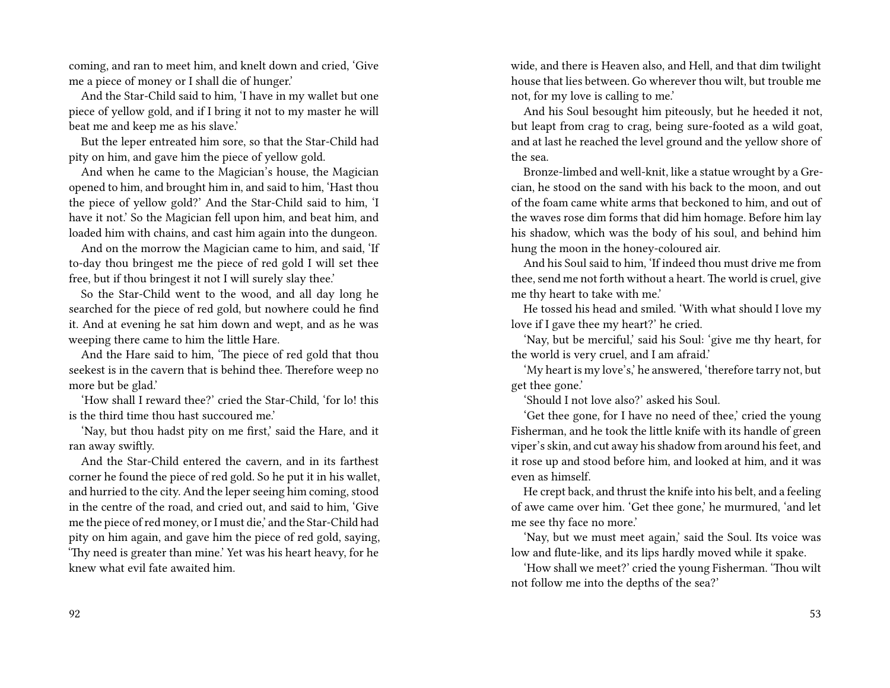coming, and ran to meet him, and knelt down and cried, 'Give me a piece of money or I shall die of hunger.'

And the Star-Child said to him, 'I have in my wallet but one piece of yellow gold, and if I bring it not to my master he will beat me and keep me as his slave.'

But the leper entreated him sore, so that the Star-Child had pity on him, and gave him the piece of yellow gold.

And when he came to the Magician's house, the Magician opened to him, and brought him in, and said to him, 'Hast thou the piece of yellow gold?' And the Star-Child said to him, 'I have it not.' So the Magician fell upon him, and beat him, and loaded him with chains, and cast him again into the dungeon.

And on the morrow the Magician came to him, and said, 'If to-day thou bringest me the piece of red gold I will set thee free, but if thou bringest it not I will surely slay thee.'

So the Star-Child went to the wood, and all day long he searched for the piece of red gold, but nowhere could he find it. And at evening he sat him down and wept, and as he was weeping there came to him the little Hare.

And the Hare said to him, 'The piece of red gold that thou seekest is in the cavern that is behind thee. Therefore weep no more but be glad.'

'How shall I reward thee?' cried the Star-Child, 'for lo! this is the third time thou hast succoured me.'

'Nay, but thou hadst pity on me first,' said the Hare, and it ran away swiftly.

And the Star-Child entered the cavern, and in its farthest corner he found the piece of red gold. So he put it in his wallet, and hurried to the city. And the leper seeing him coming, stood in the centre of the road, and cried out, and said to him, 'Give me the piece of red money, or I must die,' and the Star-Child had pity on him again, and gave him the piece of red gold, saying, 'Thy need is greater than mine.' Yet was his heart heavy, for he knew what evil fate awaited him.

wide, and there is Heaven also, and Hell, and that dim twilight house that lies between. Go wherever thou wilt, but trouble me not, for my love is calling to me.'

And his Soul besought him piteously, but he heeded it not, but leapt from crag to crag, being sure-footed as a wild goat, and at last he reached the level ground and the yellow shore of the sea.

Bronze-limbed and well-knit, like a statue wrought by a Grecian, he stood on the sand with his back to the moon, and out of the foam came white arms that beckoned to him, and out of the waves rose dim forms that did him homage. Before him lay his shadow, which was the body of his soul, and behind him hung the moon in the honey-coloured air.

And his Soul said to him, 'If indeed thou must drive me from thee, send me not forth without a heart. The world is cruel, give me thy heart to take with me.'

He tossed his head and smiled. 'With what should I love my love if I gave thee my heart?' he cried.

'Nay, but be merciful,' said his Soul: 'give me thy heart, for the world is very cruel, and I am afraid.'

'My heart is my love's,' he answered, 'therefore tarry not, but get thee gone.'

'Should I not love also?' asked his Soul.

'Get thee gone, for I have no need of thee,' cried the young Fisherman, and he took the little knife with its handle of green viper's skin, and cut away his shadow from around his feet, and it rose up and stood before him, and looked at him, and it was even as himself.

He crept back, and thrust the knife into his belt, and a feeling of awe came over him. 'Get thee gone,' he murmured, 'and let me see thy face no more.'

'Nay, but we must meet again,' said the Soul. Its voice was low and flute-like, and its lips hardly moved while it spake.

'How shall we meet?' cried the young Fisherman. 'Thou wilt not follow me into the depths of the sea?'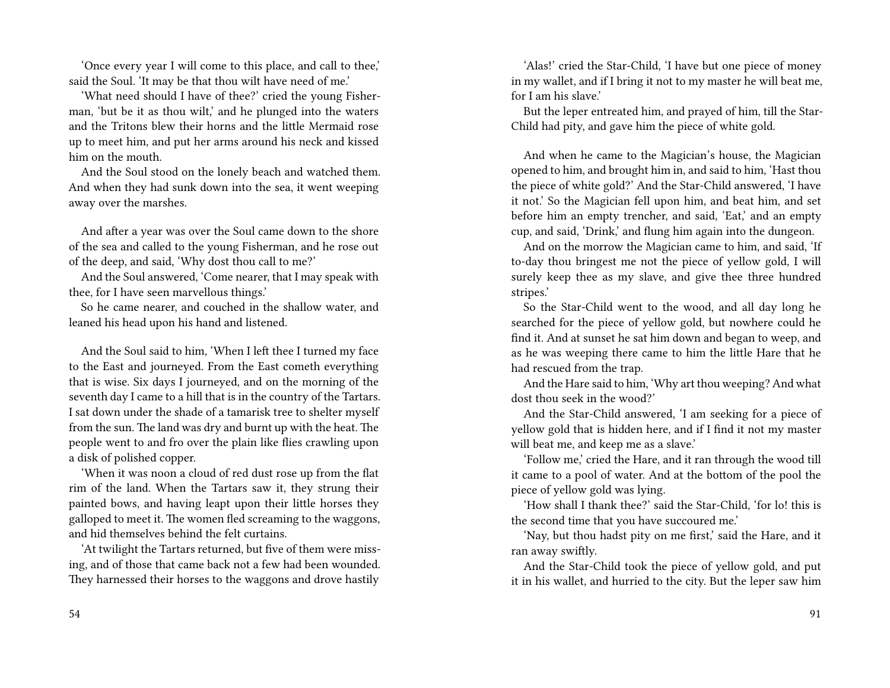'Once every year I will come to this place, and call to thee,' said the Soul. 'It may be that thou wilt have need of me.'

'What need should I have of thee?' cried the young Fisherman, 'but be it as thou wilt,' and he plunged into the waters and the Tritons blew their horns and the little Mermaid rose up to meet him, and put her arms around his neck and kissed him on the mouth.

And the Soul stood on the lonely beach and watched them. And when they had sunk down into the sea, it went weeping away over the marshes.

And after a year was over the Soul came down to the shore of the sea and called to the young Fisherman, and he rose out of the deep, and said, 'Why dost thou call to me?'

And the Soul answered, 'Come nearer, that I may speak with thee, for I have seen marvellous things.'

So he came nearer, and couched in the shallow water, and leaned his head upon his hand and listened.

And the Soul said to him, 'When I left thee I turned my face to the East and journeyed. From the East cometh everything that is wise. Six days I journeyed, and on the morning of the seventh day I came to a hill that is in the country of the Tartars. I sat down under the shade of a tamarisk tree to shelter myself from the sun. The land was dry and burnt up with the heat. The people went to and fro over the plain like flies crawling upon a disk of polished copper.

'When it was noon a cloud of red dust rose up from the flat rim of the land. When the Tartars saw it, they strung their painted bows, and having leapt upon their little horses they galloped to meet it. The women fled screaming to the waggons, and hid themselves behind the felt curtains.

'At twilight the Tartars returned, but five of them were missing, and of those that came back not a few had been wounded. They harnessed their horses to the waggons and drove hastily

'Alas!' cried the Star-Child, 'I have but one piece of money in my wallet, and if I bring it not to my master he will beat me, for I am his slave.'

But the leper entreated him, and prayed of him, till the Star-Child had pity, and gave him the piece of white gold.

And when he came to the Magician's house, the Magician opened to him, and brought him in, and said to him, 'Hast thou the piece of white gold?' And the Star-Child answered, 'I have it not.' So the Magician fell upon him, and beat him, and set before him an empty trencher, and said, 'Eat,' and an empty cup, and said, 'Drink,' and flung him again into the dungeon.

And on the morrow the Magician came to him, and said, 'If to-day thou bringest me not the piece of yellow gold, I will surely keep thee as my slave, and give thee three hundred stripes.'

So the Star-Child went to the wood, and all day long he searched for the piece of yellow gold, but nowhere could he find it. And at sunset he sat him down and began to weep, and as he was weeping there came to him the little Hare that he had rescued from the trap.

And the Hare said to him, 'Why art thou weeping? And what dost thou seek in the wood?'

And the Star-Child answered, 'I am seeking for a piece of yellow gold that is hidden here, and if I find it not my master will beat me, and keep me as a slave.'

'Follow me,' cried the Hare, and it ran through the wood till it came to a pool of water. And at the bottom of the pool the piece of yellow gold was lying.

'How shall I thank thee?' said the Star-Child, 'for lo! this is the second time that you have succoured me.'

'Nay, but thou hadst pity on me first,' said the Hare, and it ran away swiftly.

And the Star-Child took the piece of yellow gold, and put it in his wallet, and hurried to the city. But the leper saw him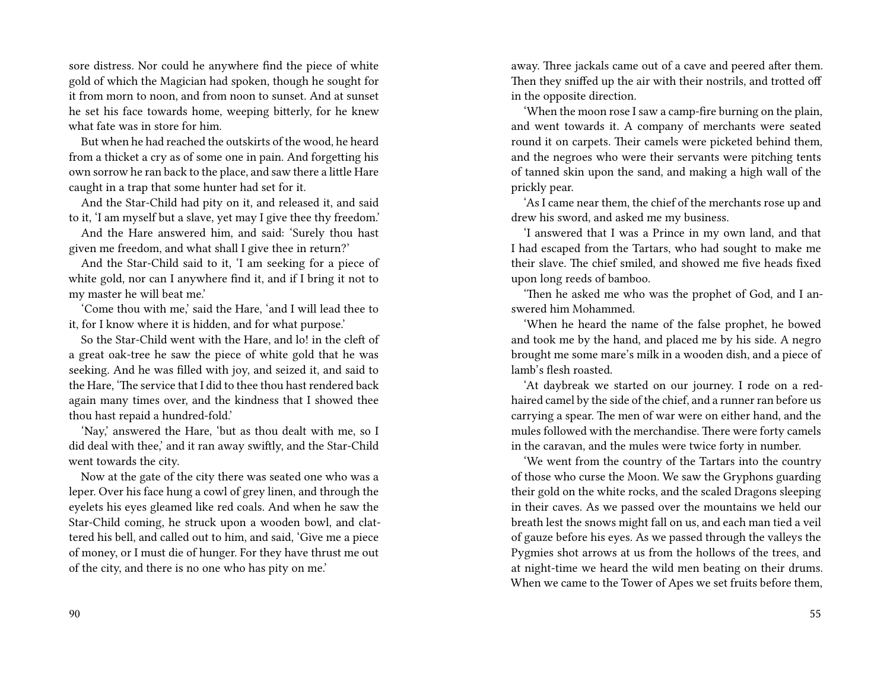sore distress. Nor could he anywhere find the piece of white gold of which the Magician had spoken, though he sought for it from morn to noon, and from noon to sunset. And at sunset he set his face towards home, weeping bitterly, for he knew what fate was in store for him.

But when he had reached the outskirts of the wood, he heard from a thicket a cry as of some one in pain. And forgetting his own sorrow he ran back to the place, and saw there a little Hare caught in a trap that some hunter had set for it.

And the Star-Child had pity on it, and released it, and said to it, 'I am myself but a slave, yet may I give thee thy freedom.'

And the Hare answered him, and said: 'Surely thou hast given me freedom, and what shall I give thee in return?'

And the Star-Child said to it, 'I am seeking for a piece of white gold, nor can I anywhere find it, and if I bring it not to my master he will beat me.'

'Come thou with me,' said the Hare, 'and I will lead thee to it, for I know where it is hidden, and for what purpose.'

So the Star-Child went with the Hare, and lo! in the cleft of a great oak-tree he saw the piece of white gold that he was seeking. And he was filled with joy, and seized it, and said to the Hare, 'The service that I did to thee thou hast rendered back again many times over, and the kindness that I showed thee thou hast repaid a hundred-fold.'

'Nay,' answered the Hare, 'but as thou dealt with me, so I did deal with thee,' and it ran away swiftly, and the Star-Child went towards the city.

Now at the gate of the city there was seated one who was a leper. Over his face hung a cowl of grey linen, and through the eyelets his eyes gleamed like red coals. And when he saw the Star-Child coming, he struck upon a wooden bowl, and clattered his bell, and called out to him, and said, 'Give me a piece of money, or I must die of hunger. For they have thrust me out of the city, and there is no one who has pity on me.'

away. Three jackals came out of a cave and peered after them. Then they sniffed up the air with their nostrils, and trotted off in the opposite direction.

'When the moon rose I saw a camp-fire burning on the plain, and went towards it. A company of merchants were seated round it on carpets. Their camels were picketed behind them, and the negroes who were their servants were pitching tents of tanned skin upon the sand, and making a high wall of the prickly pear.

'As I came near them, the chief of the merchants rose up and drew his sword, and asked me my business.

'I answered that I was a Prince in my own land, and that I had escaped from the Tartars, who had sought to make me their slave. The chief smiled, and showed me five heads fixed upon long reeds of bamboo.

'Then he asked me who was the prophet of God, and I answered him Mohammed.

'When he heard the name of the false prophet, he bowed and took me by the hand, and placed me by his side. A negro brought me some mare's milk in a wooden dish, and a piece of lamb's flesh roasted.

'At daybreak we started on our journey. I rode on a redhaired camel by the side of the chief, and a runner ran before us carrying a spear. The men of war were on either hand, and the mules followed with the merchandise. There were forty camels in the caravan, and the mules were twice forty in number.

'We went from the country of the Tartars into the country of those who curse the Moon. We saw the Gryphons guarding their gold on the white rocks, and the scaled Dragons sleeping in their caves. As we passed over the mountains we held our breath lest the snows might fall on us, and each man tied a veil of gauze before his eyes. As we passed through the valleys the Pygmies shot arrows at us from the hollows of the trees, and at night-time we heard the wild men beating on their drums. When we came to the Tower of Apes we set fruits before them,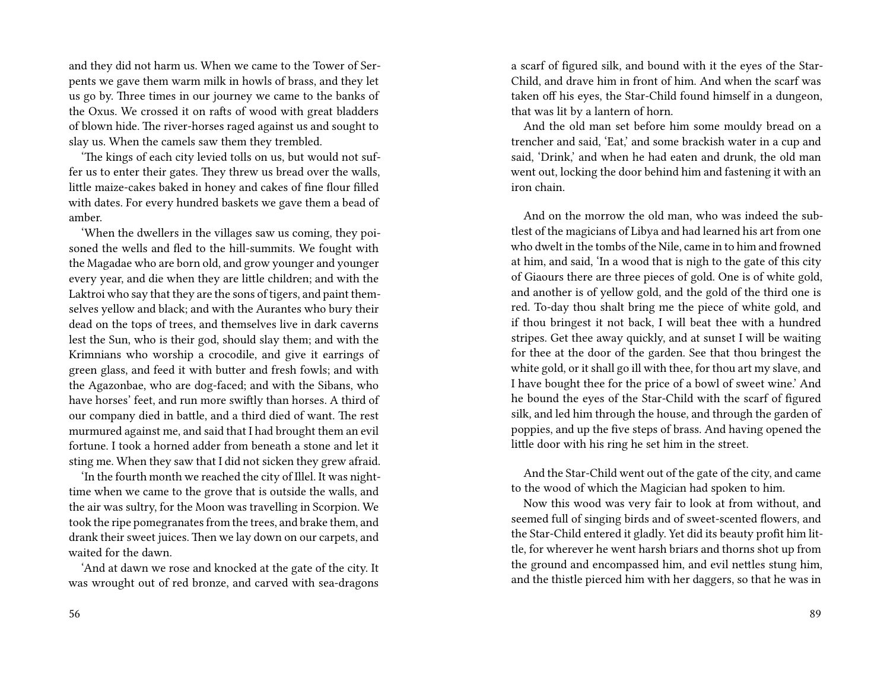and they did not harm us. When we came to the Tower of Serpents we gave them warm milk in howls of brass, and they let us go by. Three times in our journey we came to the banks of the Oxus. We crossed it on rafts of wood with great bladders of blown hide. The river-horses raged against us and sought to slay us. When the camels saw them they trembled.

'The kings of each city levied tolls on us, but would not suffer us to enter their gates. They threw us bread over the walls, little maize-cakes baked in honey and cakes of fine flour filled with dates. For every hundred baskets we gave them a bead of amber.

'When the dwellers in the villages saw us coming, they poisoned the wells and fled to the hill-summits. We fought with the Magadae who are born old, and grow younger and younger every year, and die when they are little children; and with the Laktroi who say that they are the sons of tigers, and paint themselves yellow and black; and with the Aurantes who bury their dead on the tops of trees, and themselves live in dark caverns lest the Sun, who is their god, should slay them; and with the Krimnians who worship a crocodile, and give it earrings of green glass, and feed it with butter and fresh fowls; and with the Agazonbae, who are dog-faced; and with the Sibans, who have horses' feet, and run more swiftly than horses. A third of our company died in battle, and a third died of want. The rest murmured against me, and said that I had brought them an evil fortune. I took a horned adder from beneath a stone and let it sting me. When they saw that I did not sicken they grew afraid.

'In the fourth month we reached the city of Illel. It was nighttime when we came to the grove that is outside the walls, and the air was sultry, for the Moon was travelling in Scorpion. We took the ripe pomegranates from the trees, and brake them, and drank their sweet juices. Then we lay down on our carpets, and waited for the dawn.

'And at dawn we rose and knocked at the gate of the city. It was wrought out of red bronze, and carved with sea-dragons a scarf of figured silk, and bound with it the eyes of the Star-Child, and drave him in front of him. And when the scarf was taken off his eyes, the Star-Child found himself in a dungeon, that was lit by a lantern of horn.

And the old man set before him some mouldy bread on a trencher and said, 'Eat,' and some brackish water in a cup and said, 'Drink,' and when he had eaten and drunk, the old man went out, locking the door behind him and fastening it with an iron chain.

And on the morrow the old man, who was indeed the subtlest of the magicians of Libya and had learned his art from one who dwelt in the tombs of the Nile, came in to him and frowned at him, and said, 'In a wood that is nigh to the gate of this city of Giaours there are three pieces of gold. One is of white gold, and another is of yellow gold, and the gold of the third one is red. To-day thou shalt bring me the piece of white gold, and if thou bringest it not back, I will beat thee with a hundred stripes. Get thee away quickly, and at sunset I will be waiting for thee at the door of the garden. See that thou bringest the white gold, or it shall go ill with thee, for thou art my slave, and I have bought thee for the price of a bowl of sweet wine.' And he bound the eyes of the Star-Child with the scarf of figured silk, and led him through the house, and through the garden of poppies, and up the five steps of brass. And having opened the little door with his ring he set him in the street.

And the Star-Child went out of the gate of the city, and came to the wood of which the Magician had spoken to him.

Now this wood was very fair to look at from without, and seemed full of singing birds and of sweet-scented flowers, and the Star-Child entered it gladly. Yet did its beauty profit him little, for wherever he went harsh briars and thorns shot up from the ground and encompassed him, and evil nettles stung him, and the thistle pierced him with her daggers, so that he was in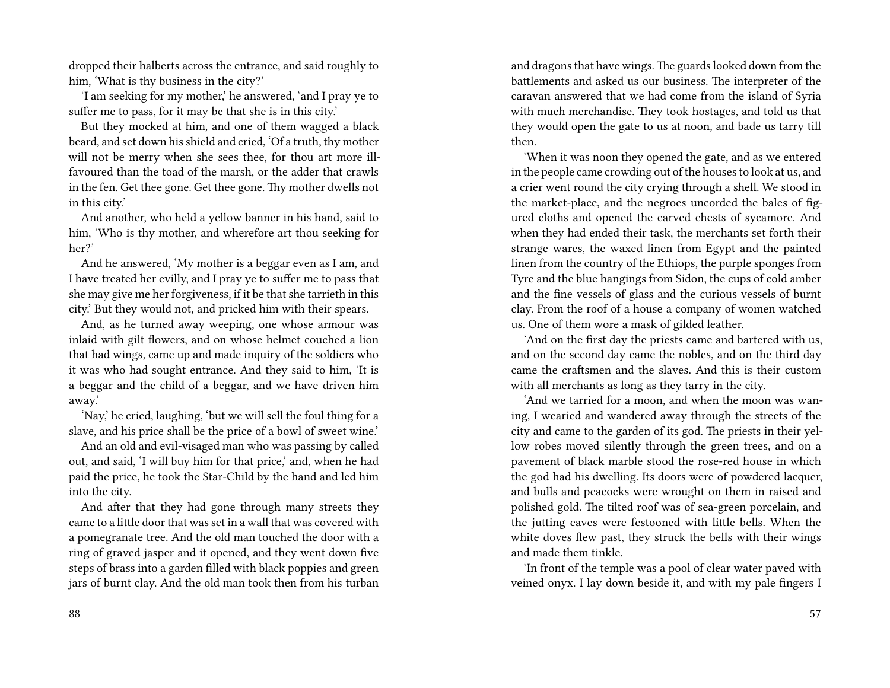dropped their halberts across the entrance, and said roughly to him, 'What is thy business in the city?'

'I am seeking for my mother,' he answered, 'and I pray ye to suffer me to pass, for it may be that she is in this city.'

But they mocked at him, and one of them wagged a black beard, and set down his shield and cried, 'Of a truth, thy mother will not be merry when she sees thee, for thou art more illfavoured than the toad of the marsh, or the adder that crawls in the fen. Get thee gone. Get thee gone. Thy mother dwells not in this city.'

And another, who held a yellow banner in his hand, said to him, 'Who is thy mother, and wherefore art thou seeking for her?'

And he answered, 'My mother is a beggar even as I am, and I have treated her evilly, and I pray ye to suffer me to pass that she may give me her forgiveness, if it be that she tarrieth in this city.' But they would not, and pricked him with their spears.

And, as he turned away weeping, one whose armour was inlaid with gilt flowers, and on whose helmet couched a lion that had wings, came up and made inquiry of the soldiers who it was who had sought entrance. And they said to him, 'It is a beggar and the child of a beggar, and we have driven him away.'

'Nay,' he cried, laughing, 'but we will sell the foul thing for a slave, and his price shall be the price of a bowl of sweet wine.'

And an old and evil-visaged man who was passing by called out, and said, 'I will buy him for that price,' and, when he had paid the price, he took the Star-Child by the hand and led him into the city.

And after that they had gone through many streets they came to a little door that was set in a wall that was covered with a pomegranate tree. And the old man touched the door with a ring of graved jasper and it opened, and they went down five steps of brass into a garden filled with black poppies and green jars of burnt clay. And the old man took then from his turban and dragons that have wings.The guards looked down from the battlements and asked us our business. The interpreter of the caravan answered that we had come from the island of Syria with much merchandise. They took hostages, and told us that they would open the gate to us at noon, and bade us tarry till then.

'When it was noon they opened the gate, and as we entered in the people came crowding out of the houses to look at us, and a crier went round the city crying through a shell. We stood in the market-place, and the negroes uncorded the bales of figured cloths and opened the carved chests of sycamore. And when they had ended their task, the merchants set forth their strange wares, the waxed linen from Egypt and the painted linen from the country of the Ethiops, the purple sponges from Tyre and the blue hangings from Sidon, the cups of cold amber and the fine vessels of glass and the curious vessels of burnt clay. From the roof of a house a company of women watched us. One of them wore a mask of gilded leather.

'And on the first day the priests came and bartered with us, and on the second day came the nobles, and on the third day came the craftsmen and the slaves. And this is their custom with all merchants as long as they tarry in the city.

'And we tarried for a moon, and when the moon was waning, I wearied and wandered away through the streets of the city and came to the garden of its god. The priests in their yellow robes moved silently through the green trees, and on a pavement of black marble stood the rose-red house in which the god had his dwelling. Its doors were of powdered lacquer, and bulls and peacocks were wrought on them in raised and polished gold. The tilted roof was of sea-green porcelain, and the jutting eaves were festooned with little bells. When the white doves flew past, they struck the bells with their wings and made them tinkle.

'In front of the temple was a pool of clear water paved with veined onyx. I lay down beside it, and with my pale fingers I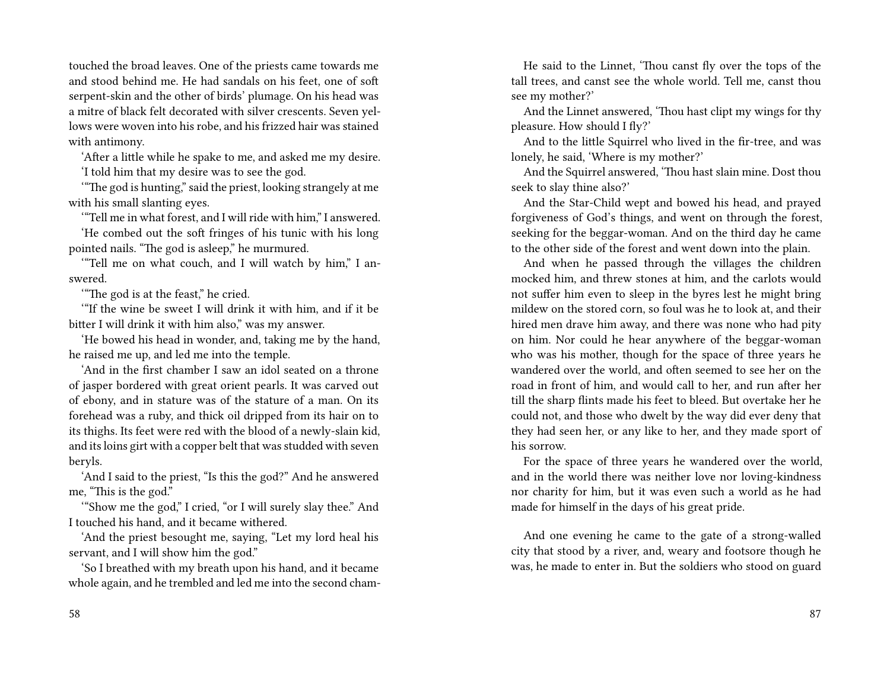touched the broad leaves. One of the priests came towards me and stood behind me. He had sandals on his feet, one of soft serpent-skin and the other of birds' plumage. On his head was a mitre of black felt decorated with silver crescents. Seven yellows were woven into his robe, and his frizzed hair was stained with antimony.

'After a little while he spake to me, and asked me my desire. 'I told him that my desire was to see the god.

'"The god is hunting," said the priest, looking strangely at me with his small slanting eyes.

'"Tell me in what forest, and I will ride with him," I answered.

'He combed out the soft fringes of his tunic with his long pointed nails. "The god is asleep," he murmured.

'"Tell me on what couch, and I will watch by him," I answered.

'"The god is at the feast," he cried.

'"If the wine be sweet I will drink it with him, and if it be bitter I will drink it with him also," was my answer.

'He bowed his head in wonder, and, taking me by the hand, he raised me up, and led me into the temple.

'And in the first chamber I saw an idol seated on a throne of jasper bordered with great orient pearls. It was carved out of ebony, and in stature was of the stature of a man. On its forehead was a ruby, and thick oil dripped from its hair on to its thighs. Its feet were red with the blood of a newly-slain kid, and its loins girt with a copper belt that was studded with seven beryls.

'And I said to the priest, "Is this the god?" And he answered me, "This is the god."

'"Show me the god," I cried, "or I will surely slay thee." And I touched his hand, and it became withered.

'And the priest besought me, saying, "Let my lord heal his servant, and I will show him the god."

'So I breathed with my breath upon his hand, and it became whole again, and he trembled and led me into the second cham-

He said to the Linnet, 'Thou canst fly over the tops of the tall trees, and canst see the whole world. Tell me, canst thou see my mother?'

And the Linnet answered, 'Thou hast clipt my wings for thy pleasure. How should I fly?'

And to the little Squirrel who lived in the fir-tree, and was lonely, he said, 'Where is my mother?'

And the Squirrel answered, 'Thou hast slain mine. Dost thou seek to slay thine also?'

And the Star-Child wept and bowed his head, and prayed forgiveness of God's things, and went on through the forest, seeking for the beggar-woman. And on the third day he came to the other side of the forest and went down into the plain.

And when he passed through the villages the children mocked him, and threw stones at him, and the carlots would not suffer him even to sleep in the byres lest he might bring mildew on the stored corn, so foul was he to look at, and their hired men drave him away, and there was none who had pity on him. Nor could he hear anywhere of the beggar-woman who was his mother, though for the space of three years he wandered over the world, and often seemed to see her on the road in front of him, and would call to her, and run after her till the sharp flints made his feet to bleed. But overtake her he could not, and those who dwelt by the way did ever deny that they had seen her, or any like to her, and they made sport of his sorrow.

For the space of three years he wandered over the world, and in the world there was neither love nor loving-kindness nor charity for him, but it was even such a world as he had made for himself in the days of his great pride.

And one evening he came to the gate of a strong-walled city that stood by a river, and, weary and footsore though he was, he made to enter in. But the soldiers who stood on guard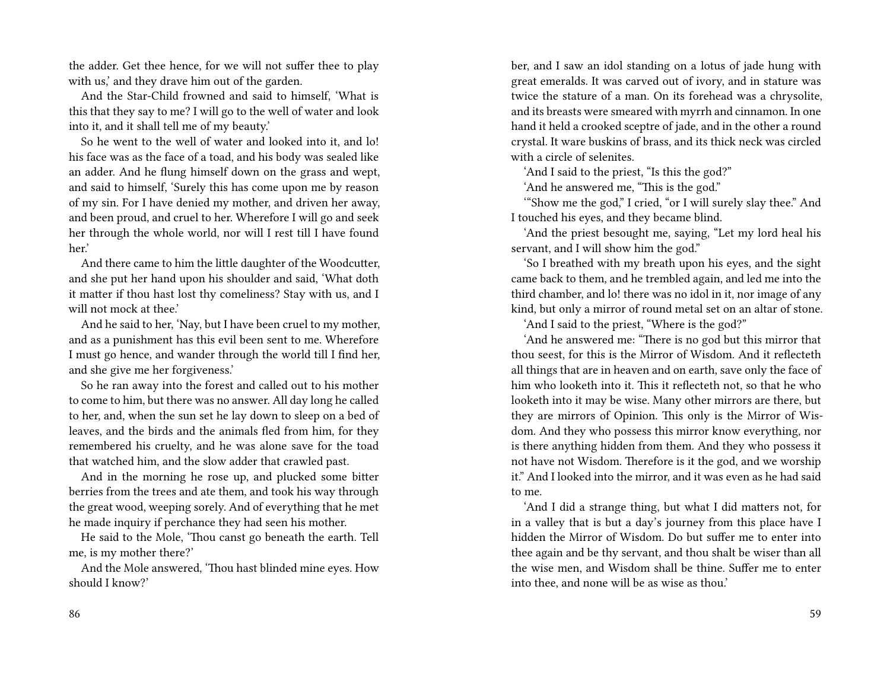the adder. Get thee hence, for we will not suffer thee to play with us,' and they drave him out of the garden.

And the Star-Child frowned and said to himself, 'What is this that they say to me? I will go to the well of water and look into it, and it shall tell me of my beauty.'

So he went to the well of water and looked into it, and lo! his face was as the face of a toad, and his body was sealed like an adder. And he flung himself down on the grass and wept, and said to himself, 'Surely this has come upon me by reason of my sin. For I have denied my mother, and driven her away, and been proud, and cruel to her. Wherefore I will go and seek her through the whole world, nor will I rest till I have found her.'

And there came to him the little daughter of the Woodcutter, and she put her hand upon his shoulder and said, 'What doth it matter if thou hast lost thy comeliness? Stay with us, and I will not mock at thee.'

And he said to her, 'Nay, but I have been cruel to my mother, and as a punishment has this evil been sent to me. Wherefore I must go hence, and wander through the world till I find her, and she give me her forgiveness.'

So he ran away into the forest and called out to his mother to come to him, but there was no answer. All day long he called to her, and, when the sun set he lay down to sleep on a bed of leaves, and the birds and the animals fled from him, for they remembered his cruelty, and he was alone save for the toad that watched him, and the slow adder that crawled past.

And in the morning he rose up, and plucked some bitter berries from the trees and ate them, and took his way through the great wood, weeping sorely. And of everything that he met he made inquiry if perchance they had seen his mother.

He said to the Mole, 'Thou canst go beneath the earth. Tell me, is my mother there?'

And the Mole answered, 'Thou hast blinded mine eyes. How should I know?'

ber, and I saw an idol standing on a lotus of jade hung with great emeralds. It was carved out of ivory, and in stature was twice the stature of a man. On its forehead was a chrysolite, and its breasts were smeared with myrrh and cinnamon. In one hand it held a crooked sceptre of jade, and in the other a round crystal. It ware buskins of brass, and its thick neck was circled with a circle of selenites.

'And I said to the priest, "Is this the god?"

'And he answered me, "This is the god."

'"Show me the god," I cried, "or I will surely slay thee." And I touched his eyes, and they became blind.

'And the priest besought me, saying, "Let my lord heal his servant, and I will show him the god."

'So I breathed with my breath upon his eyes, and the sight came back to them, and he trembled again, and led me into the third chamber, and lo! there was no idol in it, nor image of any kind, but only a mirror of round metal set on an altar of stone.

'And I said to the priest, "Where is the god?"

'And he answered me: "There is no god but this mirror that thou seest, for this is the Mirror of Wisdom. And it reflecteth all things that are in heaven and on earth, save only the face of him who looketh into it. This it reflecteth not, so that he who looketh into it may be wise. Many other mirrors are there, but they are mirrors of Opinion. This only is the Mirror of Wisdom. And they who possess this mirror know everything, nor is there anything hidden from them. And they who possess it not have not Wisdom. Therefore is it the god, and we worship it." And I looked into the mirror, and it was even as he had said to me.

'And I did a strange thing, but what I did matters not, for in a valley that is but a day's journey from this place have I hidden the Mirror of Wisdom. Do but suffer me to enter into thee again and be thy servant, and thou shalt be wiser than all the wise men, and Wisdom shall be thine. Suffer me to enter into thee, and none will be as wise as thou.'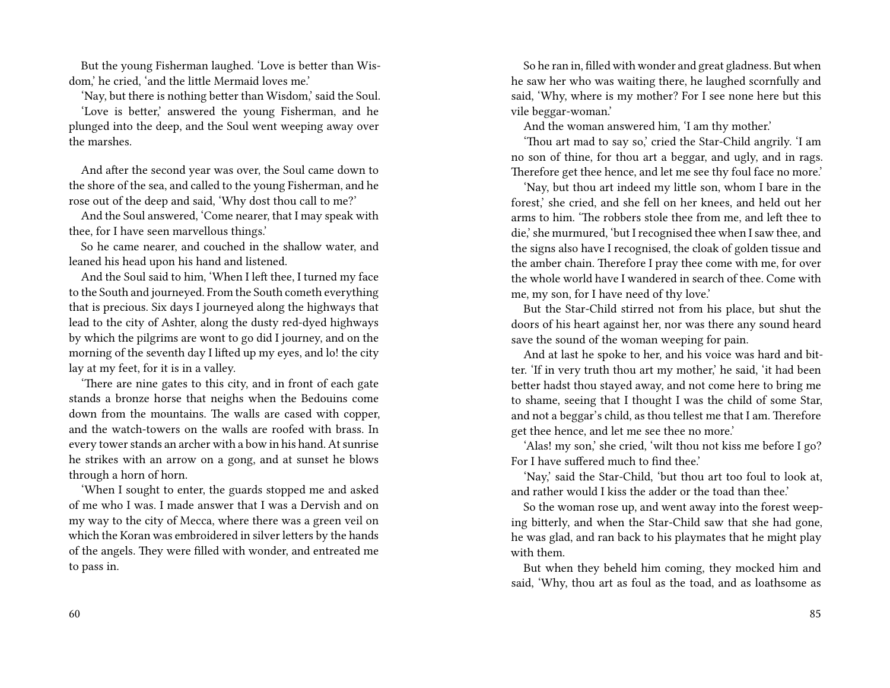But the young Fisherman laughed. 'Love is better than Wisdom,' he cried, 'and the little Mermaid loves me.'

'Nay, but there is nothing better than Wisdom,' said the Soul.

'Love is better,' answered the young Fisherman, and he plunged into the deep, and the Soul went weeping away over the marshes.

And after the second year was over, the Soul came down to the shore of the sea, and called to the young Fisherman, and he rose out of the deep and said, 'Why dost thou call to me?'

And the Soul answered, 'Come nearer, that I may speak with thee, for I have seen marvellous things.'

So he came nearer, and couched in the shallow water, and leaned his head upon his hand and listened.

And the Soul said to him, 'When I left thee, I turned my face to the South and journeyed. From the South cometh everything that is precious. Six days I journeyed along the highways that lead to the city of Ashter, along the dusty red-dyed highways by which the pilgrims are wont to go did I journey, and on the morning of the seventh day I lifted up my eyes, and lo! the city lay at my feet, for it is in a valley.

'There are nine gates to this city, and in front of each gate stands a bronze horse that neighs when the Bedouins come down from the mountains. The walls are cased with copper, and the watch-towers on the walls are roofed with brass. In every tower stands an archer with a bow in his hand. At sunrise he strikes with an arrow on a gong, and at sunset he blows through a horn of horn.

'When I sought to enter, the guards stopped me and asked of me who I was. I made answer that I was a Dervish and on my way to the city of Mecca, where there was a green veil on which the Koran was embroidered in silver letters by the hands of the angels. They were filled with wonder, and entreated me to pass in.

60

So he ran in, filled with wonder and great gladness. But when he saw her who was waiting there, he laughed scornfully and said, 'Why, where is my mother? For I see none here but this vile beggar-woman.'

And the woman answered him, 'I am thy mother.'

'Thou art mad to say so,' cried the Star-Child angrily. 'I am no son of thine, for thou art a beggar, and ugly, and in rags. Therefore get thee hence, and let me see thy foul face no more.'

'Nay, but thou art indeed my little son, whom I bare in the forest,' she cried, and she fell on her knees, and held out her arms to him. 'The robbers stole thee from me, and left thee to die,' she murmured, 'but I recognised thee when I saw thee, and the signs also have I recognised, the cloak of golden tissue and the amber chain. Therefore I pray thee come with me, for over the whole world have I wandered in search of thee. Come with me, my son, for I have need of thy love.'

But the Star-Child stirred not from his place, but shut the doors of his heart against her, nor was there any sound heard save the sound of the woman weeping for pain.

And at last he spoke to her, and his voice was hard and bitter. 'If in very truth thou art my mother,' he said, 'it had been better hadst thou stayed away, and not come here to bring me to shame, seeing that I thought I was the child of some Star, and not a beggar's child, as thou tellest me that I am. Therefore get thee hence, and let me see thee no more.'

'Alas! my son,' she cried, 'wilt thou not kiss me before I go? For I have suffered much to find thee.'

'Nay,' said the Star-Child, 'but thou art too foul to look at, and rather would I kiss the adder or the toad than thee.'

So the woman rose up, and went away into the forest weeping bitterly, and when the Star-Child saw that she had gone, he was glad, and ran back to his playmates that he might play with them.

But when they beheld him coming, they mocked him and said, 'Why, thou art as foul as the toad, and as loathsome as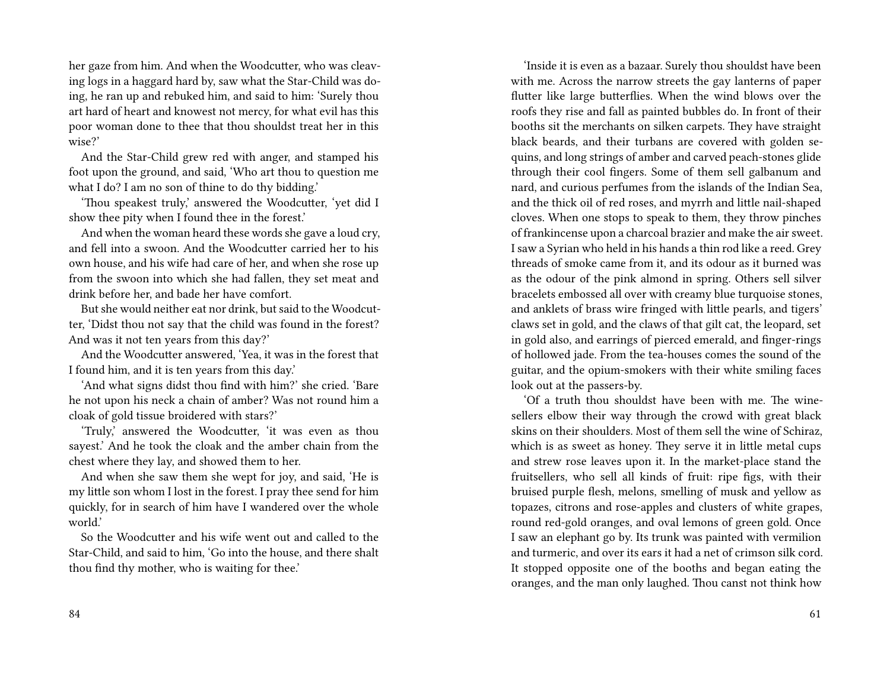her gaze from him. And when the Woodcutter, who was cleaving logs in a haggard hard by, saw what the Star-Child was doing, he ran up and rebuked him, and said to him: 'Surely thou art hard of heart and knowest not mercy, for what evil has this poor woman done to thee that thou shouldst treat her in this wise?'

And the Star-Child grew red with anger, and stamped his foot upon the ground, and said, 'Who art thou to question me what I do? I am no son of thine to do thy bidding.'

'Thou speakest truly,' answered the Woodcutter, 'yet did I show thee pity when I found thee in the forest.'

And when the woman heard these words she gave a loud cry, and fell into a swoon. And the Woodcutter carried her to his own house, and his wife had care of her, and when she rose up from the swoon into which she had fallen, they set meat and drink before her, and bade her have comfort.

But she would neither eat nor drink, but said to the Woodcutter, 'Didst thou not say that the child was found in the forest? And was it not ten years from this day?'

And the Woodcutter answered, 'Yea, it was in the forest that I found him, and it is ten years from this day.'

'And what signs didst thou find with him?' she cried. 'Bare he not upon his neck a chain of amber? Was not round him a cloak of gold tissue broidered with stars?'

'Truly,' answered the Woodcutter, 'it was even as thou sayest.' And he took the cloak and the amber chain from the chest where they lay, and showed them to her.

And when she saw them she wept for joy, and said, 'He is my little son whom I lost in the forest. I pray thee send for him quickly, for in search of him have I wandered over the whole world.'

So the Woodcutter and his wife went out and called to the Star-Child, and said to him, 'Go into the house, and there shalt thou find thy mother, who is waiting for thee.'

'Inside it is even as a bazaar. Surely thou shouldst have been with me. Across the narrow streets the gay lanterns of paper flutter like large butterflies. When the wind blows over the roofs they rise and fall as painted bubbles do. In front of their booths sit the merchants on silken carpets. They have straight black beards, and their turbans are covered with golden sequins, and long strings of amber and carved peach-stones glide through their cool fingers. Some of them sell galbanum and nard, and curious perfumes from the islands of the Indian Sea, and the thick oil of red roses, and myrrh and little nail-shaped cloves. When one stops to speak to them, they throw pinches of frankincense upon a charcoal brazier and make the air sweet. I saw a Syrian who held in his hands a thin rod like a reed. Grey threads of smoke came from it, and its odour as it burned was as the odour of the pink almond in spring. Others sell silver bracelets embossed all over with creamy blue turquoise stones, and anklets of brass wire fringed with little pearls, and tigers' claws set in gold, and the claws of that gilt cat, the leopard, set in gold also, and earrings of pierced emerald, and finger-rings of hollowed jade. From the tea-houses comes the sound of the guitar, and the opium-smokers with their white smiling faces look out at the passers-by.

'Of a truth thou shouldst have been with me. The winesellers elbow their way through the crowd with great black skins on their shoulders. Most of them sell the wine of Schiraz, which is as sweet as honey. They serve it in little metal cups and strew rose leaves upon it. In the market-place stand the fruitsellers, who sell all kinds of fruit: ripe figs, with their bruised purple flesh, melons, smelling of musk and yellow as topazes, citrons and rose-apples and clusters of white grapes, round red-gold oranges, and oval lemons of green gold. Once I saw an elephant go by. Its trunk was painted with vermilion and turmeric, and over its ears it had a net of crimson silk cord. It stopped opposite one of the booths and began eating the oranges, and the man only laughed. Thou canst not think how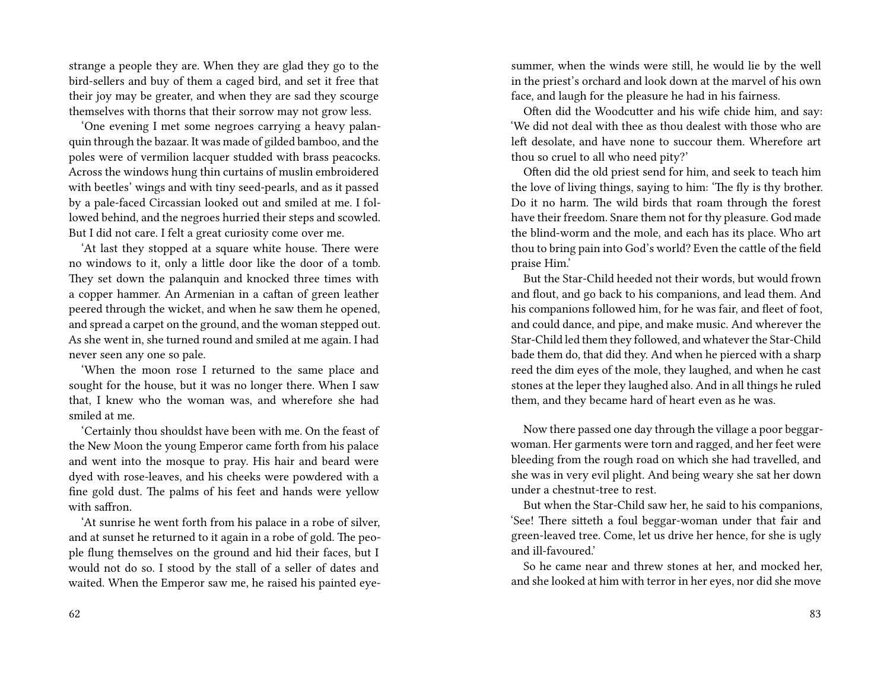strange a people they are. When they are glad they go to the bird-sellers and buy of them a caged bird, and set it free that their joy may be greater, and when they are sad they scourge themselves with thorns that their sorrow may not grow less.

'One evening I met some negroes carrying a heavy palanquin through the bazaar. It was made of gilded bamboo, and the poles were of vermilion lacquer studded with brass peacocks. Across the windows hung thin curtains of muslin embroidered with beetles' wings and with tiny seed-pearls, and as it passed by a pale-faced Circassian looked out and smiled at me. I followed behind, and the negroes hurried their steps and scowled. But I did not care. I felt a great curiosity come over me.

'At last they stopped at a square white house. There were no windows to it, only a little door like the door of a tomb. They set down the palanquin and knocked three times with a copper hammer. An Armenian in a caftan of green leather peered through the wicket, and when he saw them he opened, and spread a carpet on the ground, and the woman stepped out. As she went in, she turned round and smiled at me again. I had never seen any one so pale.

'When the moon rose I returned to the same place and sought for the house, but it was no longer there. When I saw that, I knew who the woman was, and wherefore she had smiled at me.

'Certainly thou shouldst have been with me. On the feast of the New Moon the young Emperor came forth from his palace and went into the mosque to pray. His hair and beard were dyed with rose-leaves, and his cheeks were powdered with a fine gold dust. The palms of his feet and hands were yellow with saffron.

'At sunrise he went forth from his palace in a robe of silver, and at sunset he returned to it again in a robe of gold. The people flung themselves on the ground and hid their faces, but I would not do so. I stood by the stall of a seller of dates and waited. When the Emperor saw me, he raised his painted eyesummer, when the winds were still, he would lie by the well in the priest's orchard and look down at the marvel of his own face, and laugh for the pleasure he had in his fairness.

Often did the Woodcutter and his wife chide him, and say: 'We did not deal with thee as thou dealest with those who are left desolate, and have none to succour them. Wherefore art thou so cruel to all who need pity?'

Often did the old priest send for him, and seek to teach him the love of living things, saying to him: 'The fly is thy brother. Do it no harm. The wild birds that roam through the forest have their freedom. Snare them not for thy pleasure. God made the blind-worm and the mole, and each has its place. Who art thou to bring pain into God's world? Even the cattle of the field praise Him.'

But the Star-Child heeded not their words, but would frown and flout, and go back to his companions, and lead them. And his companions followed him, for he was fair, and fleet of foot, and could dance, and pipe, and make music. And wherever the Star-Child led them they followed, and whatever the Star-Child bade them do, that did they. And when he pierced with a sharp reed the dim eyes of the mole, they laughed, and when he cast stones at the leper they laughed also. And in all things he ruled them, and they became hard of heart even as he was.

Now there passed one day through the village a poor beggarwoman. Her garments were torn and ragged, and her feet were bleeding from the rough road on which she had travelled, and she was in very evil plight. And being weary she sat her down under a chestnut-tree to rest.

But when the Star-Child saw her, he said to his companions, 'See! There sitteth a foul beggar-woman under that fair and green-leaved tree. Come, let us drive her hence, for she is ugly and ill-favoured.'

So he came near and threw stones at her, and mocked her, and she looked at him with terror in her eyes, nor did she move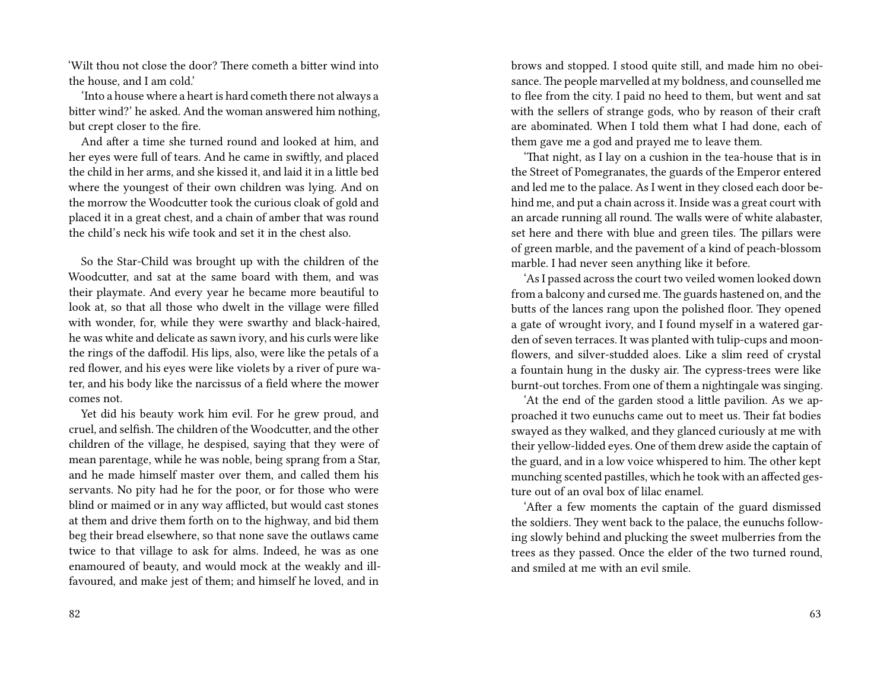'Wilt thou not close the door? There cometh a bitter wind into the house, and I am cold.'

'Into a house where a heart is hard cometh there not always a bitter wind?' he asked. And the woman answered him nothing, but crept closer to the fire.

And after a time she turned round and looked at him, and her eyes were full of tears. And he came in swiftly, and placed the child in her arms, and she kissed it, and laid it in a little bed where the youngest of their own children was lying. And on the morrow the Woodcutter took the curious cloak of gold and placed it in a great chest, and a chain of amber that was round the child's neck his wife took and set it in the chest also.

So the Star-Child was brought up with the children of the Woodcutter, and sat at the same board with them, and was their playmate. And every year he became more beautiful to look at, so that all those who dwelt in the village were filled with wonder, for, while they were swarthy and black-haired, he was white and delicate as sawn ivory, and his curls were like the rings of the daffodil. His lips, also, were like the petals of a red flower, and his eyes were like violets by a river of pure water, and his body like the narcissus of a field where the mower comes not.

Yet did his beauty work him evil. For he grew proud, and cruel, and selfish. The children of the Woodcutter, and the other children of the village, he despised, saying that they were of mean parentage, while he was noble, being sprang from a Star, and he made himself master over them, and called them his servants. No pity had he for the poor, or for those who were blind or maimed or in any way afflicted, but would cast stones at them and drive them forth on to the highway, and bid them beg their bread elsewhere, so that none save the outlaws came twice to that village to ask for alms. Indeed, he was as one enamoured of beauty, and would mock at the weakly and illfavoured, and make jest of them; and himself he loved, and in

brows and stopped. I stood quite still, and made him no obeisance. The people marvelled at my boldness, and counselled me to flee from the city. I paid no heed to them, but went and sat with the sellers of strange gods, who by reason of their craft are abominated. When I told them what I had done, each of them gave me a god and prayed me to leave them.

'That night, as I lay on a cushion in the tea-house that is in the Street of Pomegranates, the guards of the Emperor entered and led me to the palace. As I went in they closed each door behind me, and put a chain across it. Inside was a great court with an arcade running all round. The walls were of white alabaster, set here and there with blue and green tiles. The pillars were of green marble, and the pavement of a kind of peach-blossom marble. I had never seen anything like it before.

'As I passed across the court two veiled women looked down from a balcony and cursed me. The guards hastened on, and the butts of the lances rang upon the polished floor. They opened a gate of wrought ivory, and I found myself in a watered garden of seven terraces. It was planted with tulip-cups and moonflowers, and silver-studded aloes. Like a slim reed of crystal a fountain hung in the dusky air. The cypress-trees were like burnt-out torches. From one of them a nightingale was singing.

'At the end of the garden stood a little pavilion. As we approached it two eunuchs came out to meet us. Their fat bodies swayed as they walked, and they glanced curiously at me with their yellow-lidded eyes. One of them drew aside the captain of the guard, and in a low voice whispered to him. The other kept munching scented pastilles, which he took with an affected gesture out of an oval box of lilac enamel.

'After a few moments the captain of the guard dismissed the soldiers. They went back to the palace, the eunuchs following slowly behind and plucking the sweet mulberries from the trees as they passed. Once the elder of the two turned round, and smiled at me with an evil smile.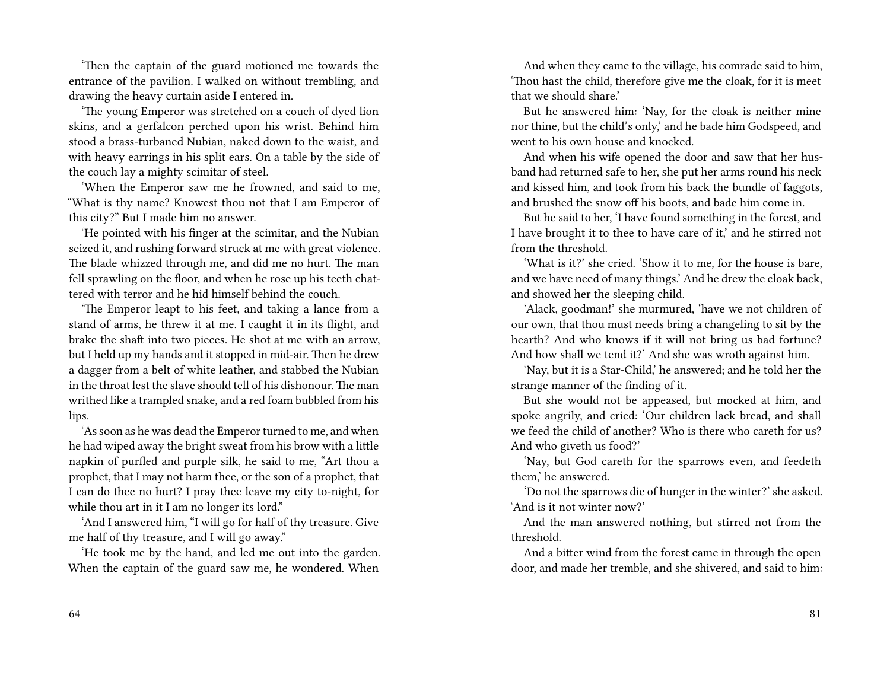'Then the captain of the guard motioned me towards the entrance of the pavilion. I walked on without trembling, and drawing the heavy curtain aside I entered in.

'The young Emperor was stretched on a couch of dyed lion skins, and a gerfalcon perched upon his wrist. Behind him stood a brass-turbaned Nubian, naked down to the waist, and with heavy earrings in his split ears. On a table by the side of the couch lay a mighty scimitar of steel.

'When the Emperor saw me he frowned, and said to me, "What is thy name? Knowest thou not that I am Emperor of this city?" But I made him no answer.

'He pointed with his finger at the scimitar, and the Nubian seized it, and rushing forward struck at me with great violence. The blade whizzed through me, and did me no hurt. The man fell sprawling on the floor, and when he rose up his teeth chattered with terror and he hid himself behind the couch.

'The Emperor leapt to his feet, and taking a lance from a stand of arms, he threw it at me. I caught it in its flight, and brake the shaft into two pieces. He shot at me with an arrow, but I held up my hands and it stopped in mid-air. Then he drew a dagger from a belt of white leather, and stabbed the Nubian in the throat lest the slave should tell of his dishonour. The man writhed like a trampled snake, and a red foam bubbled from his lips.

'As soon as he was dead the Emperor turned to me, and when he had wiped away the bright sweat from his brow with a little napkin of purfled and purple silk, he said to me, "Art thou a prophet, that I may not harm thee, or the son of a prophet, that I can do thee no hurt? I pray thee leave my city to-night, for while thou art in it I am no longer its lord."

'And I answered him, "I will go for half of thy treasure. Give me half of thy treasure, and I will go away."

'He took me by the hand, and led me out into the garden. When the captain of the guard saw me, he wondered. When

And when they came to the village, his comrade said to him, 'Thou hast the child, therefore give me the cloak, for it is meet that we should share.'

But he answered him: 'Nay, for the cloak is neither mine nor thine, but the child's only,' and he bade him Godspeed, and went to his own house and knocked.

And when his wife opened the door and saw that her husband had returned safe to her, she put her arms round his neck and kissed him, and took from his back the bundle of faggots, and brushed the snow off his boots, and bade him come in.

But he said to her, 'I have found something in the forest, and I have brought it to thee to have care of it,' and he stirred not from the threshold.

'What is it?' she cried. 'Show it to me, for the house is bare, and we have need of many things.' And he drew the cloak back, and showed her the sleeping child.

'Alack, goodman!' she murmured, 'have we not children of our own, that thou must needs bring a changeling to sit by the hearth? And who knows if it will not bring us bad fortune? And how shall we tend it?' And she was wroth against him.

'Nay, but it is a Star-Child,' he answered; and he told her the strange manner of the finding of it.

But she would not be appeased, but mocked at him, and spoke angrily, and cried: 'Our children lack bread, and shall we feed the child of another? Who is there who careth for us? And who giveth us food?'

'Nay, but God careth for the sparrows even, and feedeth them,' he answered.

'Do not the sparrows die of hunger in the winter?' she asked. 'And is it not winter now?'

And the man answered nothing, but stirred not from the threshold.

And a bitter wind from the forest came in through the open door, and made her tremble, and she shivered, and said to him: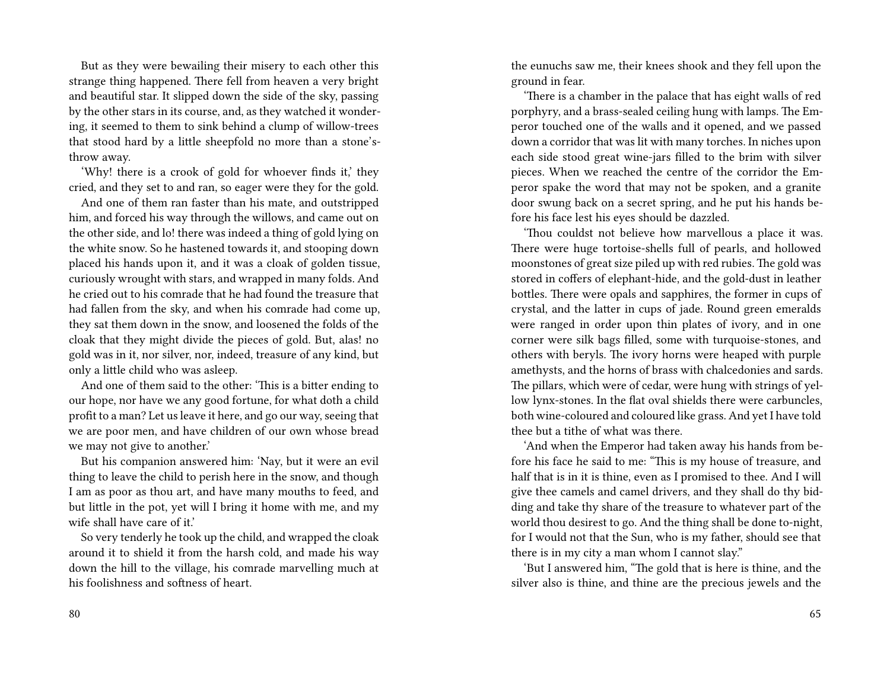But as they were bewailing their misery to each other this strange thing happened. There fell from heaven a very bright and beautiful star. It slipped down the side of the sky, passing by the other stars in its course, and, as they watched it wondering, it seemed to them to sink behind a clump of willow-trees that stood hard by a little sheepfold no more than a stone'sthrow away.

'Why! there is a crook of gold for whoever finds it,' they cried, and they set to and ran, so eager were they for the gold.

And one of them ran faster than his mate, and outstripped him, and forced his way through the willows, and came out on the other side, and lo! there was indeed a thing of gold lying on the white snow. So he hastened towards it, and stooping down placed his hands upon it, and it was a cloak of golden tissue, curiously wrought with stars, and wrapped in many folds. And he cried out to his comrade that he had found the treasure that had fallen from the sky, and when his comrade had come up, they sat them down in the snow, and loosened the folds of the cloak that they might divide the pieces of gold. But, alas! no gold was in it, nor silver, nor, indeed, treasure of any kind, but only a little child who was asleep.

And one of them said to the other: 'This is a bitter ending to our hope, nor have we any good fortune, for what doth a child profit to a man? Let us leave it here, and go our way, seeing that we are poor men, and have children of our own whose bread we may not give to another.'

But his companion answered him: 'Nay, but it were an evil thing to leave the child to perish here in the snow, and though I am as poor as thou art, and have many mouths to feed, and but little in the pot, yet will I bring it home with me, and my wife shall have care of it.'

So very tenderly he took up the child, and wrapped the cloak around it to shield it from the harsh cold, and made his way down the hill to the village, his comrade marvelling much at his foolishness and softness of heart.

the eunuchs saw me, their knees shook and they fell upon the ground in fear.

'There is a chamber in the palace that has eight walls of red porphyry, and a brass-sealed ceiling hung with lamps. The Emperor touched one of the walls and it opened, and we passed down a corridor that was lit with many torches. In niches upon each side stood great wine-jars filled to the brim with silver pieces. When we reached the centre of the corridor the Emperor spake the word that may not be spoken, and a granite door swung back on a secret spring, and he put his hands before his face lest his eyes should be dazzled.

'Thou couldst not believe how marvellous a place it was. There were huge tortoise-shells full of pearls, and hollowed moonstones of great size piled up with red rubies. The gold was stored in coffers of elephant-hide, and the gold-dust in leather bottles. There were opals and sapphires, the former in cups of crystal, and the latter in cups of jade. Round green emeralds were ranged in order upon thin plates of ivory, and in one corner were silk bags filled, some with turquoise-stones, and others with beryls. The ivory horns were heaped with purple amethysts, and the horns of brass with chalcedonies and sards. The pillars, which were of cedar, were hung with strings of yellow lynx-stones. In the flat oval shields there were carbuncles, both wine-coloured and coloured like grass. And yet I have told thee but a tithe of what was there.

'And when the Emperor had taken away his hands from before his face he said to me: "This is my house of treasure, and half that is in it is thine, even as I promised to thee. And I will give thee camels and camel drivers, and they shall do thy bidding and take thy share of the treasure to whatever part of the world thou desirest to go. And the thing shall be done to-night, for I would not that the Sun, who is my father, should see that there is in my city a man whom I cannot slay."

'But I answered him, "The gold that is here is thine, and the silver also is thine, and thine are the precious jewels and the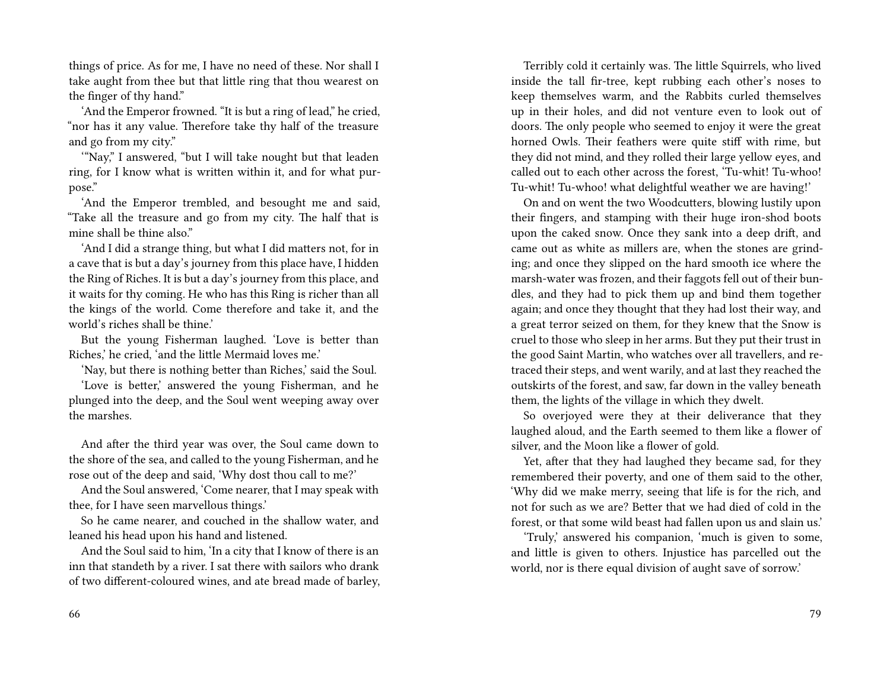things of price. As for me, I have no need of these. Nor shall I take aught from thee but that little ring that thou wearest on the finger of thy hand."

'And the Emperor frowned. "It is but a ring of lead," he cried, "nor has it any value. Therefore take thy half of the treasure and go from my city."

'"Nay," I answered, "but I will take nought but that leaden ring, for I know what is written within it, and for what purpose."

'And the Emperor trembled, and besought me and said, "Take all the treasure and go from my city. The half that is mine shall be thine also."

'And I did a strange thing, but what I did matters not, for in a cave that is but a day's journey from this place have, I hidden the Ring of Riches. It is but a day's journey from this place, and it waits for thy coming. He who has this Ring is richer than all the kings of the world. Come therefore and take it, and the world's riches shall be thine.'

But the young Fisherman laughed. 'Love is better than Riches,' he cried, 'and the little Mermaid loves me.'

'Nay, but there is nothing better than Riches,' said the Soul.

'Love is better,' answered the young Fisherman, and he plunged into the deep, and the Soul went weeping away over the marshes.

And after the third year was over, the Soul came down to the shore of the sea, and called to the young Fisherman, and he rose out of the deep and said, 'Why dost thou call to me?'

And the Soul answered, 'Come nearer, that I may speak with thee, for I have seen marvellous things.'

So he came nearer, and couched in the shallow water, and leaned his head upon his hand and listened.

And the Soul said to him, 'In a city that I know of there is an inn that standeth by a river. I sat there with sailors who drank of two different-coloured wines, and ate bread made of barley,

Terribly cold it certainly was. The little Squirrels, who lived inside the tall fir-tree, kept rubbing each other's noses to keep themselves warm, and the Rabbits curled themselves up in their holes, and did not venture even to look out of doors. The only people who seemed to enjoy it were the great horned Owls. Their feathers were quite stiff with rime, but they did not mind, and they rolled their large yellow eyes, and called out to each other across the forest, 'Tu-whit! Tu-whoo! Tu-whit! Tu-whoo! what delightful weather we are having!'

On and on went the two Woodcutters, blowing lustily upon their fingers, and stamping with their huge iron-shod boots upon the caked snow. Once they sank into a deep drift, and came out as white as millers are, when the stones are grinding; and once they slipped on the hard smooth ice where the marsh-water was frozen, and their faggots fell out of their bundles, and they had to pick them up and bind them together again; and once they thought that they had lost their way, and a great terror seized on them, for they knew that the Snow is cruel to those who sleep in her arms. But they put their trust in the good Saint Martin, who watches over all travellers, and retraced their steps, and went warily, and at last they reached the outskirts of the forest, and saw, far down in the valley beneath them, the lights of the village in which they dwelt.

So overjoyed were they at their deliverance that they laughed aloud, and the Earth seemed to them like a flower of silver, and the Moon like a flower of gold.

Yet, after that they had laughed they became sad, for they remembered their poverty, and one of them said to the other, 'Why did we make merry, seeing that life is for the rich, and not for such as we are? Better that we had died of cold in the forest, or that some wild beast had fallen upon us and slain us.'

'Truly,' answered his companion, 'much is given to some, and little is given to others. Injustice has parcelled out the world, nor is there equal division of aught save of sorrow.'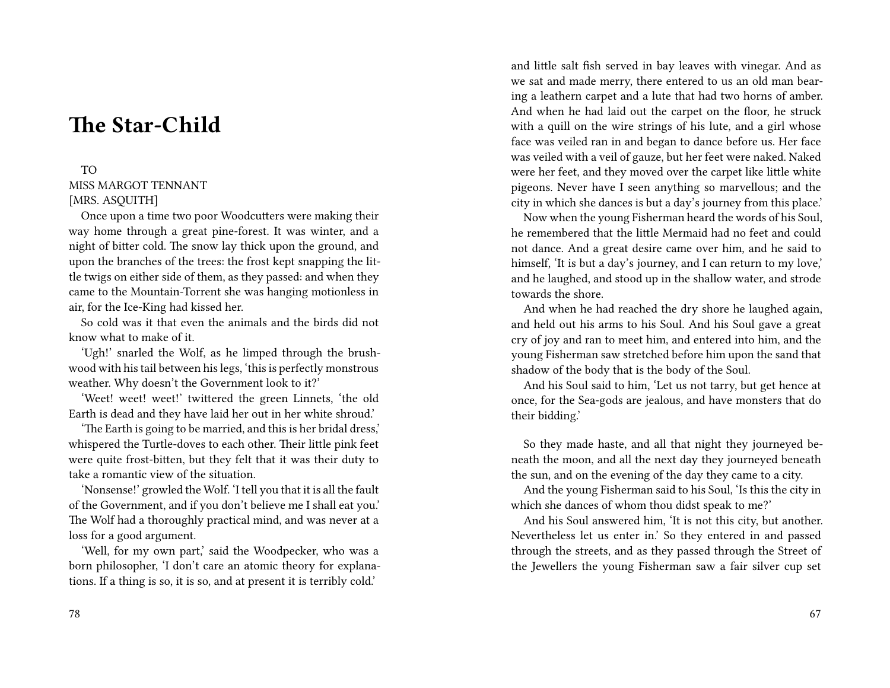## **The Star-Child**

### TO MISS MARGOT TENNANT [MRS. ASQUITH]

Once upon a time two poor Woodcutters were making their way home through a great pine-forest. It was winter, and a night of bitter cold. The snow lay thick upon the ground, and upon the branches of the trees: the frost kept snapping the little twigs on either side of them, as they passed: and when they came to the Mountain-Torrent she was hanging motionless in air, for the Ice-King had kissed her.

So cold was it that even the animals and the birds did not know what to make of it.

'Ugh!' snarled the Wolf, as he limped through the brushwood with his tail between his legs, 'this is perfectly monstrous weather. Why doesn't the Government look to it?'

'Weet! weet! weet!' twittered the green Linnets, 'the old Earth is dead and they have laid her out in her white shroud.'

'The Earth is going to be married, and this is her bridal dress,' whispered the Turtle-doves to each other. Their little pink feet were quite frost-bitten, but they felt that it was their duty to take a romantic view of the situation.

'Nonsense!' growled the Wolf. 'I tell you that it is all the fault of the Government, and if you don't believe me I shall eat you.' The Wolf had a thoroughly practical mind, and was never at a loss for a good argument.

'Well, for my own part,' said the Woodpecker, who was a born philosopher, 'I don't care an atomic theory for explanations. If a thing is so, it is so, and at present it is terribly cold.'

and little salt fish served in bay leaves with vinegar. And as we sat and made merry, there entered to us an old man bearing a leathern carpet and a lute that had two horns of amber. And when he had laid out the carpet on the floor, he struck with a quill on the wire strings of his lute, and a girl whose face was veiled ran in and began to dance before us. Her face was veiled with a veil of gauze, but her feet were naked. Naked were her feet, and they moved over the carpet like little white pigeons. Never have I seen anything so marvellous; and the city in which she dances is but a day's journey from this place.'

Now when the young Fisherman heard the words of his Soul, he remembered that the little Mermaid had no feet and could not dance. And a great desire came over him, and he said to himself, 'It is but a day's journey, and I can return to my love,' and he laughed, and stood up in the shallow water, and strode towards the shore.

And when he had reached the dry shore he laughed again, and held out his arms to his Soul. And his Soul gave a great cry of joy and ran to meet him, and entered into him, and the young Fisherman saw stretched before him upon the sand that shadow of the body that is the body of the Soul.

And his Soul said to him, 'Let us not tarry, but get hence at once, for the Sea-gods are jealous, and have monsters that do their bidding.'

So they made haste, and all that night they journeyed beneath the moon, and all the next day they journeyed beneath the sun, and on the evening of the day they came to a city.

And the young Fisherman said to his Soul, 'Is this the city in which she dances of whom thou didst speak to me?'

And his Soul answered him, 'It is not this city, but another. Nevertheless let us enter in.' So they entered in and passed through the streets, and as they passed through the Street of the Jewellers the young Fisherman saw a fair silver cup set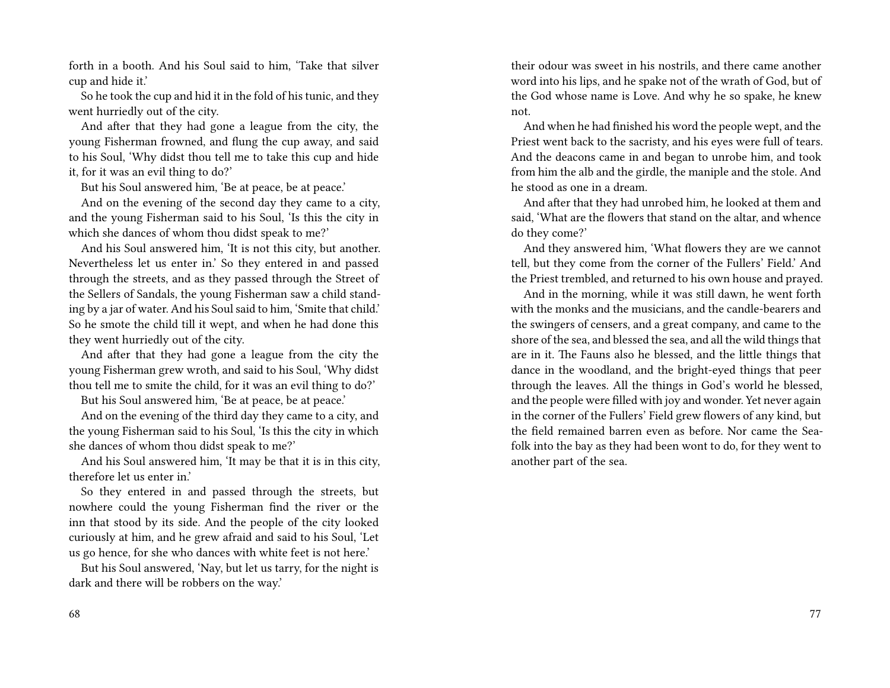forth in a booth. And his Soul said to him, 'Take that silver cup and hide it.'

So he took the cup and hid it in the fold of his tunic, and they went hurriedly out of the city.

And after that they had gone a league from the city, the young Fisherman frowned, and flung the cup away, and said to his Soul, 'Why didst thou tell me to take this cup and hide it, for it was an evil thing to do?'

But his Soul answered him, 'Be at peace, be at peace.'

And on the evening of the second day they came to a city, and the young Fisherman said to his Soul, 'Is this the city in which she dances of whom thou didst speak to me?'

And his Soul answered him, 'It is not this city, but another. Nevertheless let us enter in.' So they entered in and passed through the streets, and as they passed through the Street of the Sellers of Sandals, the young Fisherman saw a child standing by a jar of water. And his Soul said to him, 'Smite that child.' So he smote the child till it wept, and when he had done this they went hurriedly out of the city.

And after that they had gone a league from the city the young Fisherman grew wroth, and said to his Soul, 'Why didst thou tell me to smite the child, for it was an evil thing to do?'

But his Soul answered him, 'Be at peace, be at peace.'

And on the evening of the third day they came to a city, and the young Fisherman said to his Soul, 'Is this the city in which she dances of whom thou didst speak to me?'

And his Soul answered him, 'It may be that it is in this city, therefore let us enter in.'

So they entered in and passed through the streets, but nowhere could the young Fisherman find the river or the inn that stood by its side. And the people of the city looked curiously at him, and he grew afraid and said to his Soul, 'Let us go hence, for she who dances with white feet is not here.'

But his Soul answered, 'Nay, but let us tarry, for the night is dark and there will be robbers on the way.'

their odour was sweet in his nostrils, and there came another word into his lips, and he spake not of the wrath of God, but of the God whose name is Love. And why he so spake, he knew not.

And when he had finished his word the people wept, and the Priest went back to the sacristy, and his eyes were full of tears. And the deacons came in and began to unrobe him, and took from him the alb and the girdle, the maniple and the stole. And he stood as one in a dream.

And after that they had unrobed him, he looked at them and said, 'What are the flowers that stand on the altar, and whence do they come?'

And they answered him, 'What flowers they are we cannot tell, but they come from the corner of the Fullers' Field.' And the Priest trembled, and returned to his own house and prayed.

And in the morning, while it was still dawn, he went forth with the monks and the musicians, and the candle-bearers and the swingers of censers, and a great company, and came to the shore of the sea, and blessed the sea, and all the wild things that are in it. The Fauns also he blessed, and the little things that dance in the woodland, and the bright-eyed things that peer through the leaves. All the things in God's world he blessed, and the people were filled with joy and wonder. Yet never again in the corner of the Fullers' Field grew flowers of any kind, but the field remained barren even as before. Nor came the Seafolk into the bay as they had been wont to do, for they went to another part of the sea.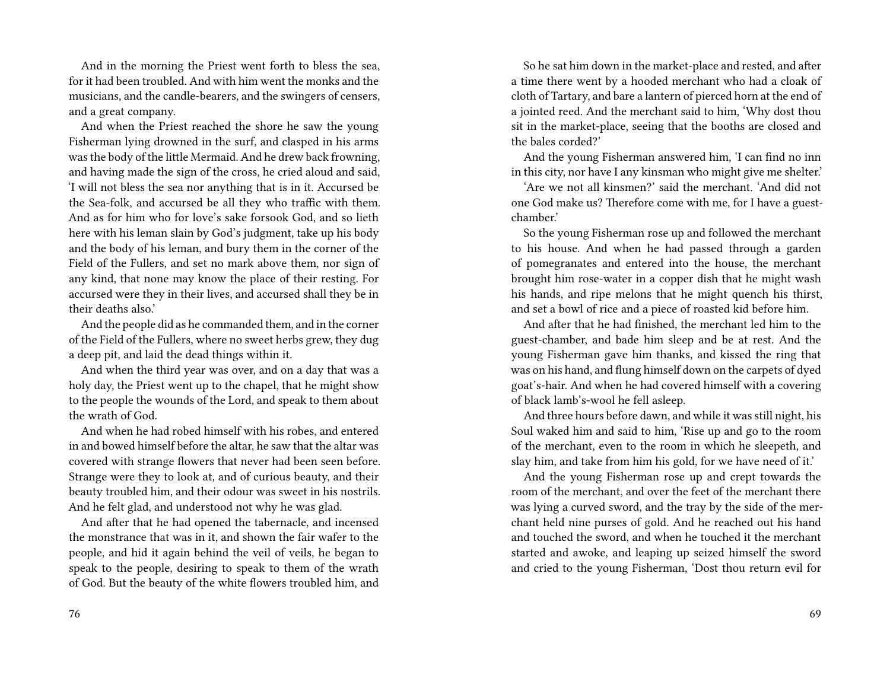And in the morning the Priest went forth to bless the sea, for it had been troubled. And with him went the monks and the musicians, and the candle-bearers, and the swingers of censers, and a great company.

And when the Priest reached the shore he saw the young Fisherman lying drowned in the surf, and clasped in his arms was the body of the little Mermaid. And he drew back frowning, and having made the sign of the cross, he cried aloud and said, 'I will not bless the sea nor anything that is in it. Accursed be the Sea-folk, and accursed be all they who traffic with them. And as for him who for love's sake forsook God, and so lieth here with his leman slain by God's judgment, take up his body and the body of his leman, and bury them in the corner of the Field of the Fullers, and set no mark above them, nor sign of any kind, that none may know the place of their resting. For accursed were they in their lives, and accursed shall they be in their deaths also.'

And the people did as he commanded them, and in the corner of the Field of the Fullers, where no sweet herbs grew, they dug a deep pit, and laid the dead things within it.

And when the third year was over, and on a day that was a holy day, the Priest went up to the chapel, that he might show to the people the wounds of the Lord, and speak to them about the wrath of God.

And when he had robed himself with his robes, and entered in and bowed himself before the altar, he saw that the altar was covered with strange flowers that never had been seen before. Strange were they to look at, and of curious beauty, and their beauty troubled him, and their odour was sweet in his nostrils. And he felt glad, and understood not why he was glad.

And after that he had opened the tabernacle, and incensed the monstrance that was in it, and shown the fair wafer to the people, and hid it again behind the veil of veils, he began to speak to the people, desiring to speak to them of the wrath of God. But the beauty of the white flowers troubled him, and

So he sat him down in the market-place and rested, and after a time there went by a hooded merchant who had a cloak of cloth of Tartary, and bare a lantern of pierced horn at the end of a jointed reed. And the merchant said to him, 'Why dost thou sit in the market-place, seeing that the booths are closed and the bales corded?'

And the young Fisherman answered him, 'I can find no inn in this city, nor have I any kinsman who might give me shelter.'

'Are we not all kinsmen?' said the merchant. 'And did not one God make us? Therefore come with me, for I have a guestchamber.'

So the young Fisherman rose up and followed the merchant to his house. And when he had passed through a garden of pomegranates and entered into the house, the merchant brought him rose-water in a copper dish that he might wash his hands, and ripe melons that he might quench his thirst, and set a bowl of rice and a piece of roasted kid before him.

And after that he had finished, the merchant led him to the guest-chamber, and bade him sleep and be at rest. And the young Fisherman gave him thanks, and kissed the ring that was on his hand, and flung himself down on the carpets of dyed goat's-hair. And when he had covered himself with a covering of black lamb's-wool he fell asleep.

And three hours before dawn, and while it was still night, his Soul waked him and said to him, 'Rise up and go to the room of the merchant, even to the room in which he sleepeth, and slay him, and take from him his gold, for we have need of it.'

And the young Fisherman rose up and crept towards the room of the merchant, and over the feet of the merchant there was lying a curved sword, and the tray by the side of the merchant held nine purses of gold. And he reached out his hand and touched the sword, and when he touched it the merchant started and awoke, and leaping up seized himself the sword and cried to the young Fisherman, 'Dost thou return evil for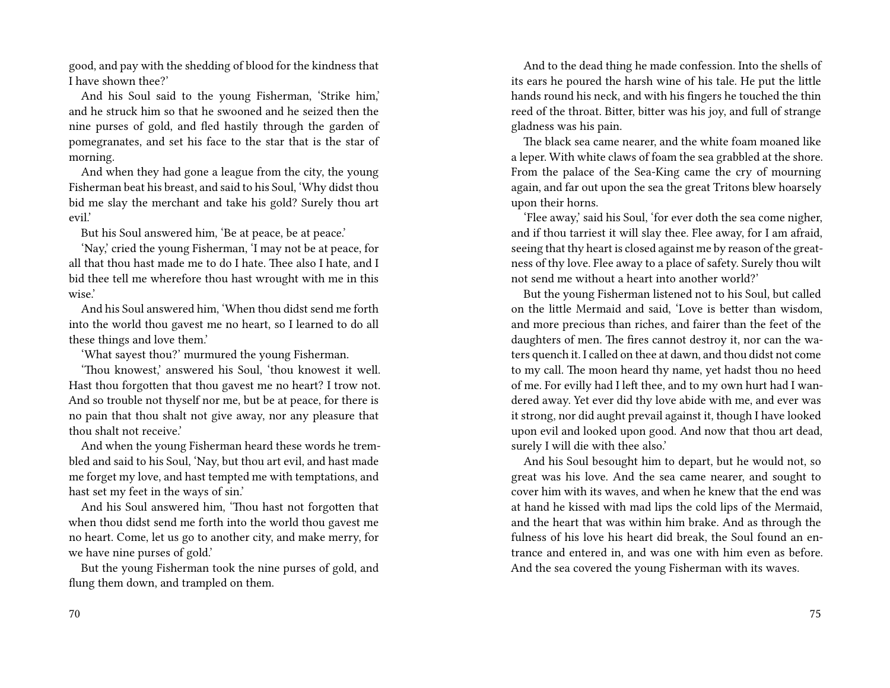good, and pay with the shedding of blood for the kindness that I have shown thee?'

And his Soul said to the young Fisherman, 'Strike him,' and he struck him so that he swooned and he seized then the nine purses of gold, and fled hastily through the garden of pomegranates, and set his face to the star that is the star of morning.

And when they had gone a league from the city, the young Fisherman beat his breast, and said to his Soul, 'Why didst thou bid me slay the merchant and take his gold? Surely thou art evil.'

But his Soul answered him, 'Be at peace, be at peace.'

'Nay,' cried the young Fisherman, 'I may not be at peace, for all that thou hast made me to do I hate. Thee also I hate, and I bid thee tell me wherefore thou hast wrought with me in this wise.'

And his Soul answered him, 'When thou didst send me forth into the world thou gavest me no heart, so I learned to do all these things and love them.'

'What sayest thou?' murmured the young Fisherman.

'Thou knowest,' answered his Soul, 'thou knowest it well. Hast thou forgotten that thou gavest me no heart? I trow not. And so trouble not thyself nor me, but be at peace, for there is no pain that thou shalt not give away, nor any pleasure that thou shalt not receive.'

And when the young Fisherman heard these words he trembled and said to his Soul, 'Nay, but thou art evil, and hast made me forget my love, and hast tempted me with temptations, and hast set my feet in the ways of sin.'

And his Soul answered him, 'Thou hast not forgotten that when thou didst send me forth into the world thou gavest me no heart. Come, let us go to another city, and make merry, for we have nine purses of gold.'

But the young Fisherman took the nine purses of gold, and flung them down, and trampled on them.

And to the dead thing he made confession. Into the shells of its ears he poured the harsh wine of his tale. He put the little hands round his neck, and with his fingers he touched the thin reed of the throat. Bitter, bitter was his joy, and full of strange gladness was his pain.

The black sea came nearer, and the white foam moaned like a leper. With white claws of foam the sea grabbled at the shore. From the palace of the Sea-King came the cry of mourning again, and far out upon the sea the great Tritons blew hoarsely upon their horns.

'Flee away,' said his Soul, 'for ever doth the sea come nigher, and if thou tarriest it will slay thee. Flee away, for I am afraid, seeing that thy heart is closed against me by reason of the greatness of thy love. Flee away to a place of safety. Surely thou wilt not send me without a heart into another world?'

But the young Fisherman listened not to his Soul, but called on the little Mermaid and said, 'Love is better than wisdom, and more precious than riches, and fairer than the feet of the daughters of men. The fires cannot destroy it, nor can the waters quench it. I called on thee at dawn, and thou didst not come to my call. The moon heard thy name, yet hadst thou no heed of me. For evilly had I left thee, and to my own hurt had I wandered away. Yet ever did thy love abide with me, and ever was it strong, nor did aught prevail against it, though I have looked upon evil and looked upon good. And now that thou art dead, surely I will die with thee also.'

And his Soul besought him to depart, but he would not, so great was his love. And the sea came nearer, and sought to cover him with its waves, and when he knew that the end was at hand he kissed with mad lips the cold lips of the Mermaid, and the heart that was within him brake. And as through the fulness of his love his heart did break, the Soul found an entrance and entered in, and was one with him even as before. And the sea covered the young Fisherman with its waves.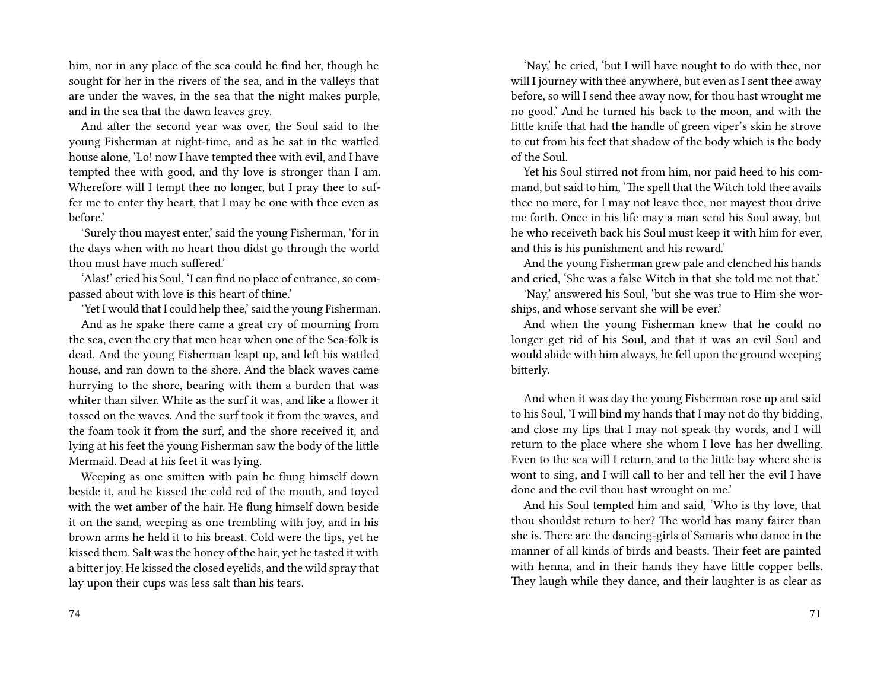him, nor in any place of the sea could he find her, though he sought for her in the rivers of the sea, and in the valleys that are under the waves, in the sea that the night makes purple, and in the sea that the dawn leaves grey.

And after the second year was over, the Soul said to the young Fisherman at night-time, and as he sat in the wattled house alone, 'Lo! now I have tempted thee with evil, and I have tempted thee with good, and thy love is stronger than I am. Wherefore will I tempt thee no longer, but I pray thee to suffer me to enter thy heart, that I may be one with thee even as before.'

'Surely thou mayest enter,' said the young Fisherman, 'for in the days when with no heart thou didst go through the world thou must have much suffered.'

'Alas!' cried his Soul, 'I can find no place of entrance, so compassed about with love is this heart of thine.'

'Yet I would that I could help thee,' said the young Fisherman.

And as he spake there came a great cry of mourning from the sea, even the cry that men hear when one of the Sea-folk is dead. And the young Fisherman leapt up, and left his wattled house, and ran down to the shore. And the black waves came hurrying to the shore, bearing with them a burden that was whiter than silver. White as the surf it was, and like a flower it tossed on the waves. And the surf took it from the waves, and the foam took it from the surf, and the shore received it, and lying at his feet the young Fisherman saw the body of the little Mermaid. Dead at his feet it was lying.

Weeping as one smitten with pain he flung himself down beside it, and he kissed the cold red of the mouth, and toyed with the wet amber of the hair. He flung himself down beside it on the sand, weeping as one trembling with joy, and in his brown arms he held it to his breast. Cold were the lips, yet he kissed them. Salt was the honey of the hair, yet he tasted it with a bitter joy. He kissed the closed eyelids, and the wild spray that lay upon their cups was less salt than his tears.

'Nay,' he cried, 'but I will have nought to do with thee, nor will I journey with thee anywhere, but even as I sent thee away before, so will I send thee away now, for thou hast wrought me no good.' And he turned his back to the moon, and with the little knife that had the handle of green viper's skin he strove to cut from his feet that shadow of the body which is the body of the Soul.

Yet his Soul stirred not from him, nor paid heed to his command, but said to him, 'The spell that the Witch told thee avails thee no more, for I may not leave thee, nor mayest thou drive me forth. Once in his life may a man send his Soul away, but he who receiveth back his Soul must keep it with him for ever, and this is his punishment and his reward.'

And the young Fisherman grew pale and clenched his hands and cried, 'She was a false Witch in that she told me not that.'

'Nay,' answered his Soul, 'but she was true to Him she worships, and whose servant she will be ever.'

And when the young Fisherman knew that he could no longer get rid of his Soul, and that it was an evil Soul and would abide with him always, he fell upon the ground weeping bitterly.

And when it was day the young Fisherman rose up and said to his Soul, 'I will bind my hands that I may not do thy bidding, and close my lips that I may not speak thy words, and I will return to the place where she whom I love has her dwelling. Even to the sea will I return, and to the little bay where she is wont to sing, and I will call to her and tell her the evil I have done and the evil thou hast wrought on me.'

And his Soul tempted him and said, 'Who is thy love, that thou shouldst return to her? The world has many fairer than she is. There are the dancing-girls of Samaris who dance in the manner of all kinds of birds and beasts. Their feet are painted with henna, and in their hands they have little copper bells. They laugh while they dance, and their laughter is as clear as